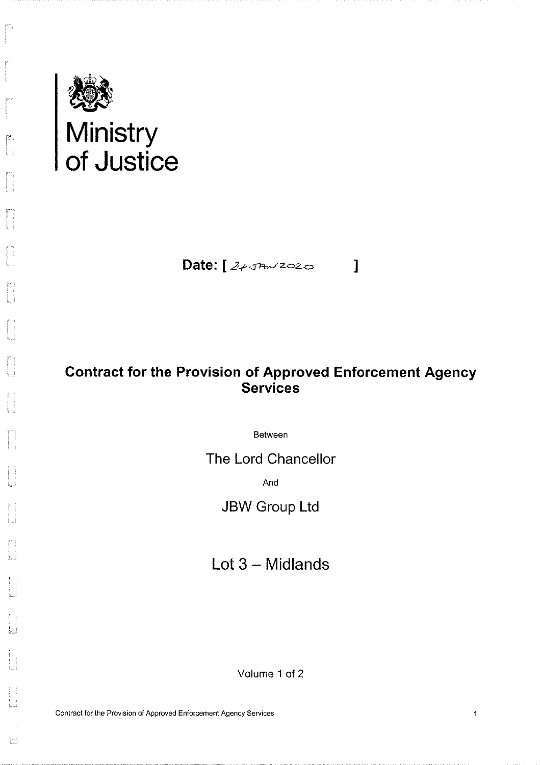

H

 $\frac{\sum_{i=1}^{N} \sum_{j=1}^{N} \sum_{j=1}^{N} \sum_{j=1}^{N} \sum_{j=1}^{N} \sum_{j=1}^{N} \sum_{j=1}^{N} \sum_{j=1}^{N} \sum_{j=1}^{N} \sum_{j=1}^{N} \sum_{j=1}^{N} \sum_{j=1}^{N} \sum_{j=1}^{N} \sum_{j=1}^{N} \sum_{j=1}^{N} \sum_{j=1}^{N} \sum_{j=1}^{N} \sum_{j=1}^{N} \sum_{j=1}^{N} \sum_{j=1}^{N} \sum_{j=1}^{N} \sum_{j=1}^{$ 

Date:  $245422020$ 

 $\overline{\phantom{a}}$ 

 $\mathbf{1}$ 

## **Contract for the Provision of Approved Enforcement Agency Services**

Between

The Lord Chancellor

And

**JBW Group Ltd** 

Lot  $3$  – Midlands

Volume 1 of 2

Contract for the Provision of Approved Enforcement Agency Services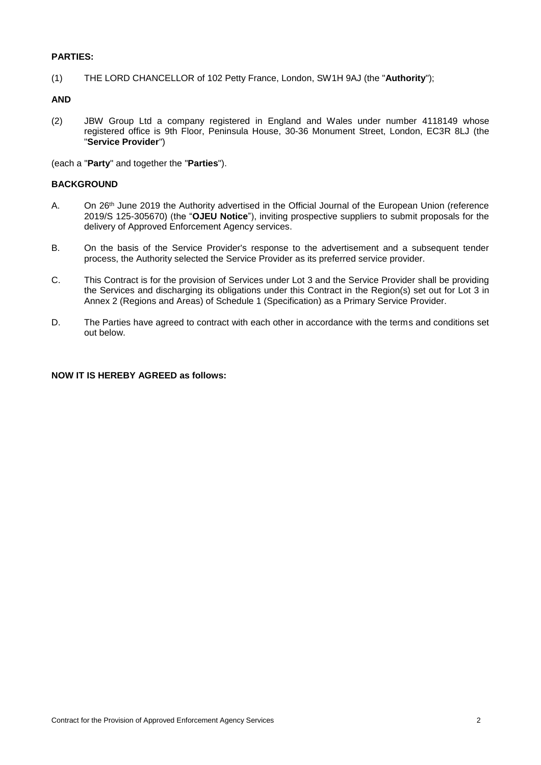#### **PARTIES:**

(1) THE LORD CHANCELLOR of 102 Petty France, London, SW1H 9AJ (the "**Authority**");

#### **AND**

(2) JBW Group Ltd a company registered in England and Wales under number 4118149 whose registered office is 9th Floor, Peninsula House, 30-36 Monument Street, London, EC3R 8LJ (the "**Service Provider**")

(each a "**Party**" and together the "**Parties**").

#### **BACKGROUND**

- A. On 26<sup>th</sup> June 2019 the Authority advertised in the Official Journal of the European Union (reference 2019/S 125-305670) (the "**OJEU Notice**"), inviting prospective suppliers to submit proposals for the delivery of Approved Enforcement Agency services.
- B. On the basis of the Service Provider's response to the advertisement and a subsequent tender process, the Authority selected the Service Provider as its preferred service provider.
- C. This Contract is for the provision of Services under Lot 3 and the Service Provider shall be providing the Services and discharging its obligations under this Contract in the Region(s) set out for Lot 3 in Annex 2 (Regions and Areas) of Schedule 1 (Specification) as a Primary Service Provider.
- D. The Parties have agreed to contract with each other in accordance with the terms and conditions set out below.

#### **NOW IT IS HEREBY AGREED as follows:**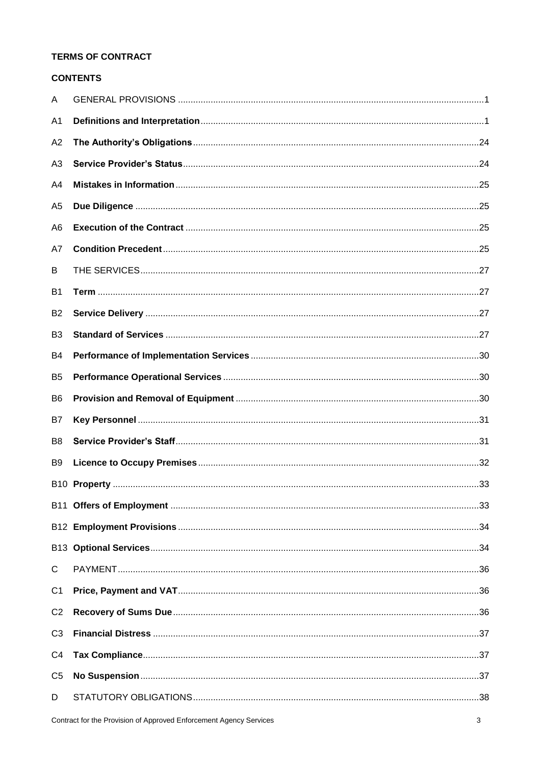### **TERMS OF CONTRACT**

### **CONTENTS**

| A              |  |
|----------------|--|
| A <sub>1</sub> |  |
| A <sub>2</sub> |  |
| A3             |  |
| A4             |  |
| A <sub>5</sub> |  |
| A <sub>6</sub> |  |
| A7             |  |
| B              |  |
| <b>B1</b>      |  |
| B <sub>2</sub> |  |
| B <sub>3</sub> |  |
| <b>B4</b>      |  |
| B <sub>5</sub> |  |
| B <sub>6</sub> |  |
| B7             |  |
| B <sub>8</sub> |  |
| B9             |  |
|                |  |
|                |  |
|                |  |
|                |  |
| $\mathsf{C}$   |  |
| C <sub>1</sub> |  |
| C <sub>2</sub> |  |
| C <sub>3</sub> |  |
| C <sub>4</sub> |  |
| C <sub>5</sub> |  |
| D              |  |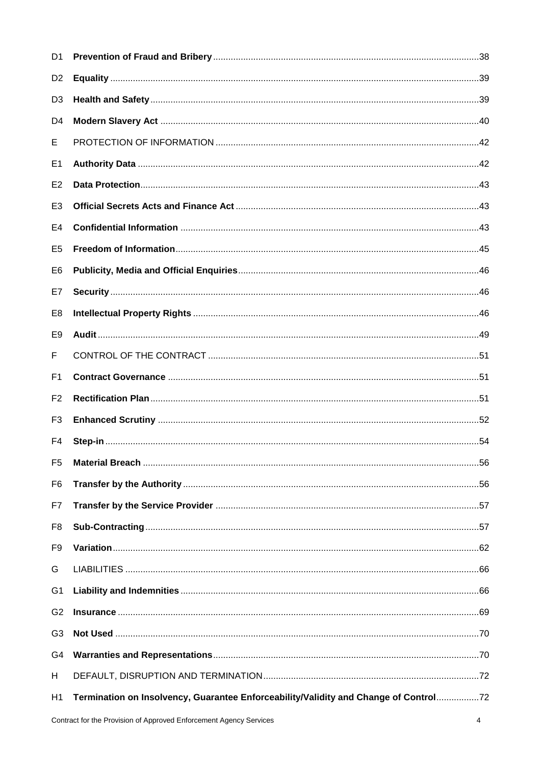| D1             |                                                                                      |  |
|----------------|--------------------------------------------------------------------------------------|--|
| D <sub>2</sub> |                                                                                      |  |
| D <sub>3</sub> |                                                                                      |  |
| D4             |                                                                                      |  |
| E,             |                                                                                      |  |
| E1             |                                                                                      |  |
| E <sub>2</sub> |                                                                                      |  |
| E <sub>3</sub> |                                                                                      |  |
| E <sub>4</sub> |                                                                                      |  |
| E <sub>5</sub> |                                                                                      |  |
| E6             |                                                                                      |  |
| E7             |                                                                                      |  |
| E <sub>8</sub> |                                                                                      |  |
| E <sub>9</sub> |                                                                                      |  |
| F              |                                                                                      |  |
| F <sub>1</sub> |                                                                                      |  |
| F <sub>2</sub> |                                                                                      |  |
| F <sub>3</sub> |                                                                                      |  |
| F4             |                                                                                      |  |
| F <sub>5</sub> |                                                                                      |  |
| F <sub>6</sub> |                                                                                      |  |
| F7             |                                                                                      |  |
| F <sub>8</sub> |                                                                                      |  |
| F <sub>9</sub> |                                                                                      |  |
| G              |                                                                                      |  |
| G <sub>1</sub> |                                                                                      |  |
| G <sub>2</sub> |                                                                                      |  |
| G <sub>3</sub> |                                                                                      |  |
| G4             |                                                                                      |  |
| H              |                                                                                      |  |
| H1             | Termination on Insolvency, Guarantee Enforceability/Validity and Change of Control72 |  |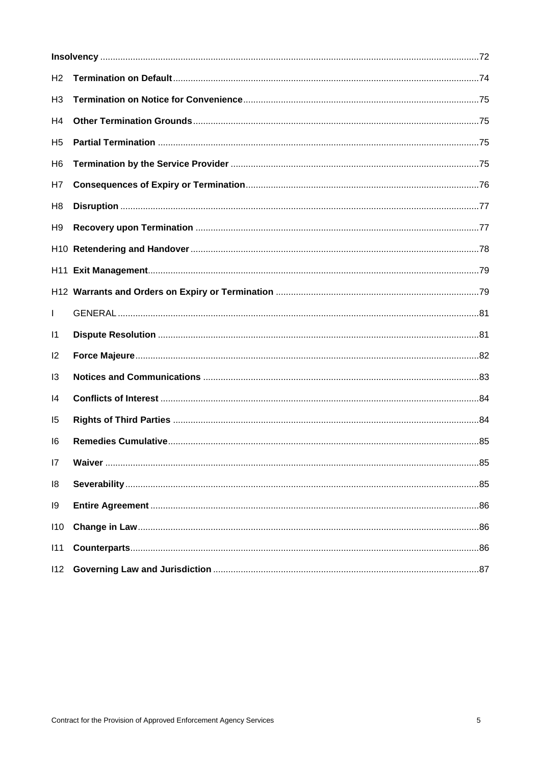| H <sub>2</sub> |  |  |  |
|----------------|--|--|--|
| H <sub>3</sub> |  |  |  |
| H <sub>4</sub> |  |  |  |
| H <sub>5</sub> |  |  |  |
| H <sub>6</sub> |  |  |  |
| H <sub>7</sub> |  |  |  |
| H <sub>8</sub> |  |  |  |
| H <sub>9</sub> |  |  |  |
|                |  |  |  |
|                |  |  |  |
|                |  |  |  |
| L              |  |  |  |
| $\vert$ 1      |  |  |  |
| $\mathsf{I2}$  |  |  |  |
| 13             |  |  |  |
| 14             |  |  |  |
| 15             |  |  |  |
| 16             |  |  |  |
| 7              |  |  |  |
| 18             |  |  |  |
| 19             |  |  |  |
| 110            |  |  |  |
| 111            |  |  |  |
| 112            |  |  |  |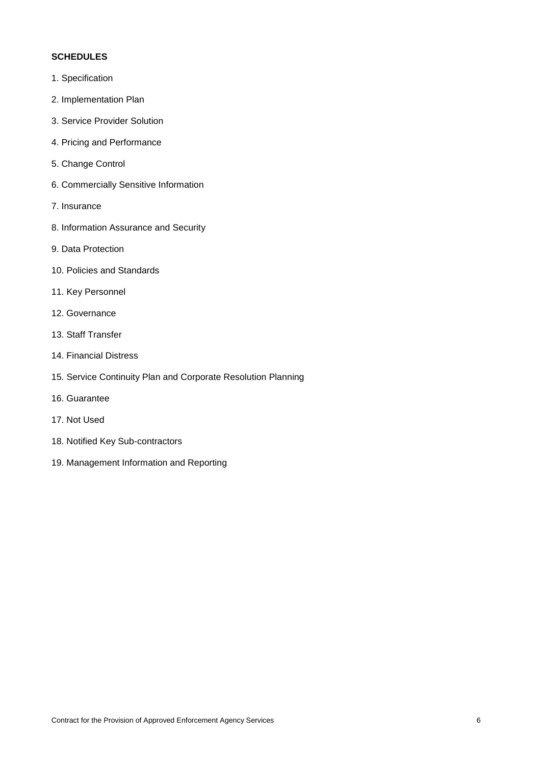#### **SCHEDULES**

- 1. Specification
- 2. Implementation Plan
- 3. Service Provider Solution
- 4. Pricing and Performance
- 5. Change Control
- 6. Commercially Sensitive Information
- 7. Insurance
- 8. Information Assurance and Security
- 9. Data Protection
- 10. Policies and Standards
- 11. Key Personnel
- 12. Governance
- 13. Staff Transfer
- 14. Financial Distress
- 15. Service Continuity Plan and Corporate Resolution Planning
- 16. Guarantee
- 17. Not Used
- 18. Notified Key Sub-contractors
- 19. Management Information and Reporting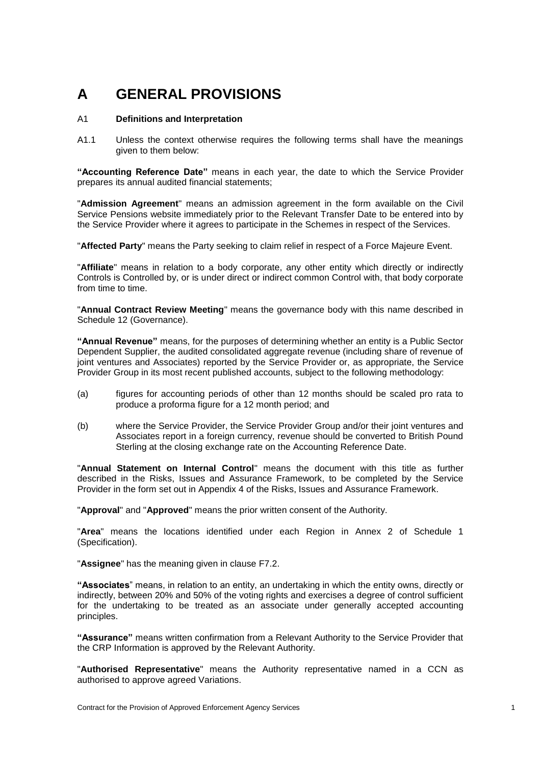# **A GENERAL PROVISIONS**

#### <span id="page-6-0"></span>A1 **Definitions and Interpretation**

A1.1 Unless the context otherwise requires the following terms shall have the meanings given to them below:

**"Accounting Reference Date"** means in each year, the date to which the Service Provider prepares its annual audited financial statements;

"**Admission Agreement**" means an admission agreement in the form available on the Civil Service Pensions website immediately prior to the Relevant Transfer Date to be entered into by the Service Provider where it agrees to participate in the Schemes in respect of the Services.

"**Affected Party**" means the Party seeking to claim relief in respect of a Force Majeure Event.

"**Affiliate**" means in relation to a body corporate, any other entity which directly or indirectly Controls is Controlled by, or is under direct or indirect common Control with, that body corporate from time to time.

"**Annual Contract Review Meeting**" means the governance body with this name described in Schedule 12 (Governance).

**"Annual Revenue"** means, for the purposes of determining whether an entity is a Public Sector Dependent Supplier, the audited consolidated aggregate revenue (including share of revenue of joint ventures and Associates) reported by the Service Provider or, as appropriate, the Service Provider Group in its most recent published accounts, subject to the following methodology:

- (a) figures for accounting periods of other than 12 months should be scaled pro rata to produce a proforma figure for a 12 month period; and
- (b) where the Service Provider, the Service Provider Group and/or their joint ventures and Associates report in a foreign currency, revenue should be converted to British Pound Sterling at the closing exchange rate on the Accounting Reference Date.

"**Annual Statement on Internal Control**" means the document with this title as further described in the Risks, Issues and Assurance Framework, to be completed by the Service Provider in the form set out in Appendix 4 of the Risks, Issues and Assurance Framework.

"**Approval**" and "**Approved**" means the prior written consent of the Authority.

"**Area**" means the locations identified under each Region in Annex 2 of Schedule 1 (Specification).

"**Assignee**" has the meaning given in clause [F7.2.](#page-62-0)

**"Associates**" means, in relation to an entity, an undertaking in which the entity owns, directly or indirectly, between 20% and 50% of the voting rights and exercises a degree of control sufficient for the undertaking to be treated as an associate under generally accepted accounting principles.

**"Assurance"** means written confirmation from a Relevant Authority to the Service Provider that the CRP Information is approved by the Relevant Authority.

"**Authorised Representative**" means the Authority representative named in a CCN as authorised to approve agreed Variations.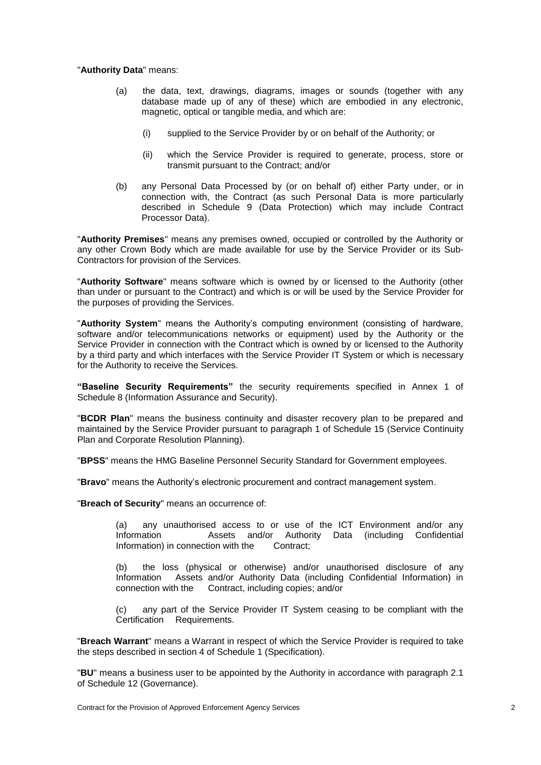#### "**Authority Data**" means:

- (a) the data, text, drawings, diagrams, images or sounds (together with any database made up of any of these) which are embodied in any electronic, magnetic, optical or tangible media, and which are:
	- (i) supplied to the Service Provider by or on behalf of the Authority; or
	- (ii) which the Service Provider is required to generate, process, store or transmit pursuant to the Contract; and/or
- (b) any Personal Data Processed by (or on behalf of) either Party under, or in connection with, the Contract (as such Personal Data is more particularly described in Schedule 9 (Data Protection) which may include Contract Processor Data).

"**Authority Premises**" means any premises owned, occupied or controlled by the Authority or any other Crown Body which are made available for use by the Service Provider or its Sub-Contractors for provision of the Services.

"**Authority Software**" means software which is owned by or licensed to the Authority (other than under or pursuant to the Contract) and which is or will be used by the Service Provider for the purposes of providing the Services.

"**Authority System**" means the Authority's computing environment (consisting of hardware, software and/or telecommunications networks or equipment) used by the Authority or the Service Provider in connection with the Contract which is owned by or licensed to the Authority by a third party and which interfaces with the Service Provider IT System or which is necessary for the Authority to receive the Services.

**"Baseline Security Requirements"** the security requirements specified in Annex 1 of Schedule 8 (Information Assurance and Security).

"**BCDR Plan**" means the business continuity and disaster recovery plan to be prepared and maintained by the Service Provider pursuant to paragraph 1 of Schedule 15 (Service Continuity Plan and Corporate Resolution Planning).

"**BPSS**" means the HMG Baseline Personnel Security Standard for Government employees.

"**Bravo**" means the Authority's electronic procurement and contract management system.

"**Breach of Security**" means an occurrence of:

(a) any unauthorised access to or use of the ICT Environment and/or any Information Assets and/or Authority Data (including Confidential Information) in connection with the Contract;

(b) the loss (physical or otherwise) and/or unauthorised disclosure of any Information Assets and/or Authority Data (including Confidential Information) in Assets and/or Authority Data (including Confidential Information) in connection with the Contract, including copies; and/or

(c) any part of the Service Provider IT System ceasing to be compliant with the Certification Requirements.

"**Breach Warrant**" means a Warrant in respect of which the Service Provider is required to take the steps described in section 4 of Schedule 1 (Specification).

"**BU**" means a business user to be appointed by the Authority in accordance with paragraph 2.1 of Schedule 12 (Governance).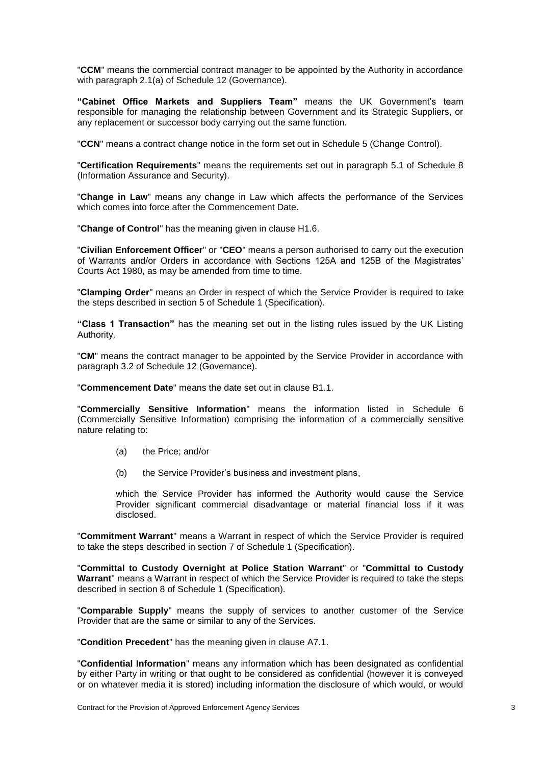"**CCM**" means the commercial contract manager to be appointed by the Authority in accordance with paragraph 2.1(a) of Schedule 12 (Governance).

**"Cabinet Office Markets and Suppliers Team"** means the UK Government's team responsible for managing the relationship between Government and its Strategic Suppliers, or any replacement or successor body carrying out the same function.

"**CCN**" means a contract change notice in the form set out in Schedule 5 (Change Control).

"**Certification Requirements**" means the requirements set out in paragraph 5.1 of Schedule 8 (Information Assurance and Security).

"**Change in Law**" means any change in Law which affects the performance of the Services which comes into force after the Commencement Date.

"**Change of Control**" has the meaning given in clause [H1.6.](#page-79-0)

"**Civilian Enforcement Officer**" or "**CEO**" means a person authorised to carry out the execution of Warrants and/or Orders in accordance with Sections 125A and 125B of the Magistrates' Courts Act 1980, as may be amended from time to time.

"**Clamping Order**" means an Order in respect of which the Service Provider is required to take the steps described in section 5 of Schedule 1 (Specification).

**"Class 1 Transaction"** has the meaning set out in the listing rules issued by the UK Listing Authority.

"**CM**" means the contract manager to be appointed by the Service Provider in accordance with paragraph 3.2 of Schedule 12 (Governance).

"**Commencement Date**" means the date set out in clause [B1.1.](#page-32-0)

"**Commercially Sensitive Information**" means the information listed in Schedule 6 (Commercially Sensitive Information) comprising the information of a commercially sensitive nature relating to:

- (a) the Price; and/or
- (b) the Service Provider's business and investment plans,

which the Service Provider has informed the Authority would cause the Service Provider significant commercial disadvantage or material financial loss if it was disclosed.

"**Commitment Warrant**" means a Warrant in respect of which the Service Provider is required to take the steps described in section 7 of Schedule 1 (Specification).

"**Committal to Custody Overnight at Police Station Warrant**" or "**Committal to Custody Warrant**" means a Warrant in respect of which the Service Provider is required to take the steps described in section 8 of Schedule 1 (Specification).

"**Comparable Supply**" means the supply of services to another customer of the Service Provider that are the same or similar to any of the Services.

"**Condition Precedent**" has the meaning given in clause [A7.1.](#page-30-0)

"**Confidential Information**" means any information which has been designated as confidential by either Party in writing or that ought to be considered as confidential (however it is conveyed or on whatever media it is stored) including information the disclosure of which would, or would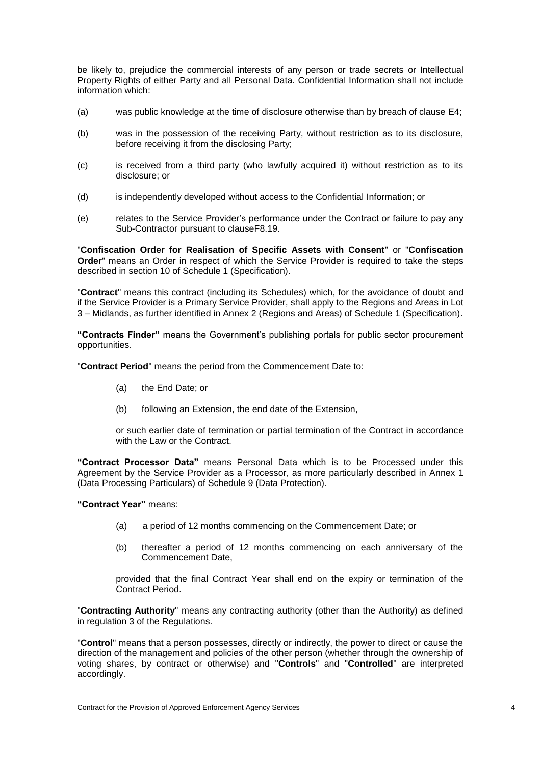be likely to, prejudice the commercial interests of any person or trade secrets or Intellectual Property Rights of either Party and all Personal Data. Confidential Information shall not include information which:

- (a) was public knowledge at the time of disclosure otherwise than by breach of clause [E4;](#page-48-0)
- (b) was in the possession of the receiving Party, without restriction as to its disclosure, before receiving it from the disclosing Party;
- (c) is received from a third party (who lawfully acquired it) without restriction as to its disclosure; or
- (d) is independently developed without access to the Confidential Information; or
- (e) relates to the Service Provider's performance under the Contract or failure to pay any Sub-Contractor pursuant to claus[eF8.19.](#page-67-0)

"**Confiscation Order for Realisation of Specific Assets with Consent**" or "**Confiscation Order**" means an Order in respect of which the Service Provider is required to take the steps described in section 10 of Schedule 1 (Specification).

"**Contract**" means this contract (including its Schedules) which, for the avoidance of doubt and if the Service Provider is a Primary Service Provider, shall apply to the Regions and Areas in Lot 3 – Midlands, as further identified in Annex 2 (Regions and Areas) of Schedule 1 (Specification).

**"Contracts Finder"** means the Government's publishing portals for public sector procurement opportunities.

"**Contract Period**" means the period from the Commencement Date to:

- (a) the End Date; or
- (b) following an Extension, the end date of the Extension,

or such earlier date of termination or partial termination of the Contract in accordance with the Law or the Contract.

**"Contract Processor Data"** means Personal Data which is to be Processed under this Agreement by the Service Provider as a Processor, as more particularly described in Annex 1 (Data Processing Particulars) of Schedule 9 (Data Protection).

**"Contract Year"** means:

- (a) a period of 12 months commencing on the Commencement Date; or
- (b) thereafter a period of 12 months commencing on each anniversary of the Commencement Date,

provided that the final Contract Year shall end on the expiry or termination of the Contract Period.

"**Contracting Authority**" means any contracting authority (other than the Authority) as defined in regulation 3 of the Regulations.

"**Control**" means that a person possesses, directly or indirectly, the power to direct or cause the direction of the management and policies of the other person (whether through the ownership of voting shares, by contract or otherwise) and "**Controls**" and "**Controlled**" are interpreted accordingly.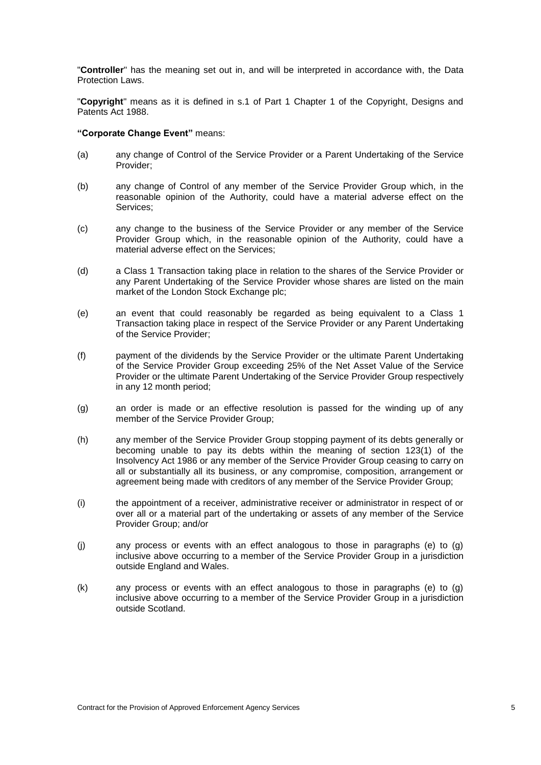"**Controller**" has the meaning set out in, and will be interpreted in accordance with, the Data Protection Laws.

"**Copyright**" means as it is defined in s.1 of Part 1 Chapter 1 of the Copyright, Designs and Patents Act 1988.

#### **"Corporate Change Event"** means:

- (a) any change of Control of the Service Provider or a Parent Undertaking of the Service Provider;
- (b) any change of Control of any member of the Service Provider Group which, in the reasonable opinion of the Authority, could have a material adverse effect on the Services;
- (c) any change to the business of the Service Provider or any member of the Service Provider Group which, in the reasonable opinion of the Authority, could have a material adverse effect on the Services;
- (d) a Class 1 Transaction taking place in relation to the shares of the Service Provider or any Parent Undertaking of the Service Provider whose shares are listed on the main market of the London Stock Exchange plc;
- (e) an event that could reasonably be regarded as being equivalent to a Class 1 Transaction taking place in respect of the Service Provider or any Parent Undertaking of the Service Provider;
- (f) payment of the dividends by the Service Provider or the ultimate Parent Undertaking of the Service Provider Group exceeding 25% of the Net Asset Value of the Service Provider or the ultimate Parent Undertaking of the Service Provider Group respectively in any 12 month period;
- (g) an order is made or an effective resolution is passed for the winding up of any member of the Service Provider Group;
- (h) any member of the Service Provider Group stopping payment of its debts generally or becoming unable to pay its debts within the meaning of section 123(1) of the Insolvency Act 1986 or any member of the Service Provider Group ceasing to carry on all or substantially all its business, or any compromise, composition, arrangement or agreement being made with creditors of any member of the Service Provider Group;
- (i) the appointment of a receiver, administrative receiver or administrator in respect of or over all or a material part of the undertaking or assets of any member of the Service Provider Group; and/or
- (j) any process or events with an effect analogous to those in paragraphs (e) to (g) inclusive above occurring to a member of the Service Provider Group in a jurisdiction outside England and Wales.
- (k) any process or events with an effect analogous to those in paragraphs (e) to (g) inclusive above occurring to a member of the Service Provider Group in a jurisdiction outside Scotland.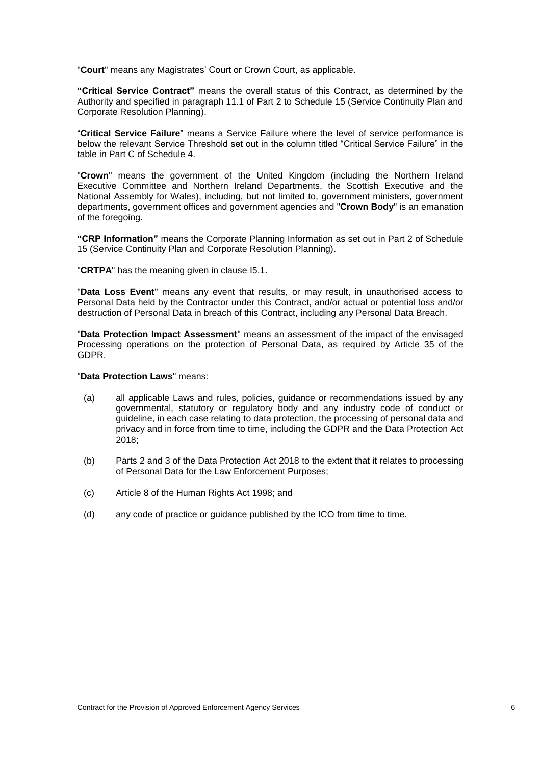"**Court**" means any Magistrates' Court or Crown Court, as applicable.

**"Critical Service Contract"** means the overall status of this Contract, as determined by the Authority and specified in paragraph 11.1 of Part 2 to Schedule 15 (Service Continuity Plan and Corporate Resolution Planning).

"**Critical Service Failure**" means a Service Failure where the level of service performance is below the relevant Service Threshold set out in the column titled "Critical Service Failure" in the table in Part C of Schedule 4.

"**Crown**" means the government of the United Kingdom (including the Northern Ireland Executive Committee and Northern Ireland Departments, the Scottish Executive and the National Assembly for Wales), including, but not limited to, government ministers, government departments, government offices and government agencies and "**Crown Body**" is an emanation of the foregoing.

**"CRP Information"** means the Corporate Planning Information as set out in Part 2 of Schedule 15 (Service Continuity Plan and Corporate Resolution Planning).

"**CRTPA**" has the meaning given in clause [I5.1.](#page-89-0)

"**Data Loss Event**" means any event that results, or may result, in unauthorised access to Personal Data held by the Contractor under this Contract, and/or actual or potential loss and/or destruction of Personal Data in breach of this Contract, including any Personal Data Breach.

"**Data Protection Impact Assessment**" means an assessment of the impact of the envisaged Processing operations on the protection of Personal Data, as required by Article 35 of the GDPR.

#### "**Data Protection Laws**" means:

- (a) all applicable Laws and rules, policies, guidance or recommendations issued by any governmental, statutory or regulatory body and any industry code of conduct or guideline, in each case relating to data protection, the processing of personal data and privacy and in force from time to time, including the GDPR and the Data Protection Act 2018;
- (b) Parts 2 and 3 of the Data Protection Act 2018 to the extent that it relates to processing of Personal Data for the Law Enforcement Purposes;
- (c) Article 8 of the Human Rights Act 1998; and
- (d) any code of practice or guidance published by the ICO from time to time.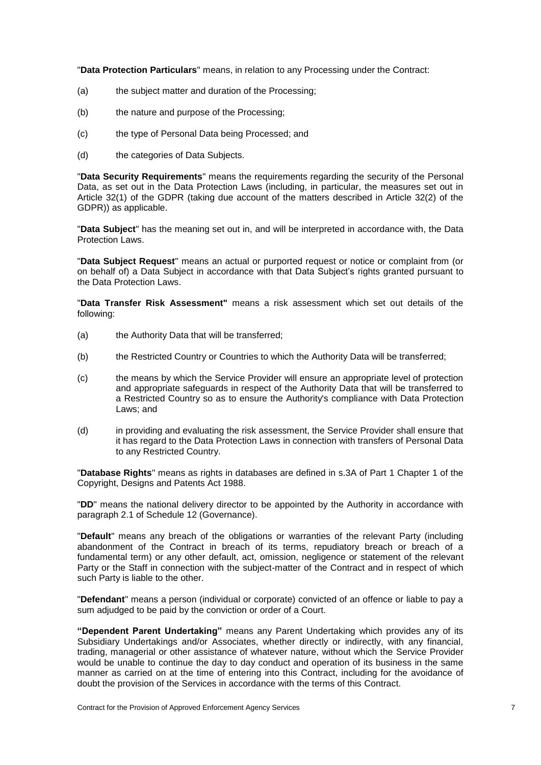"**Data Protection Particulars**" means, in relation to any Processing under the Contract:

- (a) the subject matter and duration of the Processing;
- (b) the nature and purpose of the Processing;
- (c) the type of Personal Data being Processed; and
- (d) the categories of Data Subjects.

"**Data Security Requirements**" means the requirements regarding the security of the Personal Data, as set out in the Data Protection Laws (including, in particular, the measures set out in Article 32(1) of the GDPR (taking due account of the matters described in Article 32(2) of the GDPR)) as applicable.

"**Data Subject**" has the meaning set out in, and will be interpreted in accordance with, the Data Protection Laws.

"**Data Subject Request**" means an actual or purported request or notice or complaint from (or on behalf of) a Data Subject in accordance with that Data Subject's rights granted pursuant to the Data Protection Laws.

"**Data Transfer Risk Assessment"** means a risk assessment which set out details of the following:

- (a) the Authority Data that will be transferred;
- (b) the Restricted Country or Countries to which the Authority Data will be transferred;
- (c) the means by which the Service Provider will ensure an appropriate level of protection and appropriate safeguards in respect of the Authority Data that will be transferred to a Restricted Country so as to ensure the Authority's compliance with Data Protection Laws; and
- (d) in providing and evaluating the risk assessment, the Service Provider shall ensure that it has regard to the Data Protection Laws in connection with transfers of Personal Data to any Restricted Country.

"**Database Rights**" means as rights in databases are defined in s.3A of Part 1 Chapter 1 of the Copyright, Designs and Patents Act 1988.

"**DD**" means the national delivery director to be appointed by the Authority in accordance with paragraph 2.1 of Schedule 12 (Governance).

"**Default**" means any breach of the obligations or warranties of the relevant Party (including abandonment of the Contract in breach of its terms, repudiatory breach or breach of a fundamental term) or any other default, act, omission, negligence or statement of the relevant Party or the Staff in connection with the subject-matter of the Contract and in respect of which such Party is liable to the other.

"**Defendant**" means a person (individual or corporate) convicted of an offence or liable to pay a sum adjudged to be paid by the conviction or order of a Court.

**"Dependent Parent Undertaking"** means any Parent Undertaking which provides any of its Subsidiary Undertakings and/or Associates, whether directly or indirectly, with any financial, trading, managerial or other assistance of whatever nature, without which the Service Provider would be unable to continue the day to day conduct and operation of its business in the same manner as carried on at the time of entering into this Contract, including for the avoidance of doubt the provision of the Services in accordance with the terms of this Contract.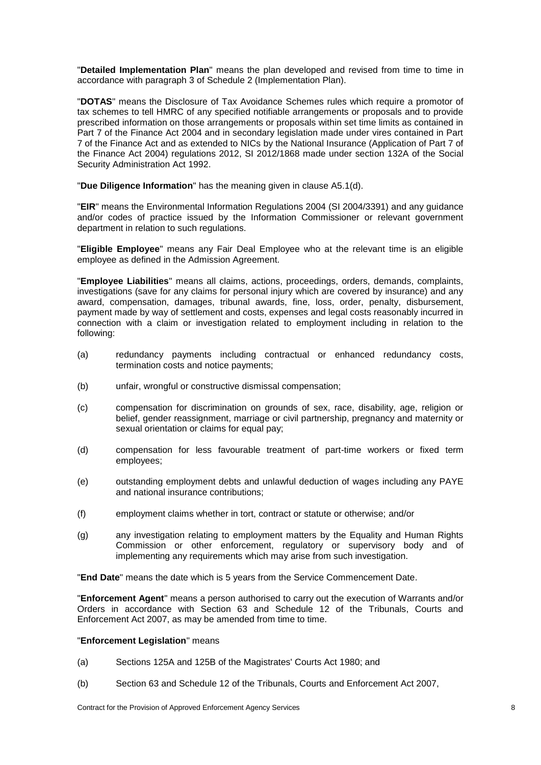"**Detailed Implementation Plan**" means the plan developed and revised from time to time in accordance with paragraph 3 of Schedule 2 (Implementation Plan).

"**DOTAS**" means the Disclosure of Tax Avoidance Schemes rules which require a promotor of tax schemes to tell HMRC of any specified notifiable arrangements or proposals and to provide prescribed information on those arrangements or proposals within set time limits as contained in Part 7 of the Finance Act 2004 and in secondary legislation made under vires contained in Part 7 of the Finance Act and as extended to NICs by the National Insurance (Application of Part 7 of the Finance Act 2004) regulations 2012, SI 2012/1868 made under section 132A of the Social Security Administration Act 1992.

"**Due Diligence Information**" has the meaning given in clause [A5.1\(](#page-30-1)d).

"**EIR**" means the Environmental Information Regulations 2004 (SI 2004/3391) and any guidance and/or codes of practice issued by the Information Commissioner or relevant government department in relation to such regulations.

"**Eligible Employee**" means any Fair Deal Employee who at the relevant time is an eligible employee as defined in the Admission Agreement.

"**Employee Liabilities**" means all claims, actions, proceedings, orders, demands, complaints, investigations (save for any claims for personal injury which are covered by insurance) and any award, compensation, damages, tribunal awards, fine, loss, order, penalty, disbursement, payment made by way of settlement and costs, expenses and legal costs reasonably incurred in connection with a claim or investigation related to employment including in relation to the following:

- (a) redundancy payments including contractual or enhanced redundancy costs, termination costs and notice payments;
- (b) unfair, wrongful or constructive dismissal compensation;
- (c) compensation for discrimination on grounds of sex, race, disability, age, religion or belief, gender reassignment, marriage or civil partnership, pregnancy and maternity or sexual orientation or claims for equal pay;
- (d) compensation for less favourable treatment of part-time workers or fixed term employees;
- (e) outstanding employment debts and unlawful deduction of wages including any PAYE and national insurance contributions;
- (f) employment claims whether in tort, contract or statute or otherwise; and/or
- (g) any investigation relating to employment matters by the Equality and Human Rights Commission or other enforcement, regulatory or supervisory body and of implementing any requirements which may arise from such investigation.

"**End Date**" means the date which is 5 years from the Service Commencement Date.

"**Enforcement Agent**" means a person authorised to carry out the execution of Warrants and/or Orders in accordance with Section 63 and Schedule 12 of the Tribunals, Courts and Enforcement Act 2007, as may be amended from time to time.

#### "**Enforcement Legislation**" means

- (a) Sections 125A and 125B of the Magistrates' Courts Act 1980; and
- (b) Section 63 and Schedule 12 of the Tribunals, Courts and Enforcement Act 2007,

Contract for the Provision of Approved Enforcement Agency Services 8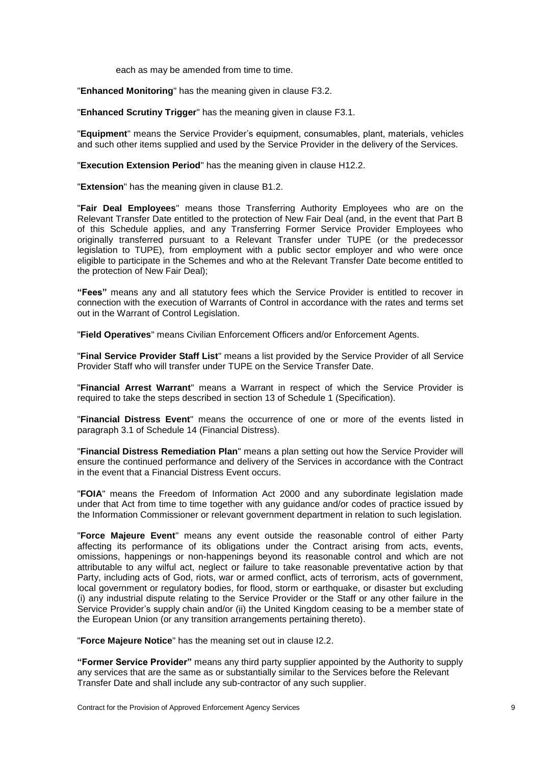each as may be amended from time to time.

"**Enhanced Monitoring**" has the meaning given in clause [F3.2.](#page-58-0)

"**Enhanced Scrutiny Trigger**" has the meaning given in clause [F3.1.](#page-57-0)

"**Equipment**" means the Service Provider's equipment, consumables, plant, materials, vehicles and such other items supplied and used by the Service Provider in the delivery of the Services.

"**Execution Extension Period**" has the meaning given in clause [H12.2.](#page-85-0)

"**Extension**" has the meaning given in clause [B1.2.](#page-32-1)

"**Fair Deal Employees**" means those Transferring Authority Employees who are on the Relevant Transfer Date entitled to the protection of New Fair Deal (and, in the event that Part B of this Schedule applies, and any Transferring Former Service Provider Employees who originally transferred pursuant to a Relevant Transfer under TUPE (or the predecessor legislation to TUPE), from employment with a public sector employer and who were once eligible to participate in the Schemes and who at the Relevant Transfer Date become entitled to the protection of New Fair Deal);

**"Fees"** means any and all statutory fees which the Service Provider is entitled to recover in connection with the execution of Warrants of Control in accordance with the rates and terms set out in the Warrant of Control Legislation.

"**Field Operatives**" means Civilian Enforcement Officers and/or Enforcement Agents.

"**Final Service Provider Staff List**" means a list provided by the Service Provider of all Service Provider Staff who will transfer under TUPE on the Service Transfer Date.

"**Financial Arrest Warrant**" means a Warrant in respect of which the Service Provider is required to take the steps described in section 13 of Schedule 1 (Specification).

"**Financial Distress Event**" means the occurrence of one or more of the events listed in paragraph 3.1 of Schedule 14 (Financial Distress).

"**Financial Distress Remediation Plan**" means a plan setting out how the Service Provider will ensure the continued performance and delivery of the Services in accordance with the Contract in the event that a Financial Distress Event occurs.

"**FOIA**" means the Freedom of Information Act 2000 and any subordinate legislation made under that Act from time to time together with any guidance and/or codes of practice issued by the Information Commissioner or relevant government department in relation to such legislation.

"**Force Majeure Event**" means any event outside the reasonable control of either Party affecting its performance of its obligations under the Contract arising from acts, events, omissions, happenings or non-happenings beyond its reasonable control and which are not attributable to any wilful act, neglect or failure to take reasonable preventative action by that Party, including acts of God, riots, war or armed conflict, acts of terrorism, acts of government, local government or regulatory bodies, for flood, storm or earthquake, or disaster but excluding (i) any industrial dispute relating to the Service Provider or the Staff or any other failure in the Service Provider's supply chain and/or (ii) the United Kingdom ceasing to be a member state of the European Union (or any transition arrangements pertaining thereto).

"**Force Majeure Notice**" has the meaning set out in clause [I2.2.](#page-88-0)

**"Former Service Provider"** means any third party supplier appointed by the Authority to supply any services that are the same as or substantially similar to the Services before the Relevant Transfer Date and shall include any sub-contractor of any such supplier.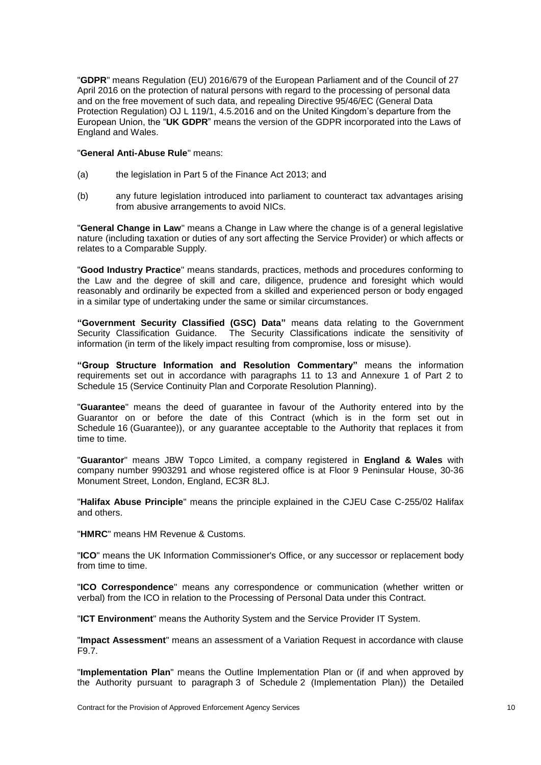"**GDPR**" means Regulation (EU) 2016/679 of the European Parliament and of the Council of 27 April 2016 on the protection of natural persons with regard to the processing of personal data and on the free movement of such data, and repealing Directive 95/46/EC (General Data Protection Regulation) OJ L 119/1, 4.5.2016 and on the United Kingdom's departure from the European Union, the "**UK GDPR**" means the version of the GDPR incorporated into the Laws of England and Wales.

#### "**General Anti-Abuse Rule**" means:

- (a) the legislation in Part 5 of the Finance Act 2013; and
- (b) any future legislation introduced into parliament to counteract tax advantages arising from abusive arrangements to avoid NICs.

"**General Change in Law**" means a Change in Law where the change is of a general legislative nature (including taxation or duties of any sort affecting the Service Provider) or which affects or relates to a Comparable Supply.

"**Good Industry Practice**" means standards, practices, methods and procedures conforming to the Law and the degree of skill and care, diligence, prudence and foresight which would reasonably and ordinarily be expected from a skilled and experienced person or body engaged in a similar type of undertaking under the same or similar circumstances.

**"Government Security Classified (GSC) Data"** means data relating to the Government Security Classification Guidance. The Security Classifications indicate the sensitivity of information (in term of the likely impact resulting from compromise, loss or misuse).

**"Group Structure Information and Resolution Commentary"** means the information requirements set out in accordance with paragraphs 11 to 13 and Annexure 1 of Part 2 to Schedule 15 (Service Continuity Plan and Corporate Resolution Planning).

"**Guarantee**" means the deed of guarantee in favour of the Authority entered into by the Guarantor on or before the date of this Contract (which is in the form set out in Schedule 16 (Guarantee)), or any guarantee acceptable to the Authority that replaces it from time to time.

"**Guarantor**" means JBW Topco Limited, a company registered in **England & Wales** with company number 9903291 and whose registered office is at Floor 9 Peninsular House, 30-36 Monument Street, London, England, EC3R 8LJ.

"**Halifax Abuse Principle**" means the principle explained in the CJEU Case C-255/02 Halifax and others.

"**HMRC**" means HM Revenue & Customs.

"**ICO**" means the UK Information Commissioner's Office, or any successor or replacement body from time to time.

"**ICO Correspondence**" means any correspondence or communication (whether written or verbal) from the ICO in relation to the Processing of Personal Data under this Contract.

"**ICT Environment**" means the Authority System and the Service Provider IT System.

"**Impact Assessment**" means an assessment of a Variation Request in accordance with clause [F9.7.](#page-69-0)

"**Implementation Plan**" means the Outline Implementation Plan or (if and when approved by the Authority pursuant to paragraph 3 of Schedule 2 (Implementation Plan)) the Detailed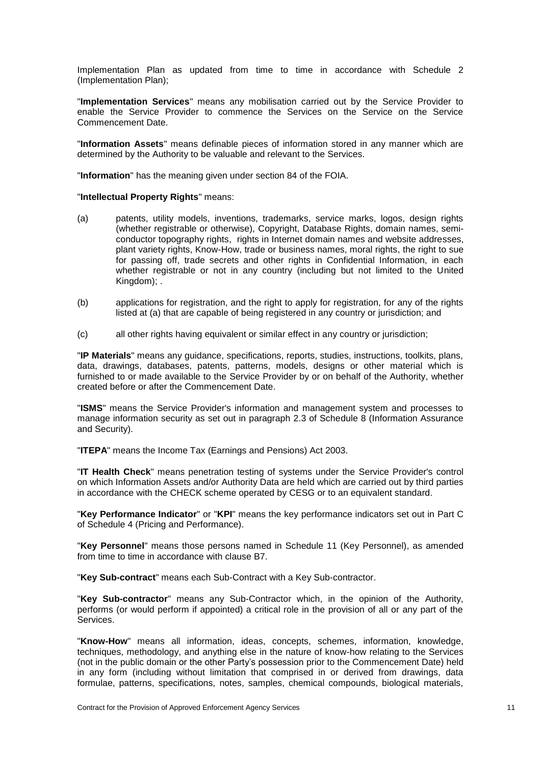Implementation Plan as updated from time to time in accordance with Schedule 2 (Implementation Plan);

"**Implementation Services**" means any mobilisation carried out by the Service Provider to enable the Service Provider to commence the Services on the Service on the Service Commencement Date.

"**Information Assets**" means definable pieces of information stored in any manner which are determined by the Authority to be valuable and relevant to the Services.

"**Information**" has the meaning given under section 84 of the FOIA.

#### "**Intellectual Property Rights**" means:

- (a) patents, utility models, inventions, trademarks, service marks, logos, design rights (whether registrable or otherwise), Copyright, Database Rights, domain names, semiconductor topography rights, rights in Internet domain names and website addresses, plant variety rights, Know-How, trade or business names, moral rights, the right to sue for passing off, trade secrets and other rights in Confidential Information, in each whether registrable or not in any country (including but not limited to the United Kingdom);
- (b) applications for registration, and the right to apply for registration, for any of the rights listed at (a) that are capable of being registered in any country or jurisdiction; and
- (c) all other rights having equivalent or similar effect in any country or jurisdiction;

"**IP Materials**" means any guidance, specifications, reports, studies, instructions, toolkits, plans, data, drawings, databases, patents, patterns, models, designs or other material which is furnished to or made available to the Service Provider by or on behalf of the Authority, whether created before or after the Commencement Date.

"**ISMS**" means the Service Provider's information and management system and processes to manage information security as set out in paragraph 2.3 of Schedule 8 (Information Assurance and Security).

"**ITEPA**" means the Income Tax (Earnings and Pensions) Act 2003.

"**IT Health Check**" means penetration testing of systems under the Service Provider's control on which Information Assets and/or Authority Data are held which are carried out by third parties in accordance with the CHECK scheme operated by CESG or to an equivalent standard.

"**Key Performance Indicator**" or "**KPI**" means the key performance indicators set out in Part C of Schedule 4 (Pricing and Performance).

"**Key Personnel**" means those persons named in Schedule 11 (Key Personnel), as amended from time to time in accordance with clause [B7.](#page-36-0)

"**Key Sub-contract**" means each Sub-Contract with a Key Sub-contractor.

"**Key Sub-contractor**" means any Sub-Contractor which, in the opinion of the Authority, performs (or would perform if appointed) a critical role in the provision of all or any part of the Services.

"**Know-How**" means all information, ideas, concepts, schemes, information, knowledge, techniques, methodology, and anything else in the nature of know-how relating to the Services (not in the public domain or the other Party's possession prior to the Commencement Date) held in any form (including without limitation that comprised in or derived from drawings, data formulae, patterns, specifications, notes, samples, chemical compounds, biological materials,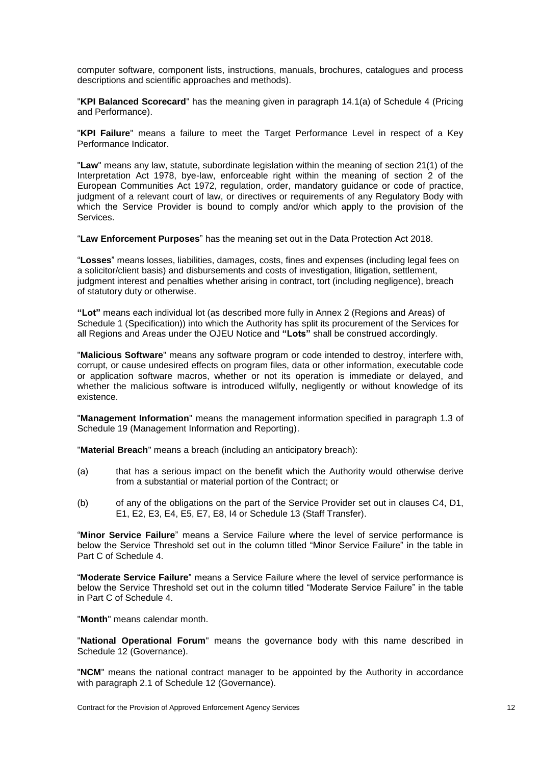computer software, component lists, instructions, manuals, brochures, catalogues and process descriptions and scientific approaches and methods).

"**KPI Balanced Scorecard**" has the meaning given in paragraph 14.1(a) of Schedule 4 (Pricing and Performance).

"**KPI Failure**" means a failure to meet the Target Performance Level in respect of a Key Performance Indicator.

"**Law**" means any law, statute, subordinate legislation within the meaning of section 21(1) of the Interpretation Act 1978, bye-law, enforceable right within the meaning of section 2 of the European Communities Act 1972, regulation, order, mandatory guidance or code of practice, judgment of a relevant court of law, or directives or requirements of any Regulatory Body with which the Service Provider is bound to comply and/or which apply to the provision of the Services.

"**Law Enforcement Purposes**" has the meaning set out in the Data Protection Act 2018.

"**Losses**" means losses, liabilities, damages, costs, fines and expenses (including legal fees on a solicitor/client basis) and disbursements and costs of investigation, litigation, settlement, judgment interest and penalties whether arising in contract, tort (including negligence), breach of statutory duty or otherwise.

**"Lot"** means each individual lot (as described more fully in Annex 2 (Regions and Areas) of Schedule 1 (Specification)) into which the Authority has split its procurement of the Services for all Regions and Areas under the OJEU Notice and **"Lots"** shall be construed accordingly.

"**Malicious Software**" means any software program or code intended to destroy, interfere with, corrupt, or cause undesired effects on program files, data or other information, executable code or application software macros, whether or not its operation is immediate or delayed, and whether the malicious software is introduced wilfully, negligently or without knowledge of its existence.

"**Management Information**" means the management information specified in paragraph 1.3 of Schedule 19 (Management Information and Reporting).

"**Material Breach**" means a breach (including an anticipatory breach):

- (a) that has a serious impact on the benefit which the Authority would otherwise derive from a substantial or material portion of the Contract; or
- (b) of any of the obligations on the part of the Service Provider set out in clauses [C4,](#page-42-0) [D1,](#page-43-0) [E1,](#page-47-0) [E2,](#page-48-1) [E3,](#page-48-2) [E4,](#page-48-0) [E5,](#page-50-0) [E7,](#page-51-0) [E8,](#page-51-1) [I4](#page-89-1) or Schedule 13 (Staff Transfer).

"**Minor Service Failure**" means a Service Failure where the level of service performance is below the Service Threshold set out in the column titled "Minor Service Failure" in the table in Part C of Schedule 4.

"**Moderate Service Failure**" means a Service Failure where the level of service performance is below the Service Threshold set out in the column titled "Moderate Service Failure" in the table in Part C of Schedule 4.

"**Month**" means calendar month.

"**National Operational Forum**" means the governance body with this name described in Schedule 12 (Governance).

"**NCM**" means the national contract manager to be appointed by the Authority in accordance with paragraph 2.1 of Schedule 12 (Governance).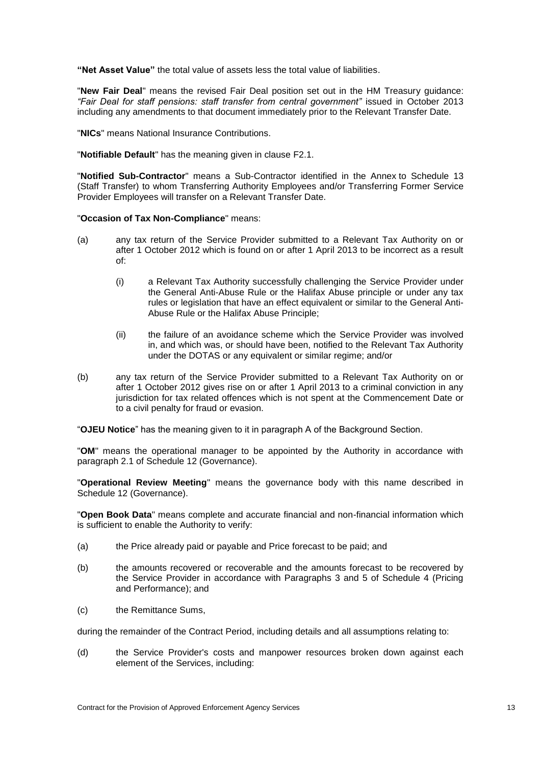**"Net Asset Value"** the total value of assets less the total value of liabilities.

"**New Fair Deal**" means the revised Fair Deal position set out in the HM Treasury guidance: *"Fair Deal for staff pensions: staff transfer from central government"* issued in October 2013 including any amendments to that document immediately prior to the Relevant Transfer Date.

"**NICs**" means National Insurance Contributions.

"**Notifiable Default**" has the meaning given in clause [F2.1.](#page-56-0)

"**Notified Sub-Contractor**" means a Sub-Contractor identified in the Annex to Schedule 13 (Staff Transfer) to whom Transferring Authority Employees and/or Transferring Former Service Provider Employees will transfer on a Relevant Transfer Date.

"**Occasion of Tax Non-Compliance**" means:

- (a) any tax return of the Service Provider submitted to a Relevant Tax Authority on or after 1 October 2012 which is found on or after 1 April 2013 to be incorrect as a result of:
	- (i) a Relevant Tax Authority successfully challenging the Service Provider under the General Anti-Abuse Rule or the Halifax Abuse principle or under any tax rules or legislation that have an effect equivalent or similar to the General Anti-Abuse Rule or the Halifax Abuse Principle;
	- (ii) the failure of an avoidance scheme which the Service Provider was involved in, and which was, or should have been, notified to the Relevant Tax Authority under the DOTAS or any equivalent or similar regime; and/or
- (b) any tax return of the Service Provider submitted to a Relevant Tax Authority on or after 1 October 2012 gives rise on or after 1 April 2013 to a criminal conviction in any jurisdiction for tax related offences which is not spent at the Commencement Date or to a civil penalty for fraud or evasion.

"**OJEU Notice**" has the meaning given to it in paragraph A of the Background Section.

"**OM**" means the operational manager to be appointed by the Authority in accordance with paragraph 2.1 of Schedule 12 (Governance).

"**Operational Review Meeting**" means the governance body with this name described in Schedule 12 (Governance).

"**Open Book Data**" means complete and accurate financial and non-financial information which is sufficient to enable the Authority to verify:

- (a) the Price already paid or payable and Price forecast to be paid; and
- (b) the amounts recovered or recoverable and the amounts forecast to be recovered by the Service Provider in accordance with Paragraphs 3 and 5 of Schedule 4 (Pricing and Performance); and
- (c) the Remittance Sums,

during the remainder of the Contract Period, including details and all assumptions relating to:

(d) the Service Provider's costs and manpower resources broken down against each element of the Services, including: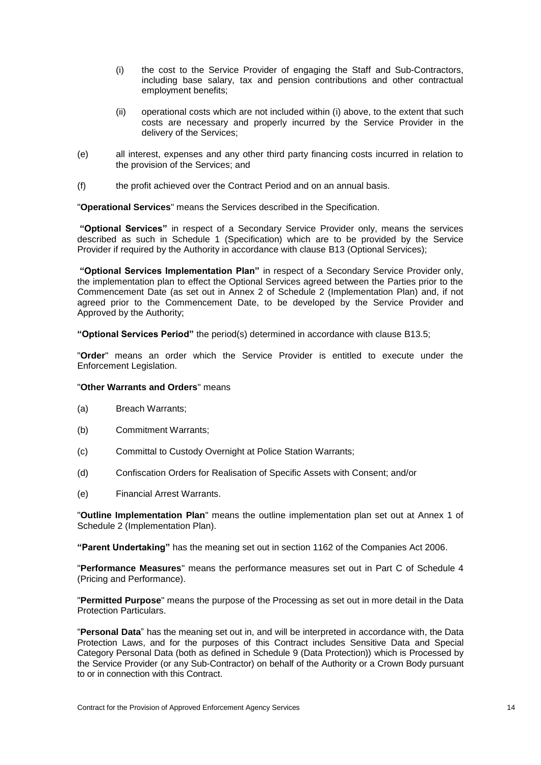- (i) the cost to the Service Provider of engaging the Staff and Sub-Contractors, including base salary, tax and pension contributions and other contractual employment benefits;
- (ii) operational costs which are not included within (i) above, to the extent that such costs are necessary and properly incurred by the Service Provider in the delivery of the Services;
- (e) all interest, expenses and any other third party financing costs incurred in relation to the provision of the Services; and
- (f) the profit achieved over the Contract Period and on an annual basis.

"**Operational Services**" means the Services described in the Specification.

**"Optional Services"** in respect of a Secondary Service Provider only, means the services described as such in Schedule 1 (Specification) which are to be provided by the Service Provider if required by the Authority in accordance with clause [B13](#page-39-0) (Optional Services);

**"Optional Services Implementation Plan"** in respect of a Secondary Service Provider only, the implementation plan to effect the Optional Services agreed between the Parties prior to the Commencement Date (as set out in Annex 2 of Schedule 2 (Implementation Plan) and, if not agreed prior to the Commencement Date, to be developed by the Service Provider and Approved by the Authority;

**"Optional Services Period"** the period(s) determined in accordance with clause [B13.5;](#page-40-0)

"**Order**" means an order which the Service Provider is entitled to execute under the Enforcement Legislation.

#### "**Other Warrants and Orders**" means

- (a) Breach Warrants;
- (b) Commitment Warrants;
- (c) Committal to Custody Overnight at Police Station Warrants;
- (d) Confiscation Orders for Realisation of Specific Assets with Consent; and/or
- (e) Financial Arrest Warrants.

"**Outline Implementation Plan**" means the outline implementation plan set out at Annex 1 of Schedule 2 (Implementation Plan).

**"Parent Undertaking"** has the meaning set out in section 1162 of the Companies Act 2006.

"**Performance Measures**" means the performance measures set out in Part C of Schedule 4 (Pricing and Performance).

"**Permitted Purpose**" means the purpose of the Processing as set out in more detail in the Data Protection Particulars.

"**Personal Data**" has the meaning set out in, and will be interpreted in accordance with, the Data Protection Laws, and for the purposes of this Contract includes Sensitive Data and Special Category Personal Data (both as defined in Schedule 9 (Data Protection)) which is Processed by the Service Provider (or any Sub-Contractor) on behalf of the Authority or a Crown Body pursuant to or in connection with this Contract.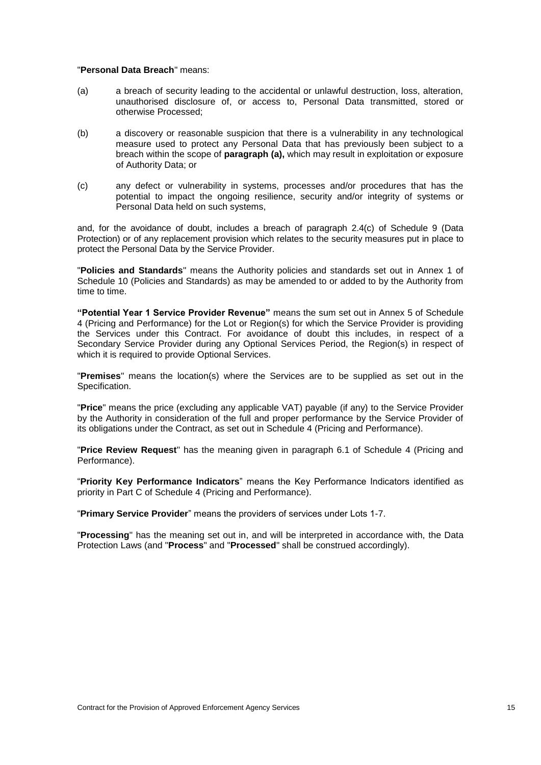#### "**Personal Data Breach**" means:

- <span id="page-20-0"></span>(a) a breach of security leading to the accidental or unlawful destruction, loss, alteration, unauthorised disclosure of, or access to, Personal Data transmitted, stored or otherwise Processed;
- (b) a discovery or reasonable suspicion that there is a vulnerability in any technological measure used to protect any Personal Data that has previously been subject to a breach within the scope of **paragraph [\(a\),](#page-20-0)** which may result in exploitation or exposure of Authority Data; or
- (c) any defect or vulnerability in systems, processes and/or procedures that has the potential to impact the ongoing resilience, security and/or integrity of systems or Personal Data held on such systems,

and, for the avoidance of doubt, includes a breach of paragraph 2.4(c) of Schedule 9 (Data Protection) or of any replacement provision which relates to the security measures put in place to protect the Personal Data by the Service Provider.

"**Policies and Standards**" means the Authority policies and standards set out in Annex 1 of Schedule 10 (Policies and Standards) as may be amended to or added to by the Authority from time to time.

**"Potential Year 1 Service Provider Revenue"** means the sum set out in Annex 5 of Schedule 4 (Pricing and Performance) for the Lot or Region(s) for which the Service Provider is providing the Services under this Contract. For avoidance of doubt this includes, in respect of a Secondary Service Provider during any Optional Services Period, the Region(s) in respect of which it is required to provide Optional Services.

"**Premises**" means the location(s) where the Services are to be supplied as set out in the Specification.

"**Price**" means the price (excluding any applicable VAT) payable (if any) to the Service Provider by the Authority in consideration of the full and proper performance by the Service Provider of its obligations under the Contract, as set out in Schedule 4 (Pricing and Performance).

"**Price Review Request**" has the meaning given in paragraph 6.1 of Schedule 4 (Pricing and Performance).

"**Priority Key Performance Indicators**" means the Key Performance Indicators identified as priority in Part C of Schedule 4 (Pricing and Performance).

"**Primary Service Provider**" means the providers of services under Lots 1-7.

"**Processing**" has the meaning set out in, and will be interpreted in accordance with, the Data Protection Laws (and "**Process**" and "**Processed**" shall be construed accordingly).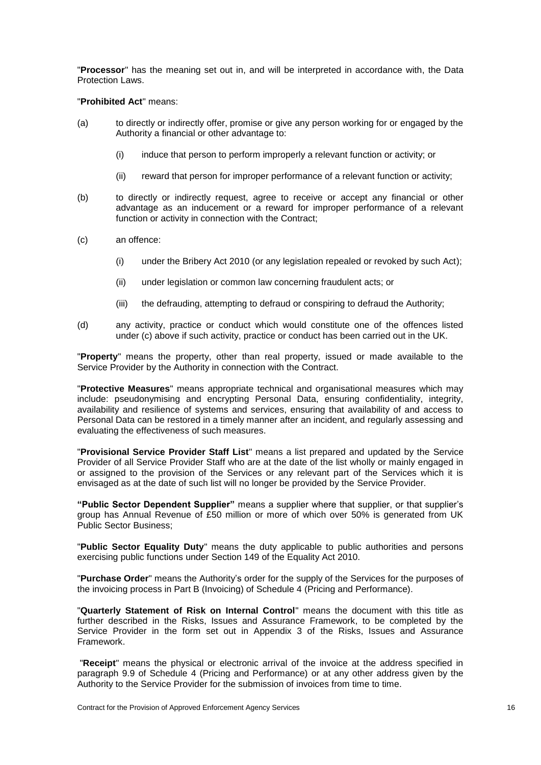"**Processor**" has the meaning set out in, and will be interpreted in accordance with, the Data Protection Laws.

#### "**Prohibited Act**" means:

- (a) to directly or indirectly offer, promise or give any person working for or engaged by the Authority a financial or other advantage to:
	- (i) induce that person to perform improperly a relevant function or activity; or
	- (ii) reward that person for improper performance of a relevant function or activity;
- (b) to directly or indirectly request, agree to receive or accept any financial or other advantage as an inducement or a reward for improper performance of a relevant function or activity in connection with the Contract;
- (c) an offence:
	- (i) under the Bribery Act 2010 (or any legislation repealed or revoked by such Act);
	- (ii) under legislation or common law concerning fraudulent acts; or
	- (iii) the defrauding, attempting to defraud or conspiring to defraud the Authority;
- (d) any activity, practice or conduct which would constitute one of the offences listed under (c) above if such activity, practice or conduct has been carried out in the UK.

"**Property**" means the property, other than real property, issued or made available to the Service Provider by the Authority in connection with the Contract.

"**Protective Measures**" means appropriate technical and organisational measures which may include: pseudonymising and encrypting Personal Data, ensuring confidentiality, integrity, availability and resilience of systems and services, ensuring that availability of and access to Personal Data can be restored in a timely manner after an incident, and regularly assessing and evaluating the effectiveness of such measures.

"**Provisional Service Provider Staff List**" means a list prepared and updated by the Service Provider of all Service Provider Staff who are at the date of the list wholly or mainly engaged in or assigned to the provision of the Services or any relevant part of the Services which it is envisaged as at the date of such list will no longer be provided by the Service Provider.

**"Public Sector Dependent Supplier"** means a supplier where that supplier, or that supplier's group has Annual Revenue of £50 million or more of which over 50% is generated from UK Public Sector Business;

"**Public Sector Equality Duty**" means the duty applicable to public authorities and persons exercising public functions under Section 149 of the Equality Act 2010.

"**Purchase Order**" means the Authority's order for the supply of the Services for the purposes of the invoicing process in Part B (Invoicing) of Schedule 4 (Pricing and Performance).

"**Quarterly Statement of Risk on Internal Control**" means the document with this title as further described in the Risks, Issues and Assurance Framework, to be completed by the Service Provider in the form set out in Appendix 3 of the Risks, Issues and Assurance Framework.

"**Receipt**" means the physical or electronic arrival of the invoice at the address specified in paragraph 9.9 of Schedule 4 (Pricing and Performance) or at any other address given by the Authority to the Service Provider for the submission of invoices from time to time.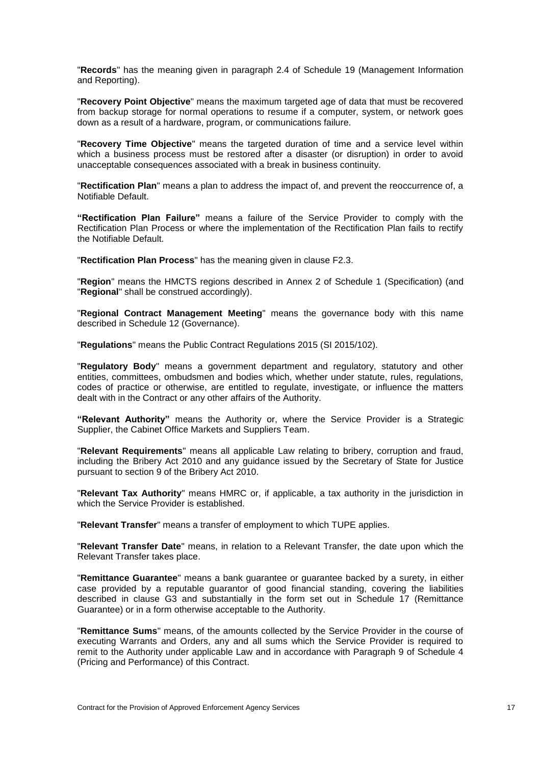"**Records**" has the meaning given in paragraph 2.4 of Schedule 19 (Management Information and Reporting).

"**Recovery Point Objective**" means the maximum targeted age of data that must be recovered from backup storage for normal operations to resume if a computer, system, or network goes down as a result of a hardware, program, or communications failure.

"**Recovery Time Objective**" means the targeted duration of time and a service level within which a business process must be restored after a disaster (or disruption) in order to avoid unacceptable consequences associated with a break in business continuity.

"**Rectification Plan**" means a plan to address the impact of, and prevent the reoccurrence of, a Notifiable Default.

**"Rectification Plan Failure"** means a failure of the Service Provider to comply with the Rectification Plan Process or where the implementation of the Rectification Plan fails to rectify the Notifiable Default.

"**Rectification Plan Process**" has the meaning given in clause [F2.3.](#page-57-1)

"**Region**" means the HMCTS regions described in Annex 2 of Schedule 1 (Specification) (and "**Regional**" shall be construed accordingly).

"**Regional Contract Management Meeting**" means the governance body with this name described in Schedule 12 (Governance).

"**Regulations**" means the Public Contract Regulations 2015 (SI 2015/102).

"**Regulatory Body**" means a government department and regulatory, statutory and other entities, committees, ombudsmen and bodies which, whether under statute, rules, regulations, codes of practice or otherwise, are entitled to regulate, investigate, or influence the matters dealt with in the Contract or any other affairs of the Authority.

**"Relevant Authority"** means the Authority or, where the Service Provider is a Strategic Supplier, the Cabinet Office Markets and Suppliers Team.

"**Relevant Requirements**" means all applicable Law relating to bribery, corruption and fraud, including the Bribery Act 2010 and any guidance issued by the Secretary of State for Justice pursuant to section 9 of the Bribery Act 2010.

"**Relevant Tax Authority**" means HMRC or, if applicable, a tax authority in the jurisdiction in which the Service Provider is established.

"**Relevant Transfer**" means a transfer of employment to which TUPE applies.

"**Relevant Transfer Date**" means, in relation to a Relevant Transfer, the date upon which the Relevant Transfer takes place.

"**Remittance Guarantee**" means a bank guarantee or guarantee backed by a surety, in either case provided by a reputable guarantor of good financial standing, covering the liabilities described in clause [G3](#page-75-0) and substantially in the form set out in Schedule 17 (Remittance Guarantee) or in a form otherwise acceptable to the Authority.

"**Remittance Sums**" means, of the amounts collected by the Service Provider in the course of executing Warrants and Orders, any and all sums which the Service Provider is required to remit to the Authority under applicable Law and in accordance with Paragraph 9 of Schedule 4 (Pricing and Performance) of this Contract.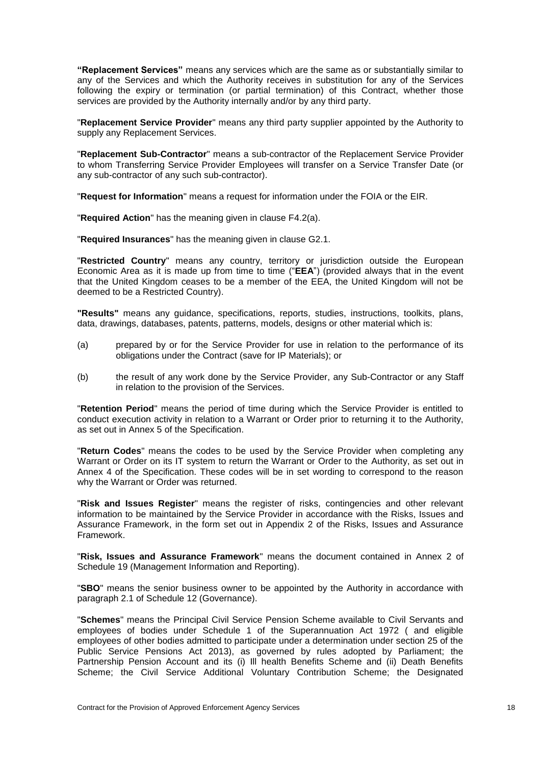**"Replacement Services"** means any services which are the same as or substantially similar to any of the Services and which the Authority receives in substitution for any of the Services following the expiry or termination (or partial termination) of this Contract, whether those services are provided by the Authority internally and/or by any third party.

"**Replacement Service Provider**" means any third party supplier appointed by the Authority to supply any Replacement Services.

"**Replacement Sub-Contractor**" means a sub-contractor of the Replacement Service Provider to whom Transferring Service Provider Employees will transfer on a Service Transfer Date (or any sub-contractor of any such sub-contractor).

"**Request for Information**" means a request for information under the FOIA or the EIR.

"**Required Action**" has the meaning given in clause [F4.2\(](#page-59-0)a).

"**Required Insurances**" has the meaning given in clause [G2.1.](#page-74-0)

"**Restricted Country**" means any country, territory or jurisdiction outside the European Economic Area as it is made up from time to time ("**EEA**") (provided always that in the event that the United Kingdom ceases to be a member of the EEA, the United Kingdom will not be deemed to be a Restricted Country).

**"Results"** means any guidance, specifications, reports, studies, instructions, toolkits, plans, data, drawings, databases, patents, patterns, models, designs or other material which is:

- (a) prepared by or for the Service Provider for use in relation to the performance of its obligations under the Contract (save for IP Materials); or
- (b) the result of any work done by the Service Provider, any Sub-Contractor or any Staff in relation to the provision of the Services.

"**Retention Period**" means the period of time during which the Service Provider is entitled to conduct execution activity in relation to a Warrant or Order prior to returning it to the Authority, as set out in Annex 5 of the Specification.

"**Return Codes**" means the codes to be used by the Service Provider when completing any Warrant or Order on its IT system to return the Warrant or Order to the Authority, as set out in Annex 4 of the Specification. These codes will be in set wording to correspond to the reason why the Warrant or Order was returned.

"**Risk and Issues Register**" means the register of risks, contingencies and other relevant information to be maintained by the Service Provider in accordance with the Risks, Issues and Assurance Framework, in the form set out in Appendix 2 of the Risks, Issues and Assurance Framework.

"**Risk, Issues and Assurance Framework**" means the document contained in Annex 2 of Schedule 19 (Management Information and Reporting).

"**SBO**" means the senior business owner to be appointed by the Authority in accordance with paragraph 2.1 of Schedule 12 (Governance).

"**Schemes**" means the Principal Civil Service Pension Scheme available to Civil Servants and employees of bodies under Schedule 1 of the Superannuation Act 1972 ( and eligible employees of other bodies admitted to participate under a determination under section 25 of the Public Service Pensions Act 2013), as governed by rules adopted by Parliament; the Partnership Pension Account and its (i) Ill health Benefits Scheme and (ii) Death Benefits Scheme; the Civil Service Additional Voluntary Contribution Scheme; the Designated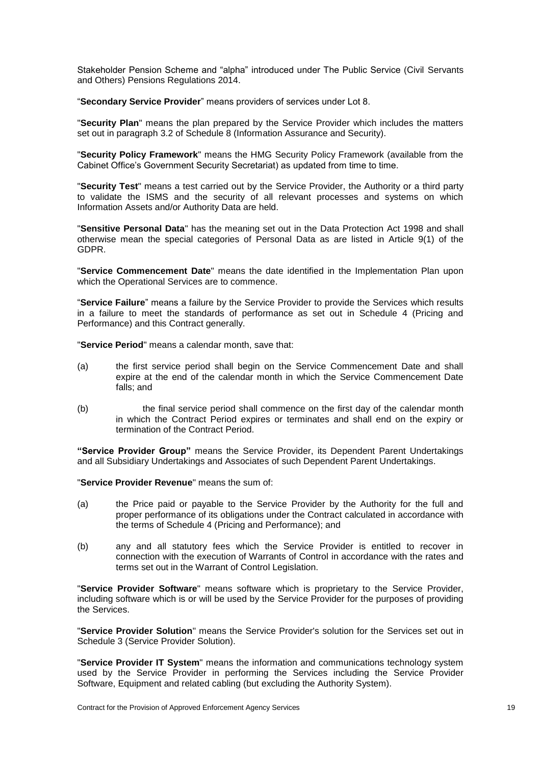Stakeholder Pension Scheme and "alpha" introduced under The Public Service (Civil Servants and Others) Pensions Regulations 2014.

"**Secondary Service Provider**" means providers of services under Lot 8.

"**Security Plan**" means the plan prepared by the Service Provider which includes the matters set out in paragraph 3.2 of Schedule 8 (Information Assurance and Security).

"**Security Policy Framework**" means the HMG Security Policy Framework (available from the Cabinet Office's Government Security Secretariat) as updated from time to time.

"**Security Test**" means a test carried out by the Service Provider, the Authority or a third party to validate the ISMS and the security of all relevant processes and systems on which Information Assets and/or Authority Data are held.

"**Sensitive Personal Data**" has the meaning set out in the Data Protection Act 1998 and shall otherwise mean the special categories of Personal Data as are listed in Article 9(1) of the GDPR.

"**Service Commencement Date**" means the date identified in the Implementation Plan upon which the Operational Services are to commence.

"**Service Failure**" means a failure by the Service Provider to provide the Services which results in a failure to meet the standards of performance as set out in Schedule 4 (Pricing and Performance) and this Contract generally.

"**Service Period**" means a calendar month, save that:

- (a) the first service period shall begin on the Service Commencement Date and shall expire at the end of the calendar month in which the Service Commencement Date falls; and
- (b) the final service period shall commence on the first day of the calendar month in which the Contract Period expires or terminates and shall end on the expiry or termination of the Contract Period.

**"Service Provider Group"** means the Service Provider, its Dependent Parent Undertakings and all Subsidiary Undertakings and Associates of such Dependent Parent Undertakings.

"**Service Provider Revenue**" means the sum of:

- (a) the Price paid or payable to the Service Provider by the Authority for the full and proper performance of its obligations under the Contract calculated in accordance with the terms of Schedule 4 (Pricing and Performance); and
- (b) any and all statutory fees which the Service Provider is entitled to recover in connection with the execution of Warrants of Control in accordance with the rates and terms set out in the Warrant of Control Legislation.

"**Service Provider Software**" means software which is proprietary to the Service Provider, including software which is or will be used by the Service Provider for the purposes of providing the Services.

"**Service Provider Solution**" means the Service Provider's solution for the Services set out in Schedule 3 (Service Provider Solution).

"**Service Provider IT System**" means the information and communications technology system used by the Service Provider in performing the Services including the Service Provider Software, Equipment and related cabling (but excluding the Authority System).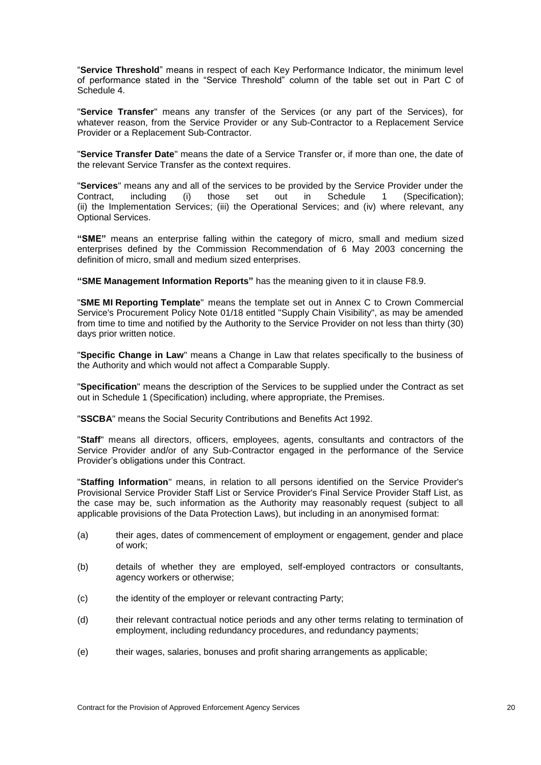"**Service Threshold**" means in respect of each Key Performance Indicator, the minimum level of performance stated in the "Service Threshold" column of the table set out in Part C of Schedule 4.

"**Service Transfer**" means any transfer of the Services (or any part of the Services), for whatever reason, from the Service Provider or any Sub-Contractor to a Replacement Service Provider or a Replacement Sub-Contractor.

"**Service Transfer Date**" means the date of a Service Transfer or, if more than one, the date of the relevant Service Transfer as the context requires.

"**Services**" means any and all of the services to be provided by the Service Provider under the  $(i)$  those set out in Schedule 1 (Specification); (ii) the Implementation Services; (iii) the Operational Services; and (iv) where relevant, any Optional Services.

**"SME"** means an enterprise falling within the category of micro, small and medium sized enterprises defined by the Commission Recommendation of 6 May 2003 concerning the definition of micro, small and medium sized enterprises.

**"SME Management Information Reports"** has the meaning given to it in clause [F8.9.](#page-63-0)

"**SME MI Reporting Template**" means the template set out in Annex C to Crown Commercial Service's Procurement Policy Note 01/18 entitled "Supply Chain Visibility", as may be amended from time to time and notified by the Authority to the Service Provider on not less than thirty (30) days prior written notice.

"**Specific Change in Law**" means a Change in Law that relates specifically to the business of the Authority and which would not affect a Comparable Supply.

"**Specification**" means the description of the Services to be supplied under the Contract as set out in Schedule 1 (Specification) including, where appropriate, the Premises.

"**SSCBA**" means the Social Security Contributions and Benefits Act 1992.

"**Staff**" means all directors, officers, employees, agents, consultants and contractors of the Service Provider and/or of any Sub-Contractor engaged in the performance of the Service Provider's obligations under this Contract.

"**Staffing Information**" means, in relation to all persons identified on the Service Provider's Provisional Service Provider Staff List or Service Provider's Final Service Provider Staff List, as the case may be, such information as the Authority may reasonably request (subject to all applicable provisions of the Data Protection Laws), but including in an anonymised format:

- (a) their ages, dates of commencement of employment or engagement, gender and place of work;
- (b) details of whether they are employed, self-employed contractors or consultants, agency workers or otherwise;
- (c) the identity of the employer or relevant contracting Party;
- (d) their relevant contractual notice periods and any other terms relating to termination of employment, including redundancy procedures, and redundancy payments;
- (e) their wages, salaries, bonuses and profit sharing arrangements as applicable;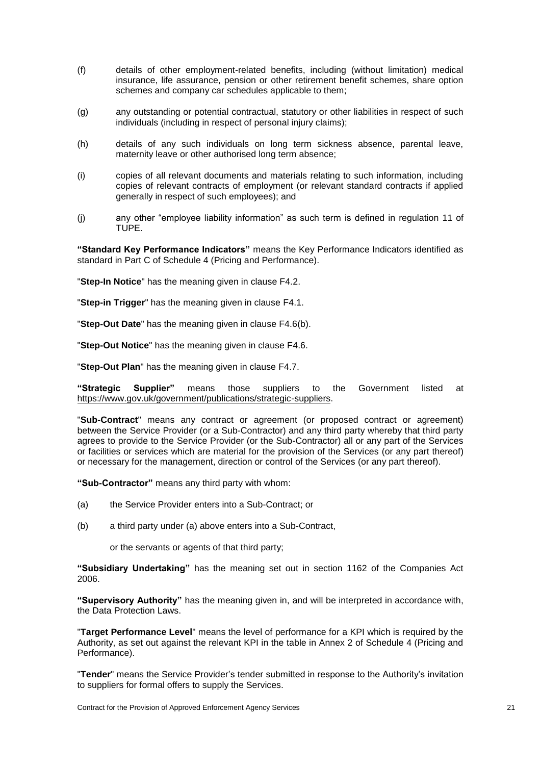- (f) details of other employment-related benefits, including (without limitation) medical insurance, life assurance, pension or other retirement benefit schemes, share option schemes and company car schedules applicable to them;
- (g) any outstanding or potential contractual, statutory or other liabilities in respect of such individuals (including in respect of personal injury claims);
- (h) details of any such individuals on long term sickness absence, parental leave, maternity leave or other authorised long term absence;
- (i) copies of all relevant documents and materials relating to such information, including copies of relevant contracts of employment (or relevant standard contracts if applied generally in respect of such employees); and
- (j) any other "employee liability information" as such term is defined in regulation 11 of TUPE.

**"Standard Key Performance Indicators"** means the Key Performance Indicators identified as standard in Part C of Schedule 4 (Pricing and Performance).

"**Step-In Notice**" has the meaning given in clause [F4.2.](#page-59-0)

"**Step-in Trigger**" has the meaning given in clause [F4.1.](#page-59-1)

"**Step-Out Date**" has the meaning given in clause [F4.6\(](#page-60-0)b).

"**Step-Out Notice**" has the meaning given in clause [F4.6.](#page-60-0)

"**Step-Out Plan**" has the meaning given in clause [F4.7.](#page-60-1)

**"Strategic Supplier"** means those suppliers to the Government listed at https://www.gov.uk/government/publications/strategic-suppliers.

"**Sub-Contract**" means any contract or agreement (or proposed contract or agreement) between the Service Provider (or a Sub-Contractor) and any third party whereby that third party agrees to provide to the Service Provider (or the Sub-Contractor) all or any part of the Services or facilities or services which are material for the provision of the Services (or any part thereof) or necessary for the management, direction or control of the Services (or any part thereof).

**"Sub-Contractor"** means any third party with whom:

- (a) the Service Provider enters into a Sub-Contract; or
- (b) a third party under (a) above enters into a Sub-Contract,

or the servants or agents of that third party;

**"Subsidiary Undertaking"** has the meaning set out in section 1162 of the Companies Act 2006.

**"Supervisory Authority"** has the meaning given in, and will be interpreted in accordance with, the Data Protection Laws.

"**Target Performance Level**" means the level of performance for a KPI which is required by the Authority, as set out against the relevant KPI in the table in Annex 2 of Schedule 4 (Pricing and Performance).

"**Tender**" means the Service Provider's tender submitted in response to the Authority's invitation to suppliers for formal offers to supply the Services.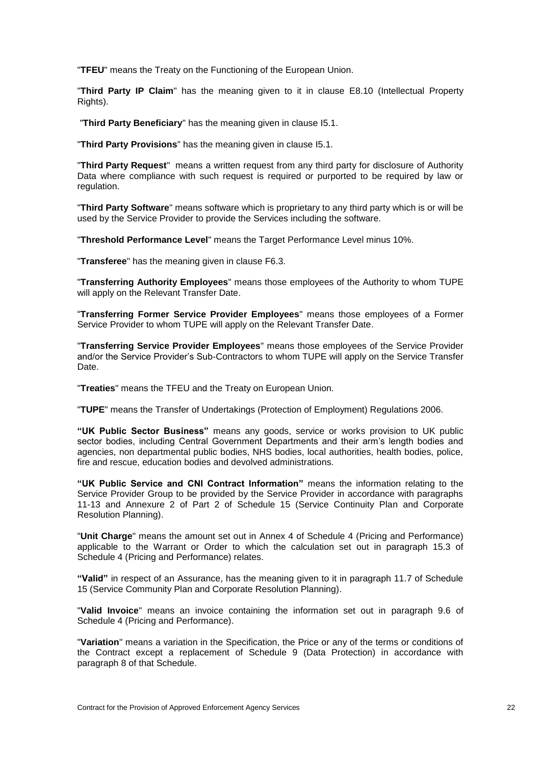"**TFEU**" means the Treaty on the Functioning of the European Union.

"**Third Party IP Claim**" has the meaning given to it in clause [E8.10](#page-53-0) (Intellectual Property Rights).

"**Third Party Beneficiary**" has the meaning given in clause [I5.1.](#page-89-0)

"**Third Party Provisions**" has the meaning given in clause [I5.1.](#page-89-0)

"**Third Party Request**" means a written request from any third party for disclosure of Authority Data where compliance with such request is required or purported to be required by law or regulation.

"**Third Party Software**" means software which is proprietary to any third party which is or will be used by the Service Provider to provide the Services including the software.

"**Threshold Performance Level**" means the Target Performance Level minus 10%.

"**Transferee**" has the meaning given in clause [F6.3.](#page-61-0)

"**Transferring Authority Employees**" means those employees of the Authority to whom TUPE will apply on the Relevant Transfer Date.

"**Transferring Former Service Provider Employees**" means those employees of a Former Service Provider to whom TUPE will apply on the Relevant Transfer Date.

"**Transferring Service Provider Employees**" means those employees of the Service Provider and/or the Service Provider's Sub-Contractors to whom TUPE will apply on the Service Transfer Date.

"**Treaties**" means the TFEU and the Treaty on European Union.

"**TUPE**" means the Transfer of Undertakings (Protection of Employment) Regulations 2006.

**"UK Public Sector Business"** means any goods, service or works provision to UK public sector bodies, including Central Government Departments and their arm's length bodies and agencies, non departmental public bodies, NHS bodies, local authorities, health bodies, police, fire and rescue, education bodies and devolved administrations.

**"UK Public Service and CNI Contract Information"** means the information relating to the Service Provider Group to be provided by the Service Provider in accordance with paragraphs 11-13 and Annexure 2 of Part 2 of Schedule 15 (Service Continuity Plan and Corporate Resolution Planning).

"**Unit Charge**" means the amount set out in Annex 4 of Schedule 4 (Pricing and Performance) applicable to the Warrant or Order to which the calculation set out in paragraph 15.3 of Schedule 4 (Pricing and Performance) relates.

**"Valid"** in respect of an Assurance, has the meaning given to it in paragraph 11.7 of Schedule 15 (Service Community Plan and Corporate Resolution Planning).

"**Valid Invoice**" means an invoice containing the information set out in paragraph 9.6 of Schedule 4 (Pricing and Performance).

"**Variation**" means a variation in the Specification, the Price or any of the terms or conditions of the Contract except a replacement of Schedule 9 (Data Protection) in accordance with paragraph 8 of that Schedule.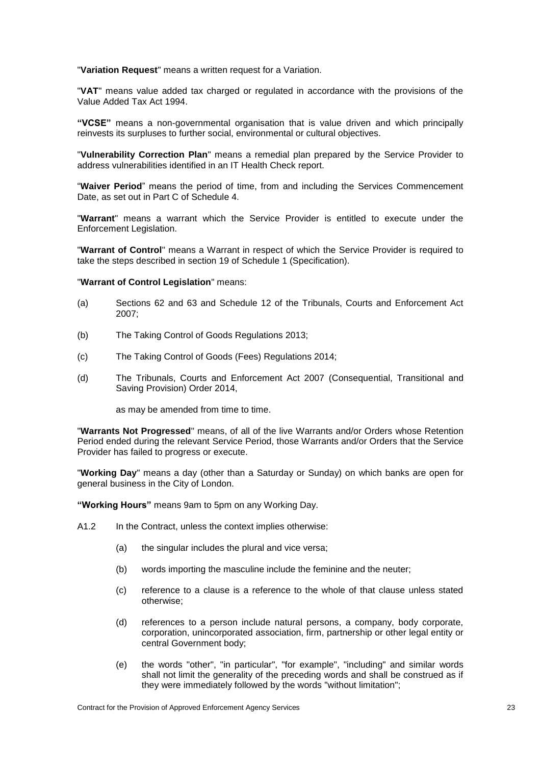"**Variation Request**" means a written request for a Variation.

"**VAT**" means value added tax charged or regulated in accordance with the provisions of the Value Added Tax Act 1994.

**"VCSE"** means a non-governmental organisation that is value driven and which principally reinvests its surpluses to further social, environmental or cultural objectives.

"**Vulnerability Correction Plan**" means a remedial plan prepared by the Service Provider to address vulnerabilities identified in an IT Health Check report.

"**Waiver Period**" means the period of time, from and including the Services Commencement Date, as set out in Part C of Schedule 4.

"**Warrant**" means a warrant which the Service Provider is entitled to execute under the Enforcement Legislation.

"**Warrant of Control**" means a Warrant in respect of which the Service Provider is required to take the steps described in section 19 of Schedule 1 (Specification).

#### "**Warrant of Control Legislation**" means:

- (a) Sections 62 and 63 and Schedule 12 of the Tribunals, Courts and Enforcement Act 2007;
- (b) The Taking Control of Goods Regulations 2013;
- (c) The Taking Control of Goods (Fees) Regulations 2014;
- (d) The Tribunals, Courts and Enforcement Act 2007 (Consequential, Transitional and Saving Provision) Order 2014,

as may be amended from time to time.

"**Warrants Not Progressed**" means, of all of the live Warrants and/or Orders whose Retention Period ended during the relevant Service Period, those Warrants and/or Orders that the Service Provider has failed to progress or execute.

"**Working Day**" means a day (other than a Saturday or Sunday) on which banks are open for general business in the City of London.

**"Working Hours"** means 9am to 5pm on any Working Day.

- A1.2 In the Contract, unless the context implies otherwise:
	- (a) the singular includes the plural and vice versa;
	- (b) words importing the masculine include the feminine and the neuter;
	- (c) reference to a clause is a reference to the whole of that clause unless stated otherwise;
	- (d) references to a person include natural persons, a company, body corporate, corporation, unincorporated association, firm, partnership or other legal entity or central Government body;
	- (e) the words "other", "in particular", "for example", "including" and similar words shall not limit the generality of the preceding words and shall be construed as if they were immediately followed by the words "without limitation";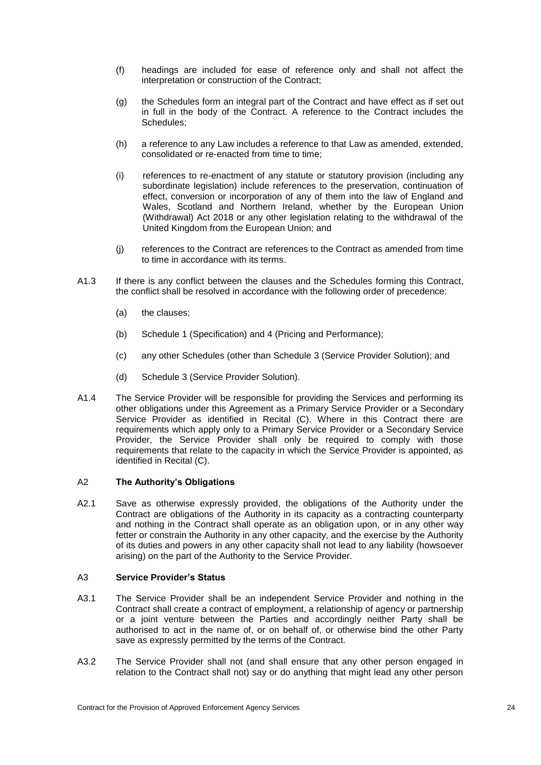- (f) headings are included for ease of reference only and shall not affect the interpretation or construction of the Contract;
- (g) the Schedules form an integral part of the Contract and have effect as if set out in full in the body of the Contract. A reference to the Contract includes the Schedules;
- (h) a reference to any Law includes a reference to that Law as amended, extended, consolidated or re-enacted from time to time;
- (i) references to re-enactment of any statute or statutory provision (including any subordinate legislation) include references to the preservation, continuation of effect, conversion or incorporation of any of them into the law of England and Wales, Scotland and Northern Ireland, whether by the European Union (Withdrawal) Act 2018 or any other legislation relating to the withdrawal of the United Kingdom from the European Union; and
- (j) references to the Contract are references to the Contract as amended from time to time in accordance with its terms.
- A1.3 If there is any conflict between the clauses and the Schedules forming this Contract, the conflict shall be resolved in accordance with the following order of precedence:
	- (a) the clauses;
	- (b) Schedule 1 (Specification) and 4 (Pricing and Performance);
	- (c) any other Schedules (other than Schedule 3 (Service Provider Solution); and
	- (d) Schedule 3 (Service Provider Solution).
- A1.4 The Service Provider will be responsible for providing the Services and performing its other obligations under this Agreement as a Primary Service Provider or a Secondary Service Provider as identified in Recital (C). Where in this Contract there are requirements which apply only to a Primary Service Provider or a Secondary Service Provider, the Service Provider shall only be required to comply with those requirements that relate to the capacity in which the Service Provider is appointed, as identified in Recital (C).

#### A2 **The Authority's Obligations**

A2.1 Save as otherwise expressly provided, the obligations of the Authority under the Contract are obligations of the Authority in its capacity as a contracting counterparty and nothing in the Contract shall operate as an obligation upon, or in any other way fetter or constrain the Authority in any other capacity, and the exercise by the Authority of its duties and powers in any other capacity shall not lead to any liability (howsoever arising) on the part of the Authority to the Service Provider.

#### <span id="page-29-0"></span>A3 **Service Provider's Status**

- A3.1 The Service Provider shall be an independent Service Provider and nothing in the Contract shall create a contract of employment, a relationship of agency or partnership or a joint venture between the Parties and accordingly neither Party shall be authorised to act in the name of, or on behalf of, or otherwise bind the other Party save as expressly permitted by the terms of the Contract.
- A3.2 The Service Provider shall not (and shall ensure that any other person engaged in relation to the Contract shall not) say or do anything that might lead any other person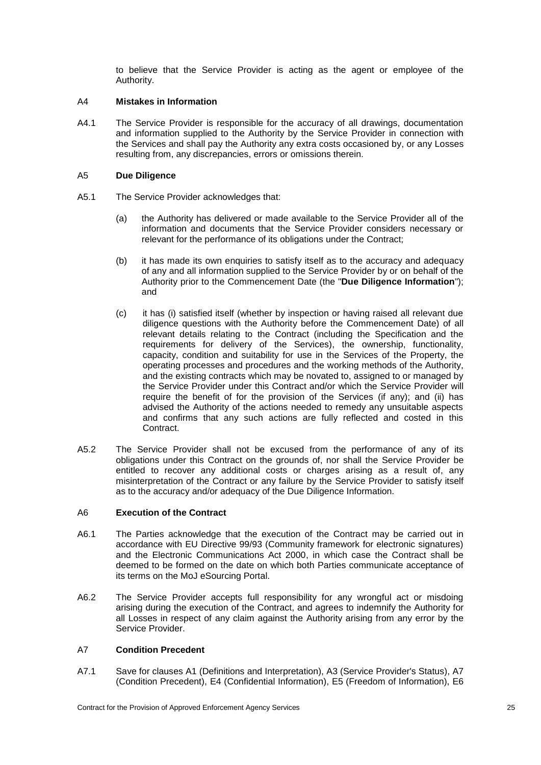to believe that the Service Provider is acting as the agent or employee of the Authority.

#### A4 **Mistakes in Information**

A4.1 The Service Provider is responsible for the accuracy of all drawings, documentation and information supplied to the Authority by the Service Provider in connection with the Services and shall pay the Authority any extra costs occasioned by, or any Losses resulting from, any discrepancies, errors or omissions therein.

#### A5 **Due Diligence**

- <span id="page-30-1"></span>A5.1 The Service Provider acknowledges that:
	- (a) the Authority has delivered or made available to the Service Provider all of the information and documents that the Service Provider considers necessary or relevant for the performance of its obligations under the Contract;
	- (b) it has made its own enquiries to satisfy itself as to the accuracy and adequacy of any and all information supplied to the Service Provider by or on behalf of the Authority prior to the Commencement Date (the "**Due Diligence Information**"); and
	- (c) it has (i) satisfied itself (whether by inspection or having raised all relevant due diligence questions with the Authority before the Commencement Date) of all relevant details relating to the Contract (including the Specification and the requirements for delivery of the Services), the ownership, functionality, capacity, condition and suitability for use in the Services of the Property, the operating processes and procedures and the working methods of the Authority, and the existing contracts which may be novated to, assigned to or managed by the Service Provider under this Contract and/or which the Service Provider will require the benefit of for the provision of the Services (if any); and (ii) has advised the Authority of the actions needed to remedy any unsuitable aspects and confirms that any such actions are fully reflected and costed in this Contract.
- A5.2 The Service Provider shall not be excused from the performance of any of its obligations under this Contract on the grounds of, nor shall the Service Provider be entitled to recover any additional costs or charges arising as a result of, any misinterpretation of the Contract or any failure by the Service Provider to satisfy itself as to the accuracy and/or adequacy of the Due Diligence Information.

#### A6 **Execution of the Contract**

- A6.1 The Parties acknowledge that the execution of the Contract may be carried out in accordance with EU Directive 99/93 (Community framework for electronic signatures) and the Electronic Communications Act 2000, in which case the Contract shall be deemed to be formed on the date on which both Parties communicate acceptance of its terms on the MoJ eSourcing Portal.
- A6.2 The Service Provider accepts full responsibility for any wrongful act or misdoing arising during the execution of the Contract, and agrees to indemnify the Authority for all Losses in respect of any claim against the Authority arising from any error by the Service Provider.

#### <span id="page-30-2"></span>A7 **Condition Precedent**

<span id="page-30-0"></span>A7.1 Save for clauses [A1](#page-6-0) (Definitions and Interpretation), [A3](#page-29-0) (Service Provider's Status), [A7](#page-30-2) (Condition Precedent), [E4](#page-48-0) (Confidential Information), [E5](#page-50-0) (Freedom of Information), [E6](#page-51-2)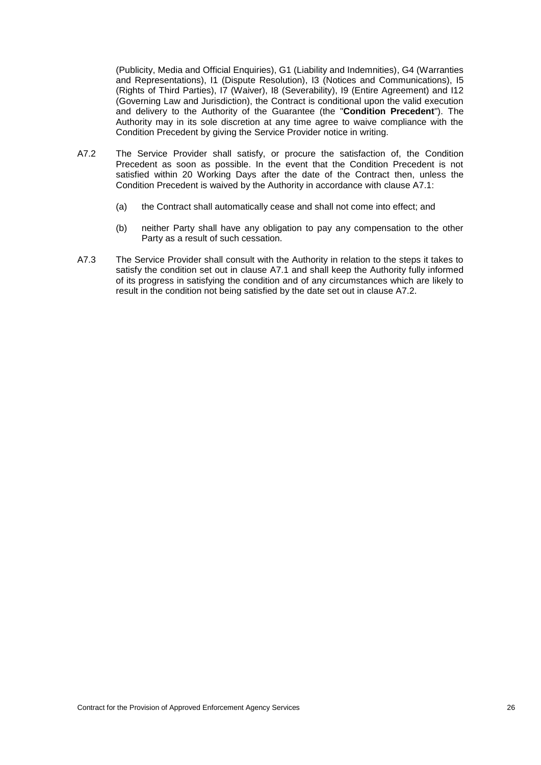(Publicity, Media and Official Enquiries), [G1](#page-71-0) (Liability and Indemnities), [G4](#page-75-1) (Warranties and Representations), [I1](#page-86-0) (Dispute Resolution), [I3](#page-88-1) (Notices and Communications), [I5](#page-89-2) (Rights of Third Parties), [I7](#page-90-0) (Waiver), [I8](#page-90-1) (Severability), [I9](#page-91-0) (Entire Agreement) and I12 (Governing Law and Jurisdiction), the Contract is conditional upon the valid execution and delivery to the Authority of the Guarantee (the "**Condition Precedent**"). The Authority may in its sole discretion at any time agree to waive compliance with the Condition Precedent by giving the Service Provider notice in writing.

- <span id="page-31-0"></span>A7.2 The Service Provider shall satisfy, or procure the satisfaction of, the Condition Precedent as soon as possible. In the event that the Condition Precedent is not satisfied within 20 Working Days after the date of the Contract then, unless the Condition Precedent is waived by the Authority in accordance with clause [A7.1:](#page-30-0)
	- (a) the Contract shall automatically cease and shall not come into effect; and
	- (b) neither Party shall have any obligation to pay any compensation to the other Party as a result of such cessation.
- A7.3 The Service Provider shall consult with the Authority in relation to the steps it takes to satisfy the condition set out in clause [A7.1](#page-30-0) and shall keep the Authority fully informed of its progress in satisfying the condition and of any circumstances which are likely to result in the condition not being satisfied by the date set out in clause [A7.2.](#page-31-0)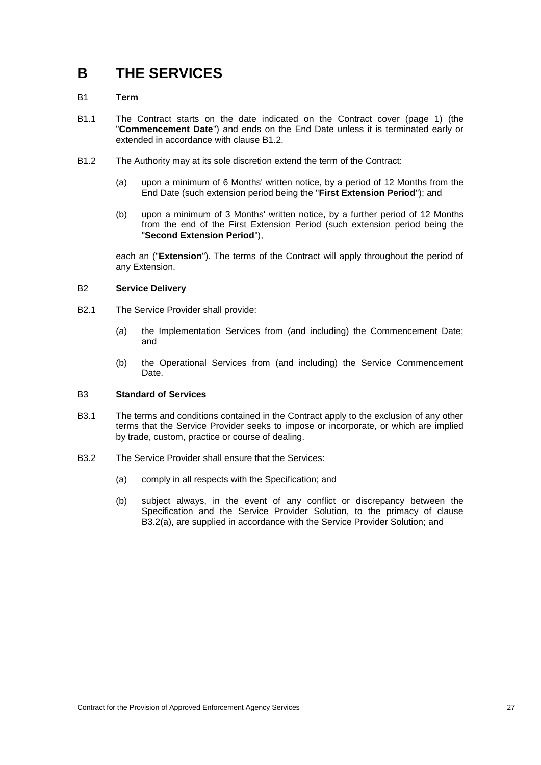## **B THE SERVICES**

#### B1 **Term**

- <span id="page-32-0"></span>B1.1 The Contract starts on the date indicated on the Contract cover (page 1) (the "**Commencement Date**") and ends on the End Date unless it is terminated early or extended in accordance with clause [B1.2.](#page-32-1)
- <span id="page-32-1"></span>B1.2 The Authority may at its sole discretion extend the term of the Contract:
	- (a) upon a minimum of 6 Months' written notice, by a period of 12 Months from the End Date (such extension period being the "**First Extension Period**"); and
	- (b) upon a minimum of 3 Months' written notice, by a further period of 12 Months from the end of the First Extension Period (such extension period being the "**Second Extension Period**"),

each an ("**Extension**"). The terms of the Contract will apply throughout the period of any Extension.

#### B2 **Service Delivery**

- B2.1 The Service Provider shall provide:
	- (a) the Implementation Services from (and including) the Commencement Date; and
	- (b) the Operational Services from (and including) the Service Commencement Date.

#### B3 **Standard of Services**

- B3.1 The terms and conditions contained in the Contract apply to the exclusion of any other terms that the Service Provider seeks to impose or incorporate, or which are implied by trade, custom, practice or course of dealing.
- B3.2 The Service Provider shall ensure that the Services:
	- (a) comply in all respects with the Specification; and
	- (b) subject always, in the event of any conflict or discrepancy between the Specification and the Service Provider Solution, to the primacy of clause B3.2(a), are supplied in accordance with the Service Provider Solution; and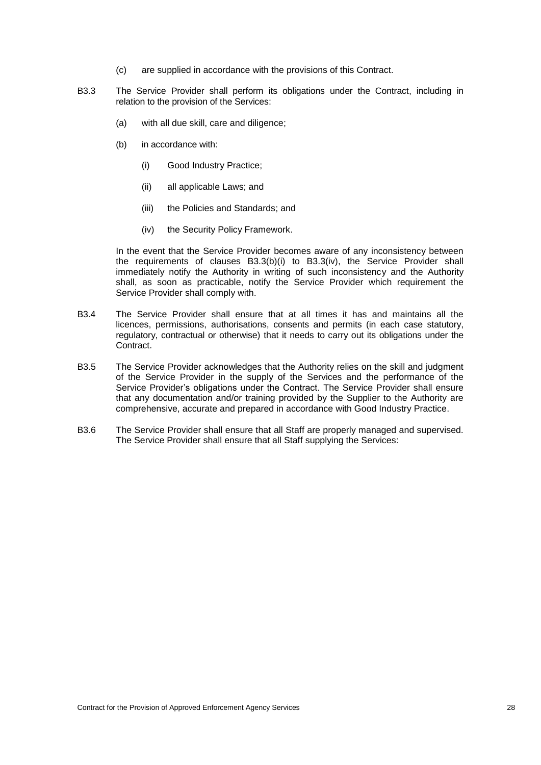- (c) are supplied in accordance with the provisions of this Contract.
- B3.3 The Service Provider shall perform its obligations under the Contract, including in relation to the provision of the Services:
	- (a) with all due skill, care and diligence;
	- (b) in accordance with:
		- (i) Good Industry Practice;
		- (ii) all applicable Laws; and
		- (iii) the Policies and Standards; and
		- (iv) the Security Policy Framework.

In the event that the Service Provider becomes aware of any inconsistency between the requirements of clauses B3.3(b)(i) to B3.3(iv), the Service Provider shall immediately notify the Authority in writing of such inconsistency and the Authority shall, as soon as practicable, notify the Service Provider which requirement the Service Provider shall comply with.

- B3.4 The Service Provider shall ensure that at all times it has and maintains all the licences, permissions, authorisations, consents and permits (in each case statutory, regulatory, contractual or otherwise) that it needs to carry out its obligations under the Contract.
- B3.5 The Service Provider acknowledges that the Authority relies on the skill and judgment of the Service Provider in the supply of the Services and the performance of the Service Provider's obligations under the Contract. The Service Provider shall ensure that any documentation and/or training provided by the Supplier to the Authority are comprehensive, accurate and prepared in accordance with Good Industry Practice.
- B3.6 The Service Provider shall ensure that all Staff are properly managed and supervised. The Service Provider shall ensure that all Staff supplying the Services: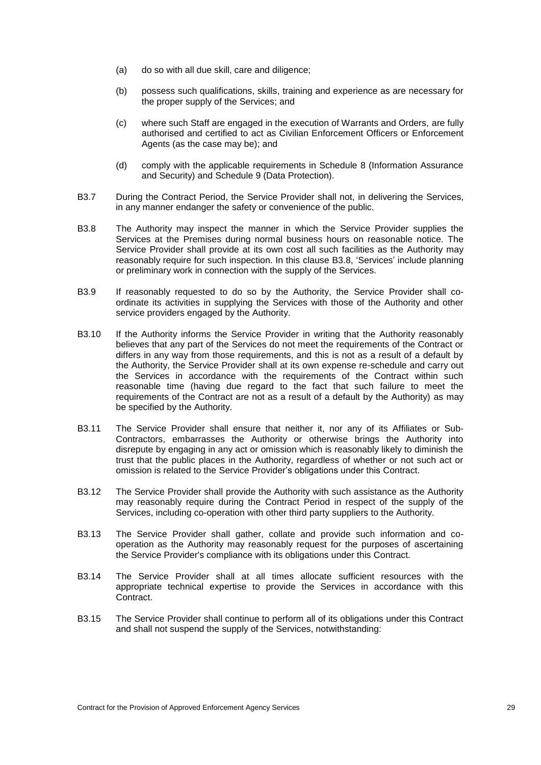- (a) do so with all due skill, care and diligence;
- (b) possess such qualifications, skills, training and experience as are necessary for the proper supply of the Services; and
- (c) where such Staff are engaged in the execution of Warrants and Orders, are fully authorised and certified to act as Civilian Enforcement Officers or Enforcement Agents (as the case may be); and
- (d) comply with the applicable requirements in Schedule 8 (Information Assurance and Security) and Schedule 9 (Data Protection).
- B3.7 During the Contract Period, the Service Provider shall not, in delivering the Services, in any manner endanger the safety or convenience of the public.
- <span id="page-34-0"></span>B3.8 The Authority may inspect the manner in which the Service Provider supplies the Services at the Premises during normal business hours on reasonable notice. The Service Provider shall provide at its own cost all such facilities as the Authority may reasonably require for such inspection. In this clause [B3.8,](#page-34-0) 'Services' include planning or preliminary work in connection with the supply of the Services.
- B3.9 If reasonably requested to do so by the Authority, the Service Provider shall coordinate its activities in supplying the Services with those of the Authority and other service providers engaged by the Authority.
- B3.10 If the Authority informs the Service Provider in writing that the Authority reasonably believes that any part of the Services do not meet the requirements of the Contract or differs in any way from those requirements, and this is not as a result of a default by the Authority, the Service Provider shall at its own expense re-schedule and carry out the Services in accordance with the requirements of the Contract within such reasonable time (having due regard to the fact that such failure to meet the requirements of the Contract are not as a result of a default by the Authority) as may be specified by the Authority.
- B3.11 The Service Provider shall ensure that neither it, nor any of its Affiliates or Sub-Contractors, embarrasses the Authority or otherwise brings the Authority into disrepute by engaging in any act or omission which is reasonably likely to diminish the trust that the public places in the Authority, regardless of whether or not such act or omission is related to the Service Provider's obligations under this Contract.
- B3.12 The Service Provider shall provide the Authority with such assistance as the Authority may reasonably require during the Contract Period in respect of the supply of the Services, including co-operation with other third party suppliers to the Authority.
- B3.13 The Service Provider shall gather, collate and provide such information and cooperation as the Authority may reasonably request for the purposes of ascertaining the Service Provider's compliance with its obligations under this Contract.
- B3.14 The Service Provider shall at all times allocate sufficient resources with the appropriate technical expertise to provide the Services in accordance with this Contract.
- B3.15 The Service Provider shall continue to perform all of its obligations under this Contract and shall not suspend the supply of the Services, notwithstanding: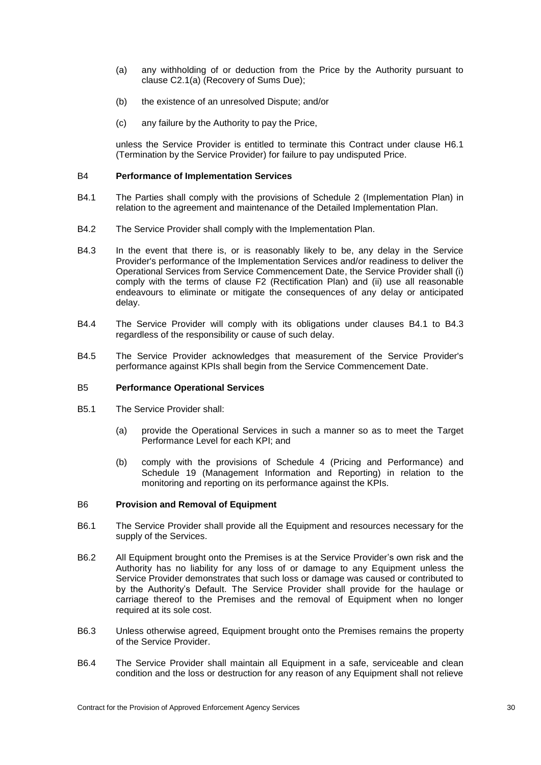- (a) any withholding of or deduction from the Price by the Authority pursuant to clause [C2.1\(a\)](#page-41-0) (Recovery of Sums Due);
- (b) the existence of an unresolved Dispute; and/or
- (c) any failure by the Authority to pay the Price,

unless the Service Provider is entitled to terminate this Contract under clause [H6.1](#page-80-0) (Termination by the Service Provider) for failure to pay undisputed Price.

#### B4 **Performance of Implementation Services**

- B4.1 The Parties shall comply with the provisions of Schedule 2 (Implementation Plan) in relation to the agreement and maintenance of the Detailed Implementation Plan.
- B4.2 The Service Provider shall comply with the Implementation Plan.
- B4.3 In the event that there is, or is reasonably likely to be, any delay in the Service Provider's performance of the Implementation Services and/or readiness to deliver the Operational Services from Service Commencement Date, the Service Provider shall (i) comply with the terms of clause [F2](#page-56-1) (Rectification Plan) and (ii) use all reasonable endeavours to eliminate or mitigate the consequences of any delay or anticipated delay.
- B4.4 The Service Provider will comply with its obligations under clauses B4.1 to B4.3 regardless of the responsibility or cause of such delay.
- B4.5 The Service Provider acknowledges that measurement of the Service Provider's performance against KPIs shall begin from the Service Commencement Date.

#### B5 **Performance Operational Services**

- B5.1 The Service Provider shall:
	- (a) provide the Operational Services in such a manner so as to meet the Target Performance Level for each KPI; and
	- (b) comply with the provisions of Schedule 4 (Pricing and Performance) and Schedule 19 (Management Information and Reporting) in relation to the monitoring and reporting on its performance against the KPIs.

#### B6 **Provision and Removal of Equipment**

- B6.1 The Service Provider shall provide all the Equipment and resources necessary for the supply of the Services.
- B6.2 All Equipment brought onto the Premises is at the Service Provider's own risk and the Authority has no liability for any loss of or damage to any Equipment unless the Service Provider demonstrates that such loss or damage was caused or contributed to by the Authority's Default. The Service Provider shall provide for the haulage or carriage thereof to the Premises and the removal of Equipment when no longer required at its sole cost.
- B6.3 Unless otherwise agreed, Equipment brought onto the Premises remains the property of the Service Provider.
- B6.4 The Service Provider shall maintain all Equipment in a safe, serviceable and clean condition and the loss or destruction for any reason of any Equipment shall not relieve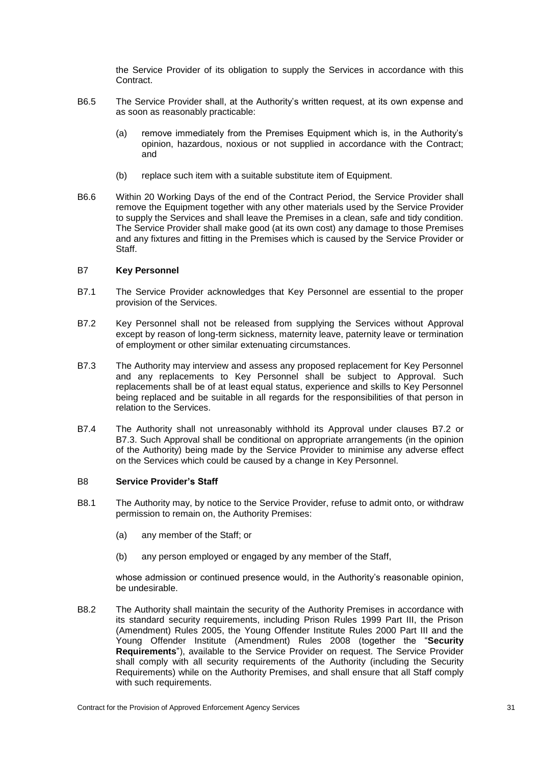the Service Provider of its obligation to supply the Services in accordance with this **Contract.** 

- B6.5 The Service Provider shall, at the Authority's written request, at its own expense and as soon as reasonably practicable:
	- (a) remove immediately from the Premises Equipment which is, in the Authority's opinion, hazardous, noxious or not supplied in accordance with the Contract; and
	- (b) replace such item with a suitable substitute item of Equipment.
- B6.6 Within 20 Working Days of the end of the Contract Period, the Service Provider shall remove the Equipment together with any other materials used by the Service Provider to supply the Services and shall leave the Premises in a clean, safe and tidy condition. The Service Provider shall make good (at its own cost) any damage to those Premises and any fixtures and fitting in the Premises which is caused by the Service Provider or Staff.

#### B7 **Key Personnel**

- B7.1 The Service Provider acknowledges that Key Personnel are essential to the proper provision of the Services.
- <span id="page-36-0"></span>B7.2 Key Personnel shall not be released from supplying the Services without Approval except by reason of long-term sickness, maternity leave, paternity leave or termination of employment or other similar extenuating circumstances.
- <span id="page-36-1"></span>B7.3 The Authority may interview and assess any proposed replacement for Key Personnel and any replacements to Key Personnel shall be subject to Approval. Such replacements shall be of at least equal status, experience and skills to Key Personnel being replaced and be suitable in all regards for the responsibilities of that person in relation to the Services.
- B7.4 The Authority shall not unreasonably withhold its Approval under clauses [B7.2](#page-36-0) or [B7.3.](#page-36-1) Such Approval shall be conditional on appropriate arrangements (in the opinion of the Authority) being made by the Service Provider to minimise any adverse effect on the Services which could be caused by a change in Key Personnel.

#### B8 **Service Provider's Staff**

- B8.1 The Authority may, by notice to the Service Provider, refuse to admit onto, or withdraw permission to remain on, the Authority Premises:
	- (a) any member of the Staff; or
	- (b) any person employed or engaged by any member of the Staff,

whose admission or continued presence would, in the Authority's reasonable opinion, be undesirable.

B8.2 The Authority shall maintain the security of the Authority Premises in accordance with its standard security requirements, including Prison Rules 1999 Part III, the Prison (Amendment) Rules 2005, the Young Offender Institute Rules 2000 Part III and the Young Offender Institute (Amendment) Rules 2008 (together the "**Security Requirements**"), available to the Service Provider on request. The Service Provider shall comply with all security requirements of the Authority (including the Security Requirements) while on the Authority Premises, and shall ensure that all Staff comply with such requirements.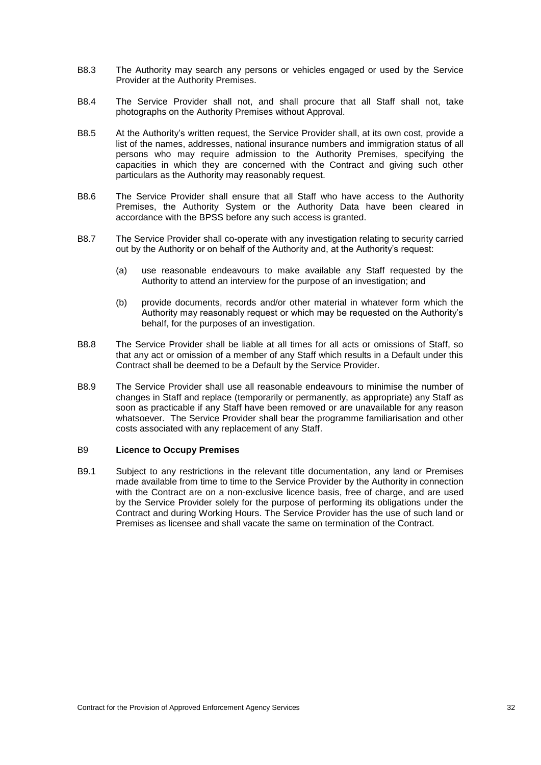- B8.3 The Authority may search any persons or vehicles engaged or used by the Service Provider at the Authority Premises.
- B8.4 The Service Provider shall not, and shall procure that all Staff shall not, take photographs on the Authority Premises without Approval.
- B8.5 At the Authority's written request, the Service Provider shall, at its own cost, provide a list of the names, addresses, national insurance numbers and immigration status of all persons who may require admission to the Authority Premises, specifying the capacities in which they are concerned with the Contract and giving such other particulars as the Authority may reasonably request.
- B8.6 The Service Provider shall ensure that all Staff who have access to the Authority Premises, the Authority System or the Authority Data have been cleared in accordance with the BPSS before any such access is granted.
- B8.7 The Service Provider shall co-operate with any investigation relating to security carried out by the Authority or on behalf of the Authority and, at the Authority's request:
	- (a) use reasonable endeavours to make available any Staff requested by the Authority to attend an interview for the purpose of an investigation; and
	- (b) provide documents, records and/or other material in whatever form which the Authority may reasonably request or which may be requested on the Authority's behalf, for the purposes of an investigation.
- B8.8 The Service Provider shall be liable at all times for all acts or omissions of Staff, so that any act or omission of a member of any Staff which results in a Default under this Contract shall be deemed to be a Default by the Service Provider.
- B8.9 The Service Provider shall use all reasonable endeavours to minimise the number of changes in Staff and replace (temporarily or permanently, as appropriate) any Staff as soon as practicable if any Staff have been removed or are unavailable for any reason whatsoever. The Service Provider shall bear the programme familiarisation and other costs associated with any replacement of any Staff.

### B9 **Licence to Occupy Premises**

B9.1 Subject to any restrictions in the relevant title documentation, any land or Premises made available from time to time to the Service Provider by the Authority in connection with the Contract are on a non-exclusive licence basis, free of charge, and are used by the Service Provider solely for the purpose of performing its obligations under the Contract and during Working Hours. The Service Provider has the use of such land or Premises as licensee and shall vacate the same on termination of the Contract.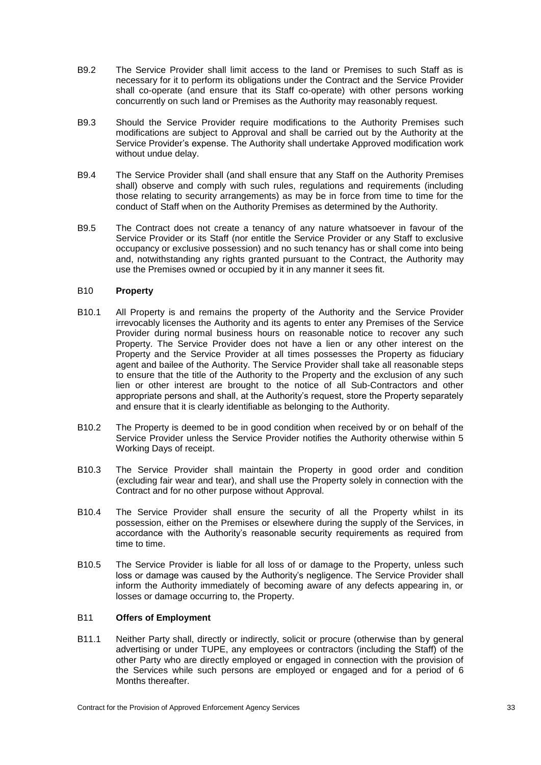- B9.2 The Service Provider shall limit access to the land or Premises to such Staff as is necessary for it to perform its obligations under the Contract and the Service Provider shall co-operate (and ensure that its Staff co-operate) with other persons working concurrently on such land or Premises as the Authority may reasonably request.
- B9.3 Should the Service Provider require modifications to the Authority Premises such modifications are subject to Approval and shall be carried out by the Authority at the Service Provider's expense. The Authority shall undertake Approved modification work without undue delay.
- B9.4 The Service Provider shall (and shall ensure that any Staff on the Authority Premises shall) observe and comply with such rules, regulations and requirements (including those relating to security arrangements) as may be in force from time to time for the conduct of Staff when on the Authority Premises as determined by the Authority.
- B9.5 The Contract does not create a tenancy of any nature whatsoever in favour of the Service Provider or its Staff (nor entitle the Service Provider or any Staff to exclusive occupancy or exclusive possession) and no such tenancy has or shall come into being and, notwithstanding any rights granted pursuant to the Contract, the Authority may use the Premises owned or occupied by it in any manner it sees fit.

## B10 **Property**

- B10.1 All Property is and remains the property of the Authority and the Service Provider irrevocably licenses the Authority and its agents to enter any Premises of the Service Provider during normal business hours on reasonable notice to recover any such Property. The Service Provider does not have a lien or any other interest on the Property and the Service Provider at all times possesses the Property as fiduciary agent and bailee of the Authority. The Service Provider shall take all reasonable steps to ensure that the title of the Authority to the Property and the exclusion of any such lien or other interest are brought to the notice of all Sub-Contractors and other appropriate persons and shall, at the Authority's request, store the Property separately and ensure that it is clearly identifiable as belonging to the Authority.
- B10.2 The Property is deemed to be in good condition when received by or on behalf of the Service Provider unless the Service Provider notifies the Authority otherwise within 5 Working Days of receipt.
- B10.3 The Service Provider shall maintain the Property in good order and condition (excluding fair wear and tear), and shall use the Property solely in connection with the Contract and for no other purpose without Approval.
- B10.4 The Service Provider shall ensure the security of all the Property whilst in its possession, either on the Premises or elsewhere during the supply of the Services, in accordance with the Authority's reasonable security requirements as required from time to time.
- B10.5 The Service Provider is liable for all loss of or damage to the Property, unless such loss or damage was caused by the Authority's negligence. The Service Provider shall inform the Authority immediately of becoming aware of any defects appearing in, or losses or damage occurring to, the Property.

### B11 **Offers of Employment**

<span id="page-38-0"></span>B11.1 Neither Party shall, directly or indirectly, solicit or procure (otherwise than by general advertising or under TUPE, any employees or contractors (including the Staff) of the other Party who are directly employed or engaged in connection with the provision of the Services while such persons are employed or engaged and for a period of 6 Months thereafter.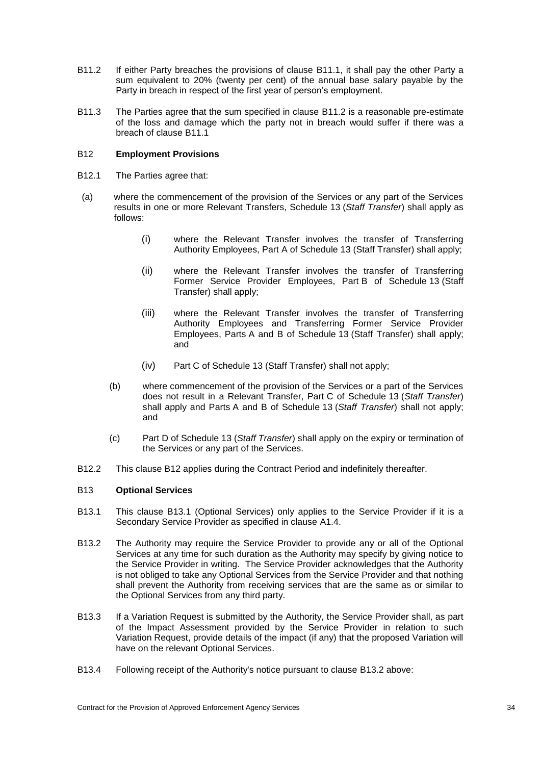- <span id="page-39-0"></span>B11.2 If either Party breaches the provisions of clause [B11.1,](#page-38-0) it shall pay the other Party a sum equivalent to 20% (twenty per cent) of the annual base salary payable by the Party in breach in respect of the first year of person's employment.
- B11.3 The Parties agree that the sum specified in clause [B11.2](#page-39-0) is a reasonable pre-estimate of the loss and damage which the party not in breach would suffer if there was a breach of clause [B11.1](#page-38-0)

# <span id="page-39-1"></span>B12 **Employment Provisions**

- B12.1 The Parties agree that:
- (a) where the commencement of the provision of the Services or any part of the Services results in one or more Relevant Transfers, Schedule 13 (*Staff Transfer*) shall apply as follows:
	- (i) where the Relevant Transfer involves the transfer of Transferring Authority Employees, Part A of Schedule 13 (Staff Transfer) shall apply;
	- (ii) where the Relevant Transfer involves the transfer of Transferring Former Service Provider Employees, Part B of Schedule 13 (Staff Transfer) shall apply;
	- (iii) where the Relevant Transfer involves the transfer of Transferring Authority Employees and Transferring Former Service Provider Employees, Parts A and B of Schedule 13 (Staff Transfer) shall apply; and
	- (iv) Part C of Schedule 13 (Staff Transfer) shall not apply;
	- (b) where commencement of the provision of the Services or a part of the Services does not result in a Relevant Transfer, Part C of Schedule 13 (*Staff Transfer*) shall apply and Parts A and B of Schedule 13 (*Staff Transfer*) shall not apply; and
	- (c) Part D of Schedule 13 (*Staff Transfer*) shall apply on the expiry or termination of the Services or any part of the Services.
- B12.2 This clause [B12](#page-39-1) applies during the Contract Period and indefinitely thereafter.

### <span id="page-39-3"></span>B13 **Optional Services**

- B13.1 This clause B13.1 (Optional Services) only applies to the Service Provider if it is a Secondary Service Provider as specified in clause [A1.4.](#page-29-0)
- <span id="page-39-2"></span>B13.2 The Authority may require the Service Provider to provide any or all of the Optional Services at any time for such duration as the Authority may specify by giving notice to the Service Provider in writing. The Service Provider acknowledges that the Authority is not obliged to take any Optional Services from the Service Provider and that nothing shall prevent the Authority from receiving services that are the same as or similar to the Optional Services from any third party.
- B13.3 If a Variation Request is submitted by the Authority, the Service Provider shall, as part of the Impact Assessment provided by the Service Provider in relation to such Variation Request, provide details of the impact (if any) that the proposed Variation will have on the relevant Optional Services.
- B13.4 Following receipt of the Authority's notice pursuant to clause [B13.2](#page-39-2) above: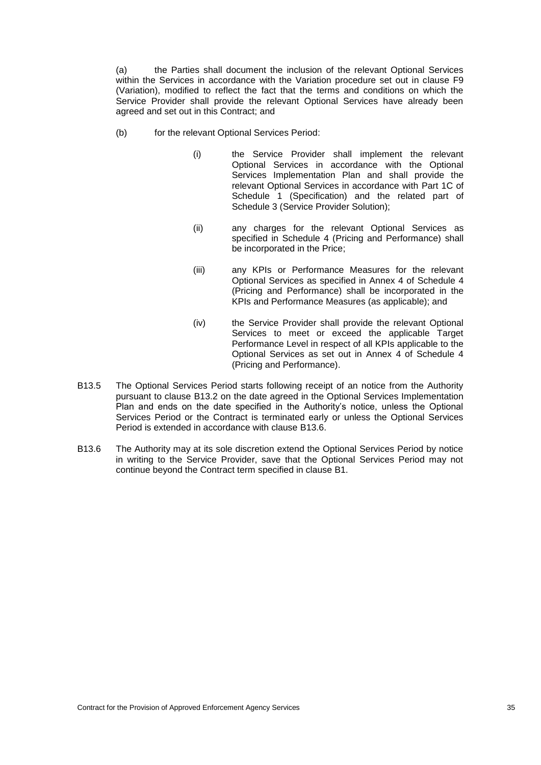(a) the Parties shall document the inclusion of the relevant Optional Services within the Services in accordance with the Variation procedure set out in clause F9 (Variation), modified to reflect the fact that the terms and conditions on which the Service Provider shall provide the relevant Optional Services have already been agreed and set out in this Contract; and

- (b) for the relevant Optional Services Period:
	- (i) the Service Provider shall implement the relevant Optional Services in accordance with the Optional Services Implementation Plan and shall provide the relevant Optional Services in accordance with Part 1C of Schedule 1 (Specification) and the related part of Schedule 3 (Service Provider Solution);
	- (ii) any charges for the relevant Optional Services as specified in Schedule 4 (Pricing and Performance) shall be incorporated in the Price;
	- (iii) any KPIs or Performance Measures for the relevant Optional Services as specified in Annex 4 of Schedule 4 (Pricing and Performance) shall be incorporated in the KPIs and Performance Measures (as applicable); and
	- (iv) the Service Provider shall provide the relevant Optional Services to meet or exceed the applicable Target Performance Level in respect of all KPIs applicable to the Optional Services as set out in Annex 4 of Schedule 4 (Pricing and Performance).
- B13.5 The Optional Services Period starts following receipt of an notice from the Authority pursuant to clause [B13.2](#page-39-2) on the date agreed in the Optional Services Implementation Plan and ends on the date specified in the Authority's notice, unless the Optional Services Period or the Contract is terminated early or unless the Optional Services Period is extended in accordance with clause [B13.6.](#page-40-0)
- <span id="page-40-0"></span>B13.6 The Authority may at its sole discretion extend the Optional Services Period by notice in writing to the Service Provider, save that the Optional Services Period may not continue beyond the Contract term specified in clause B1.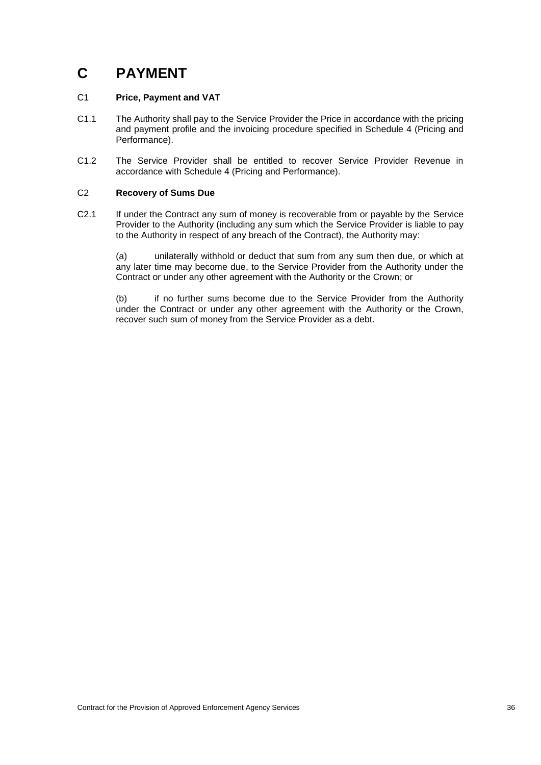# **C PAYMENT**

# C1 **Price, Payment and VAT**

- C1.1 The Authority shall pay to the Service Provider the Price in accordance with the pricing and payment profile and the invoicing procedure specified in Schedule 4 (Pricing and Performance).
- C1.2 The Service Provider shall be entitled to recover Service Provider Revenue in accordance with Schedule 4 (Pricing and Performance).

# <span id="page-41-0"></span>C2 **Recovery of Sums Due**

C2.1 If under the Contract any sum of money is recoverable from or payable by the Service Provider to the Authority (including any sum which the Service Provider is liable to pay to the Authority in respect of any breach of the Contract), the Authority may:

(a) unilaterally withhold or deduct that sum from any sum then due, or which at any later time may become due, to the Service Provider from the Authority under the Contract or under any other agreement with the Authority or the Crown; or

(b) if no further sums become due to the Service Provider from the Authority under the Contract or under any other agreement with the Authority or the Crown, recover such sum of money from the Service Provider as a debt.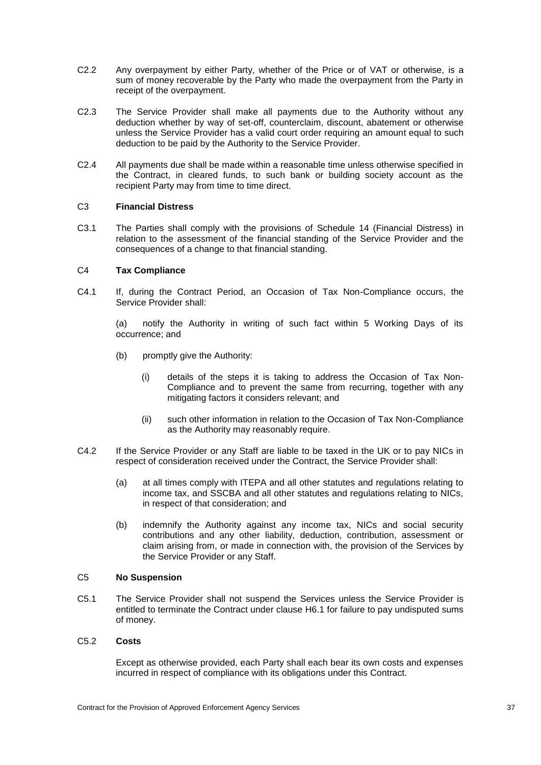- C2.2 Any overpayment by either Party, whether of the Price or of VAT or otherwise, is a sum of money recoverable by the Party who made the overpayment from the Party in receipt of the overpayment.
- C2.3 The Service Provider shall make all payments due to the Authority without any deduction whether by way of set-off, counterclaim, discount, abatement or otherwise unless the Service Provider has a valid court order requiring an amount equal to such deduction to be paid by the Authority to the Service Provider.
- C2.4 All payments due shall be made within a reasonable time unless otherwise specified in the Contract, in cleared funds, to such bank or building society account as the recipient Party may from time to time direct.

### C3 **Financial Distress**

C3.1 The Parties shall comply with the provisions of Schedule 14 (Financial Distress) in relation to the assessment of the financial standing of the Service Provider and the consequences of a change to that financial standing.

### C4 **Tax Compliance**

C4.1 If, during the Contract Period, an Occasion of Tax Non-Compliance occurs, the Service Provider shall:

(a) notify the Authority in writing of such fact within 5 Working Days of its occurrence; and

- (b) promptly give the Authority:
	- (i) details of the steps it is taking to address the Occasion of Tax Non-Compliance and to prevent the same from recurring, together with any mitigating factors it considers relevant; and
	- (ii) such other information in relation to the Occasion of Tax Non-Compliance as the Authority may reasonably require.
- <span id="page-42-0"></span>C4.2 If the Service Provider or any Staff are liable to be taxed in the UK or to pay NICs in respect of consideration received under the Contract, the Service Provider shall:
	- (a) at all times comply with ITEPA and all other statutes and regulations relating to income tax, and SSCBA and all other statutes and regulations relating to NICs, in respect of that consideration; and
	- (b) indemnify the Authority against any income tax, NICs and social security contributions and any other liability, deduction, contribution, assessment or claim arising from, or made in connection with, the provision of the Services by the Service Provider or any Staff.

## C5 **No Suspension**

C5.1 The Service Provider shall not suspend the Services unless the Service Provider is entitled to terminate the Contract under clause [H6.1](#page-80-0) for failure to pay undisputed sums of money.

## C5.2 **Costs**

Except as otherwise provided, each Party shall each bear its own costs and expenses incurred in respect of compliance with its obligations under this Contract.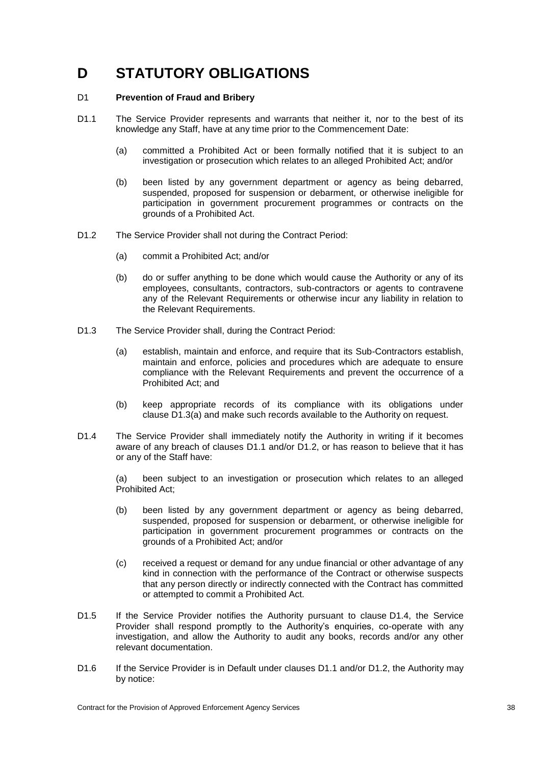# **D STATUTORY OBLIGATIONS**

## <span id="page-43-6"></span>D1 **Prevention of Fraud and Bribery**

- <span id="page-43-2"></span>D1.1 The Service Provider represents and warrants that neither it, nor to the best of its knowledge any Staff, have at any time prior to the Commencement Date:
	- (a) committed a Prohibited Act or been formally notified that it is subject to an investigation or prosecution which relates to an alleged Prohibited Act; and/or
	- (b) been listed by any government department or agency as being debarred, suspended, proposed for suspension or debarment, or otherwise ineligible for participation in government procurement programmes or contracts on the grounds of a Prohibited Act.
- <span id="page-43-3"></span>D1.2 The Service Provider shall not during the Contract Period:
	- (a) commit a Prohibited Act; and/or
	- (b) do or suffer anything to be done which would cause the Authority or any of its employees, consultants, contractors, sub-contractors or agents to contravene any of the Relevant Requirements or otherwise incur any liability in relation to the Relevant Requirements.
- <span id="page-43-1"></span><span id="page-43-0"></span>D1.3 The Service Provider shall, during the Contract Period:
	- (a) establish, maintain and enforce, and require that its Sub-Contractors establish, maintain and enforce, policies and procedures which are adequate to ensure compliance with the Relevant Requirements and prevent the occurrence of a Prohibited Act; and
	- (b) keep appropriate records of its compliance with its obligations under clause [D1.3](#page-43-0)[\(a\)](#page-43-1) and make such records available to the Authority on request.
- <span id="page-43-4"></span>D1.4 The Service Provider shall immediately notify the Authority in writing if it becomes aware of any breach of clauses [D1.1](#page-43-2) and/or [D1.2,](#page-43-3) or has reason to believe that it has or any of the Staff have:

(a) been subject to an investigation or prosecution which relates to an alleged Prohibited Act;

- (b) been listed by any government department or agency as being debarred, suspended, proposed for suspension or debarment, or otherwise ineligible for participation in government procurement programmes or contracts on the grounds of a Prohibited Act; and/or
- (c) received a request or demand for any undue financial or other advantage of any kind in connection with the performance of the Contract or otherwise suspects that any person directly or indirectly connected with the Contract has committed or attempted to commit a Prohibited Act.
- D1.5 If the Service Provider notifies the Authority pursuant to clause [D1.4,](#page-43-4) the Service Provider shall respond promptly to the Authority's enquiries, co-operate with any investigation, and allow the Authority to audit any books, records and/or any other relevant documentation.
- <span id="page-43-5"></span>D1.6 If the Service Provider is in Default under clauses [D1.1](#page-43-2) and/or [D1.2,](#page-43-3) the Authority may by notice: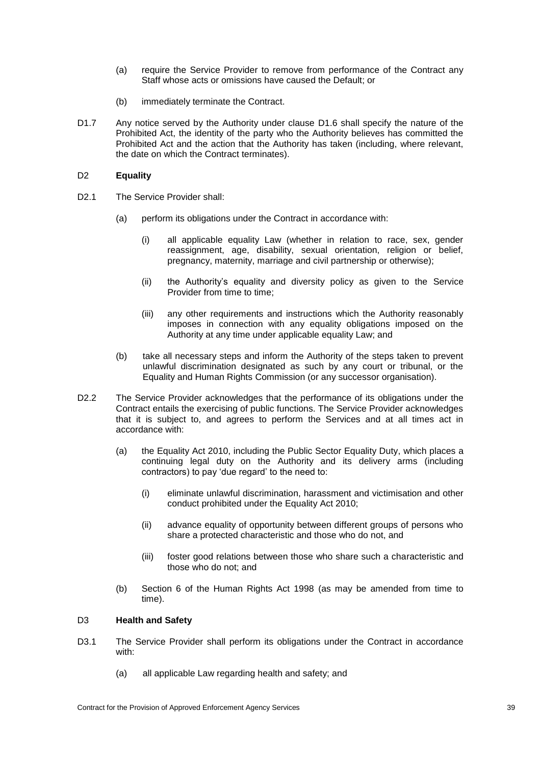- (a) require the Service Provider to remove from performance of the Contract any Staff whose acts or omissions have caused the Default; or
- (b) immediately terminate the Contract.
- D1.7 Any notice served by the Authority under clause [D1.6](#page-43-5) shall specify the nature of the Prohibited Act, the identity of the party who the Authority believes has committed the Prohibited Act and the action that the Authority has taken (including, where relevant, the date on which the Contract terminates).

## D2 **Equality**

- D2.1 The Service Provider shall:
	- (a) perform its obligations under the Contract in accordance with:
		- (i) all applicable equality Law (whether in relation to race, sex, gender reassignment, age, disability, sexual orientation, religion or belief, pregnancy, maternity, marriage and civil partnership or otherwise);
		- (ii) the Authority's equality and diversity policy as given to the Service Provider from time to time;
		- (iii) any other requirements and instructions which the Authority reasonably imposes in connection with any equality obligations imposed on the Authority at any time under applicable equality Law; and
	- (b) take all necessary steps and inform the Authority of the steps taken to prevent unlawful discrimination designated as such by any court or tribunal, or the Equality and Human Rights Commission (or any successor organisation).
- D2.2 The Service Provider acknowledges that the performance of its obligations under the Contract entails the exercising of public functions. The Service Provider acknowledges that it is subject to, and agrees to perform the Services and at all times act in accordance with:
	- (a) the Equality Act 2010, including the Public Sector Equality Duty, which places a continuing legal duty on the Authority and its delivery arms (including contractors) to pay 'due regard' to the need to:
		- (i) eliminate unlawful discrimination, harassment and victimisation and other conduct prohibited under the Equality Act 2010;
		- (ii) advance equality of opportunity between different groups of persons who share a protected characteristic and those who do not, and
		- (iii) foster good relations between those who share such a characteristic and those who do not; and
	- (b) Section 6 of the Human Rights Act 1998 (as may be amended from time to time).

### D3 **Health and Safety**

- D3.1 The Service Provider shall perform its obligations under the Contract in accordance with:
	- (a) all applicable Law regarding health and safety; and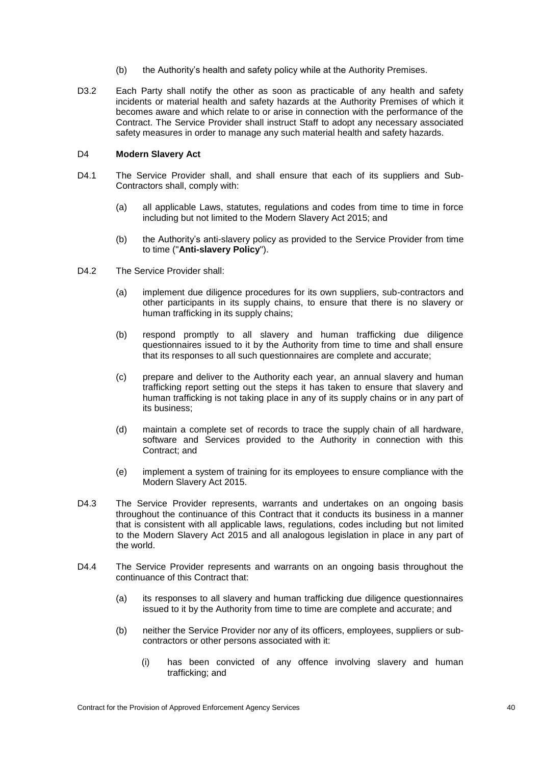- (b) the Authority's health and safety policy while at the Authority Premises.
- D3.2 Each Party shall notify the other as soon as practicable of any health and safety incidents or material health and safety hazards at the Authority Premises of which it becomes aware and which relate to or arise in connection with the performance of the Contract. The Service Provider shall instruct Staff to adopt any necessary associated safety measures in order to manage any such material health and safety hazards.

## D4 **Modern Slavery Act**

- D4.1 The Service Provider shall, and shall ensure that each of its suppliers and Sub-Contractors shall, comply with:
	- (a) all applicable Laws, statutes, regulations and codes from time to time in force including but not limited to the Modern Slavery Act 2015; and
	- (b) the Authority's anti-slavery policy as provided to the Service Provider from time to time ("**Anti-slavery Policy**").
- D4.2 The Service Provider shall:
	- (a) implement due diligence procedures for its own suppliers, sub-contractors and other participants in its supply chains, to ensure that there is no slavery or human trafficking in its supply chains;
	- (b) respond promptly to all slavery and human trafficking due diligence questionnaires issued to it by the Authority from time to time and shall ensure that its responses to all such questionnaires are complete and accurate;
	- (c) prepare and deliver to the Authority each year, an annual slavery and human trafficking report setting out the steps it has taken to ensure that slavery and human trafficking is not taking place in any of its supply chains or in any part of its business;
	- (d) maintain a complete set of records to trace the supply chain of all hardware, software and Services provided to the Authority in connection with this Contract; and
	- (e) implement a system of training for its employees to ensure compliance with the Modern Slavery Act 2015.
- D4.3 The Service Provider represents, warrants and undertakes on an ongoing basis throughout the continuance of this Contract that it conducts its business in a manner that is consistent with all applicable laws, regulations, codes including but not limited to the Modern Slavery Act 2015 and all analogous legislation in place in any part of the world.
- D4.4 The Service Provider represents and warrants on an ongoing basis throughout the continuance of this Contract that:
	- (a) its responses to all slavery and human trafficking due diligence questionnaires issued to it by the Authority from time to time are complete and accurate; and
	- (b) neither the Service Provider nor any of its officers, employees, suppliers or subcontractors or other persons associated with it:
		- (i) has been convicted of any offence involving slavery and human trafficking; and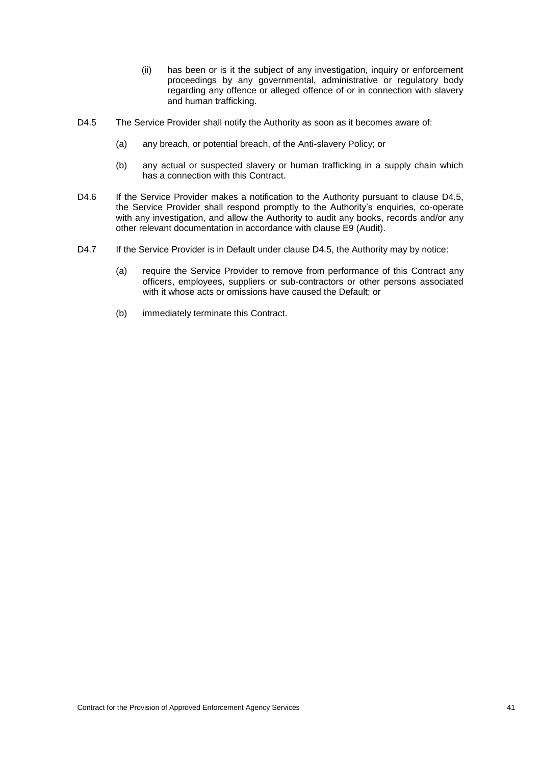- (ii) has been or is it the subject of any investigation, inquiry or enforcement proceedings by any governmental, administrative or regulatory body regarding any offence or alleged offence of or in connection with slavery and human trafficking.
- <span id="page-46-0"></span>D4.5 The Service Provider shall notify the Authority as soon as it becomes aware of:
	- (a) any breach, or potential breach, of the Anti-slavery Policy; or
	- (b) any actual or suspected slavery or human trafficking in a supply chain which has a connection with this Contract.
- D4.6 If the Service Provider makes a notification to the Authority pursuant to clause [D4.5,](#page-46-0) the Service Provider shall respond promptly to the Authority's enquiries, co-operate with any investigation, and allow the Authority to audit any books, records and/or any other relevant documentation in accordance with clause [E9](#page-54-0) (Audit).
- D4.7 If the Service Provider is in Default under clause [D4.5,](#page-46-0) the Authority may by notice:
	- (a) require the Service Provider to remove from performance of this Contract any officers, employees, suppliers or sub-contractors or other persons associated with it whose acts or omissions have caused the Default; or
	- (b) immediately terminate this Contract.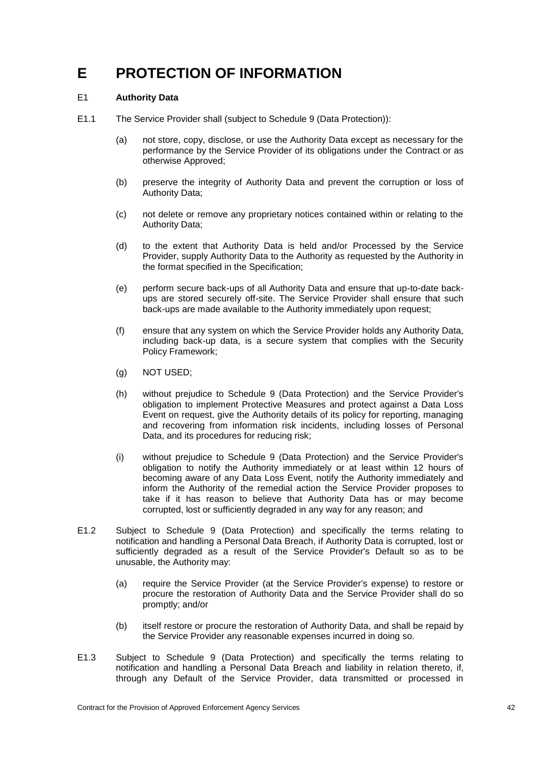# **E PROTECTION OF INFORMATION**

## <span id="page-47-0"></span>E1 **Authority Data**

- E1.1 The Service Provider shall (subject to Schedule 9 (Data Protection)):
	- (a) not store, copy, disclose, or use the Authority Data except as necessary for the performance by the Service Provider of its obligations under the Contract or as otherwise Approved;
	- (b) preserve the integrity of Authority Data and prevent the corruption or loss of Authority Data;
	- (c) not delete or remove any proprietary notices contained within or relating to the Authority Data;
	- (d) to the extent that Authority Data is held and/or Processed by the Service Provider, supply Authority Data to the Authority as requested by the Authority in the format specified in the Specification;
	- (e) perform secure back-ups of all Authority Data and ensure that up-to-date backups are stored securely off-site. The Service Provider shall ensure that such back-ups are made available to the Authority immediately upon request;
	- (f) ensure that any system on which the Service Provider holds any Authority Data, including back-up data, is a secure system that complies with the Security Policy Framework;
	- (g) NOT USED;
	- (h) without prejudice to Schedule 9 (Data Protection) and the Service Provider's obligation to implement Protective Measures and protect against a Data Loss Event on request, give the Authority details of its policy for reporting, managing and recovering from information risk incidents, including losses of Personal Data, and its procedures for reducing risk;
	- (i) without prejudice to Schedule 9 (Data Protection) and the Service Provider's obligation to notify the Authority immediately or at least within 12 hours of becoming aware of any Data Loss Event, notify the Authority immediately and inform the Authority of the remedial action the Service Provider proposes to take if it has reason to believe that Authority Data has or may become corrupted, lost or sufficiently degraded in any way for any reason; and
- E1.2 Subject to Schedule 9 (Data Protection) and specifically the terms relating to notification and handling a Personal Data Breach, if Authority Data is corrupted, lost or sufficiently degraded as a result of the Service Provider's Default so as to be unusable, the Authority may:
	- (a) require the Service Provider (at the Service Provider's expense) to restore or procure the restoration of Authority Data and the Service Provider shall do so promptly; and/or
	- (b) itself restore or procure the restoration of Authority Data, and shall be repaid by the Service Provider any reasonable expenses incurred in doing so.
- E1.3 Subject to Schedule 9 (Data Protection) and specifically the terms relating to notification and handling a Personal Data Breach and liability in relation thereto, if, through any Default of the Service Provider, data transmitted or processed in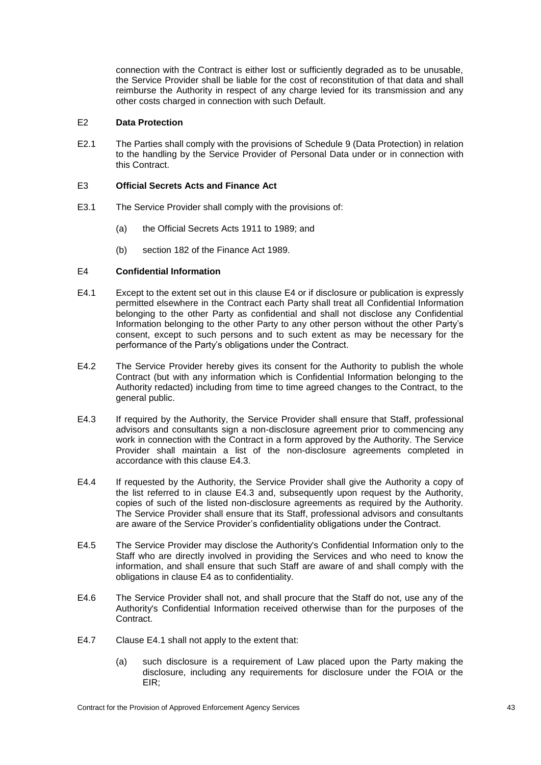connection with the Contract is either lost or sufficiently degraded as to be unusable, the Service Provider shall be liable for the cost of reconstitution of that data and shall reimburse the Authority in respect of any charge levied for its transmission and any other costs charged in connection with such Default.

## <span id="page-48-4"></span>E2 **Data Protection**

E2.1 The Parties shall comply with the provisions of Schedule 9 (Data Protection) in relation to the handling by the Service Provider of Personal Data under or in connection with this Contract.

### E3 **Official Secrets Acts and Finance Act**

- E3.1 The Service Provider shall comply with the provisions of:
	- (a) the Official Secrets Acts 1911 to 1989; and
	- (b) section 182 of the Finance Act 1989.

## <span id="page-48-0"></span>E4 **Confidential Information**

- <span id="page-48-2"></span>E4.1 Except to the extent set out in this clause [E4](#page-48-0) or if disclosure or publication is expressly permitted elsewhere in the Contract each Party shall treat all Confidential Information belonging to the other Party as confidential and shall not disclose any Confidential Information belonging to the other Party to any other person without the other Party's consent, except to such persons and to such extent as may be necessary for the performance of the Party's obligations under the Contract.
- E4.2 The Service Provider hereby gives its consent for the Authority to publish the whole Contract (but with any information which is Confidential Information belonging to the Authority redacted) including from time to time agreed changes to the Contract, to the general public.
- <span id="page-48-1"></span>E4.3 If required by the Authority, the Service Provider shall ensure that Staff, professional advisors and consultants sign a non-disclosure agreement prior to commencing any work in connection with the Contract in a form approved by the Authority. The Service Provider shall maintain a list of the non-disclosure agreements completed in accordance with this clause [E4.3.](#page-48-1)
- E4.4 If requested by the Authority, the Service Provider shall give the Authority a copy of the list referred to in clause E4.3 and, subsequently upon request by the Authority, copies of such of the listed non-disclosure agreements as required by the Authority. The Service Provider shall ensure that its Staff, professional advisors and consultants are aware of the Service Provider's confidentiality obligations under the Contract.
- E4.5 The Service Provider may disclose the Authority's Confidential Information only to the Staff who are directly involved in providing the Services and who need to know the information, and shall ensure that such Staff are aware of and shall comply with the obligations in clause E4 as to confidentiality.
- <span id="page-48-3"></span>E4.6 The Service Provider shall not, and shall procure that the Staff do not, use any of the Authority's Confidential Information received otherwise than for the purposes of the Contract.
- E4.7 Clause [E4.1](#page-48-2) shall not apply to the extent that:
	- (a) such disclosure is a requirement of Law placed upon the Party making the disclosure, including any requirements for disclosure under the FOIA or the EIR;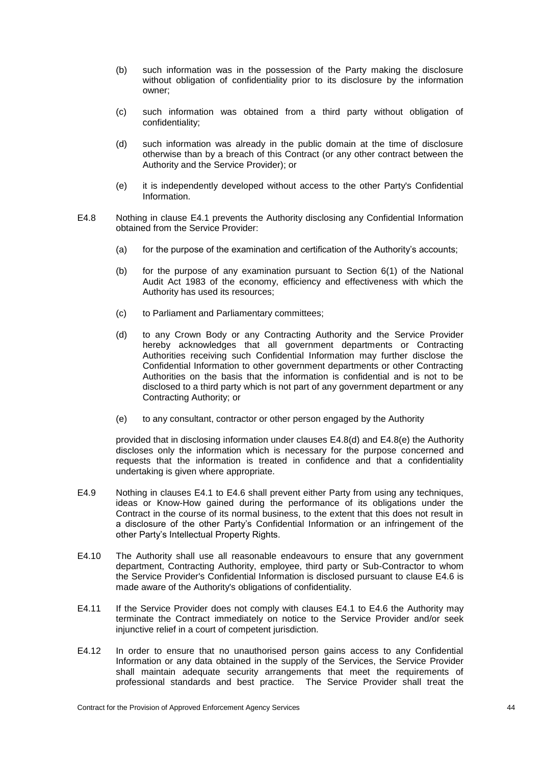- (b) such information was in the possession of the Party making the disclosure without obligation of confidentiality prior to its disclosure by the information owner;
- (c) such information was obtained from a third party without obligation of confidentiality;
- (d) such information was already in the public domain at the time of disclosure otherwise than by a breach of this Contract (or any other contract between the Authority and the Service Provider); or
- (e) it is independently developed without access to the other Party's Confidential Information.
- <span id="page-49-0"></span>E4.8 Nothing in clause [E4.1](#page-48-2) prevents the Authority disclosing any Confidential Information obtained from the Service Provider:
	- (a) for the purpose of the examination and certification of the Authority's accounts;
	- (b) for the purpose of any examination pursuant to Section 6(1) of the National Audit Act 1983 of the economy, efficiency and effectiveness with which the Authority has used its resources;
	- (c) to Parliament and Parliamentary committees;
	- (d) to any Crown Body or any Contracting Authority and the Service Provider hereby acknowledges that all government departments or Contracting Authorities receiving such Confidential Information may further disclose the Confidential Information to other government departments or other Contracting Authorities on the basis that the information is confidential and is not to be disclosed to a third party which is not part of any government department or any Contracting Authority; or
	- (e) to any consultant, contractor or other person engaged by the Authority

<span id="page-49-2"></span><span id="page-49-1"></span>provided that in disclosing information under clauses [E4.8](#page-49-0)[\(d\)](#page-49-1) and [E4.8](#page-49-0)[\(e\)](#page-49-2) the Authority discloses only the information which is necessary for the purpose concerned and requests that the information is treated in confidence and that a confidentiality undertaking is given where appropriate.

- E4.9 Nothing in clauses [E4.1](#page-48-2) to [E4.6](#page-48-3) shall prevent either Party from using any techniques, ideas or Know-How gained during the performance of its obligations under the Contract in the course of its normal business, to the extent that this does not result in a disclosure of the other Party's Confidential Information or an infringement of the other Party's Intellectual Property Rights.
- E4.10 The Authority shall use all reasonable endeavours to ensure that any government department, Contracting Authority, employee, third party or Sub-Contractor to whom the Service Provider's Confidential Information is disclosed pursuant to clause [E4.6](#page-48-3) is made aware of the Authority's obligations of confidentiality.
- E4.11 If the Service Provider does not comply with clauses [E4.1](#page-48-2) to [E4.6](#page-48-3) the Authority may terminate the Contract immediately on notice to the Service Provider and/or seek injunctive relief in a court of competent jurisdiction.
- <span id="page-49-3"></span>E4.12 In order to ensure that no unauthorised person gains access to any Confidential Information or any data obtained in the supply of the Services, the Service Provider shall maintain adequate security arrangements that meet the requirements of professional standards and best practice. The Service Provider shall treat the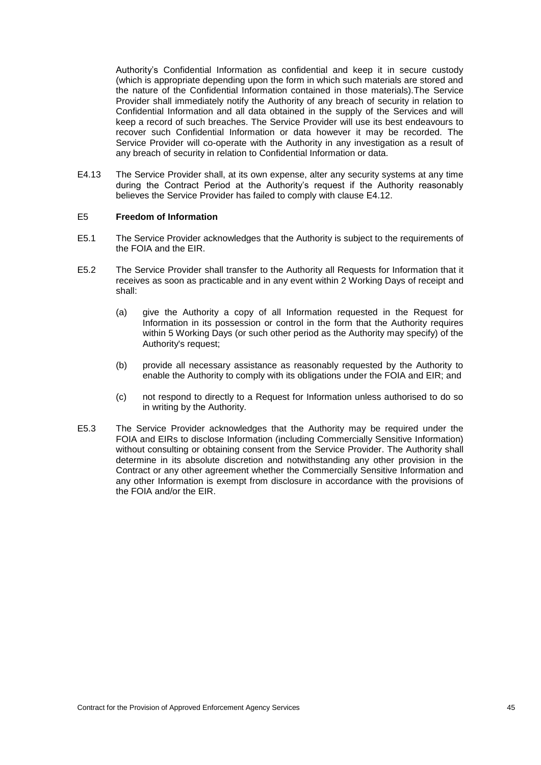Authority's Confidential Information as confidential and keep it in secure custody (which is appropriate depending upon the form in which such materials are stored and the nature of the Confidential Information contained in those materials).The Service Provider shall immediately notify the Authority of any breach of security in relation to Confidential Information and all data obtained in the supply of the Services and will keep a record of such breaches. The Service Provider will use its best endeavours to recover such Confidential Information or data however it may be recorded. The Service Provider will co-operate with the Authority in any investigation as a result of any breach of security in relation to Confidential Information or data.

E4.13 The Service Provider shall, at its own expense, alter any security systems at any time during the Contract Period at the Authority's request if the Authority reasonably believes the Service Provider has failed to comply with clause [E4.12.](#page-49-3)

### <span id="page-50-0"></span>E5 **Freedom of Information**

- E5.1 The Service Provider acknowledges that the Authority is subject to the requirements of the FOIA and the EIR.
- E5.2 The Service Provider shall transfer to the Authority all Requests for Information that it receives as soon as practicable and in any event within 2 Working Days of receipt and shall:
	- (a) give the Authority a copy of all Information requested in the Request for Information in its possession or control in the form that the Authority requires within 5 Working Days (or such other period as the Authority may specify) of the Authority's request;
	- (b) provide all necessary assistance as reasonably requested by the Authority to enable the Authority to comply with its obligations under the FOIA and EIR; and
	- (c) not respond to directly to a Request for Information unless authorised to do so in writing by the Authority.
- E5.3 The Service Provider acknowledges that the Authority may be required under the FOIA and EIRs to disclose Information (including Commercially Sensitive Information) without consulting or obtaining consent from the Service Provider. The Authority shall determine in its absolute discretion and notwithstanding any other provision in the Contract or any other agreement whether the Commercially Sensitive Information and any other Information is exempt from disclosure in accordance with the provisions of the FOIA and/or the EIR.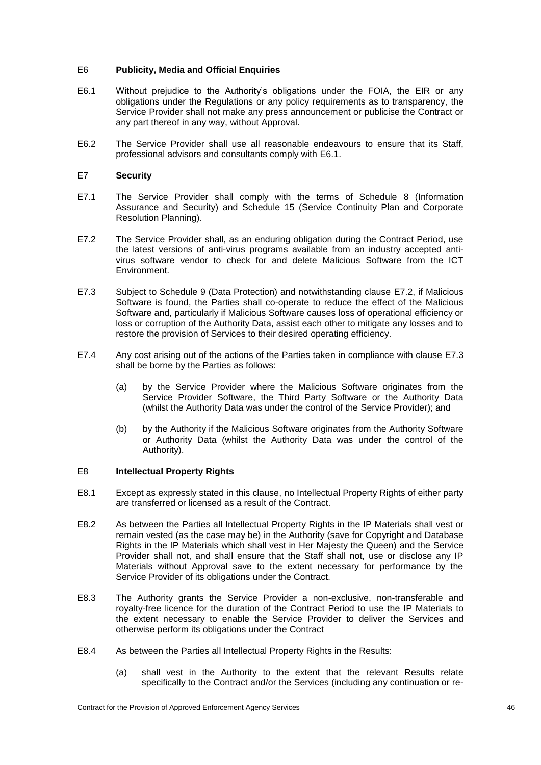## E6 **Publicity, Media and Official Enquiries**

- <span id="page-51-0"></span>E6.1 Without prejudice to the Authority's obligations under the FOIA, the EIR or any obligations under the Regulations or any policy requirements as to transparency, the Service Provider shall not make any press announcement or publicise the Contract or any part thereof in any way, without Approval.
- E6.2 The Service Provider shall use all reasonable endeavours to ensure that its Staff, professional advisors and consultants comply with [E6.1.](#page-51-0)

### <span id="page-51-4"></span>E7 **Security**

- E7.1 The Service Provider shall comply with the terms of Schedule 8 (Information Assurance and Security) and Schedule 15 (Service Continuity Plan and Corporate Resolution Planning).
- <span id="page-51-1"></span>E7.2 The Service Provider shall, as an enduring obligation during the Contract Period, use the latest versions of anti-virus programs available from an industry accepted antivirus software vendor to check for and delete Malicious Software from the ICT Environment.
- <span id="page-51-2"></span>E7.3 Subject to Schedule 9 (Data Protection) and notwithstanding clause [E7.2,](#page-51-1) if Malicious Software is found, the Parties shall co-operate to reduce the effect of the Malicious Software and, particularly if Malicious Software causes loss of operational efficiency or loss or corruption of the Authority Data, assist each other to mitigate any losses and to restore the provision of Services to their desired operating efficiency.
- E7.4 Any cost arising out of the actions of the Parties taken in compliance with clause [E7.3](#page-51-2) shall be borne by the Parties as follows:
	- (a) by the Service Provider where the Malicious Software originates from the Service Provider Software, the Third Party Software or the Authority Data (whilst the Authority Data was under the control of the Service Provider); and
	- (b) by the Authority if the Malicious Software originates from the Authority Software or Authority Data (whilst the Authority Data was under the control of the Authority).

### <span id="page-51-3"></span>E8 **Intellectual Property Rights**

- E8.1 Except as expressly stated in this clause, no Intellectual Property Rights of either party are transferred or licensed as a result of the Contract.
- E8.2 As between the Parties all Intellectual Property Rights in the IP Materials shall vest or remain vested (as the case may be) in the Authority (save for Copyright and Database Rights in the IP Materials which shall vest in Her Majesty the Queen) and the Service Provider shall not, and shall ensure that the Staff shall not, use or disclose any IP Materials without Approval save to the extent necessary for performance by the Service Provider of its obligations under the Contract.
- E8.3 The Authority grants the Service Provider a non-exclusive, non-transferable and royalty-free licence for the duration of the Contract Period to use the IP Materials to the extent necessary to enable the Service Provider to deliver the Services and otherwise perform its obligations under the Contract
- E8.4 As between the Parties all Intellectual Property Rights in the Results:
	- (a) shall vest in the Authority to the extent that the relevant Results relate specifically to the Contract and/or the Services (including any continuation or re-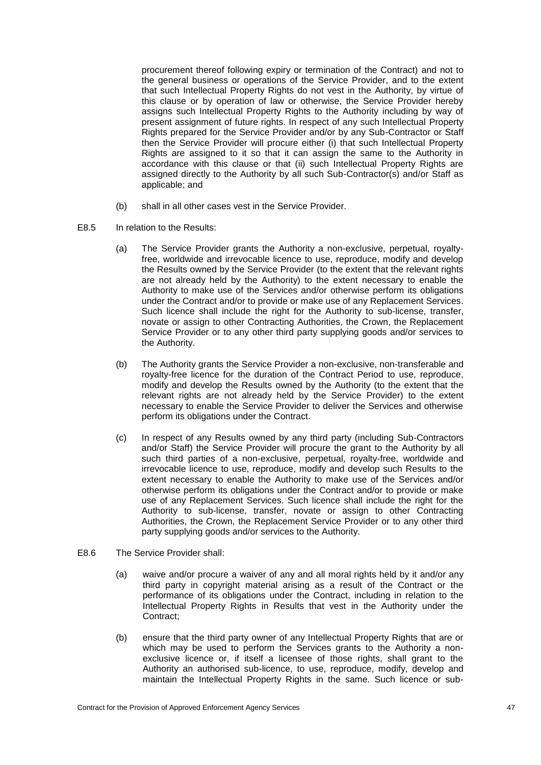procurement thereof following expiry or termination of the Contract) and not to the general business or operations of the Service Provider, and to the extent that such Intellectual Property Rights do not vest in the Authority, by virtue of this clause or by operation of law or otherwise, the Service Provider hereby assigns such Intellectual Property Rights to the Authority including by way of present assignment of future rights. In respect of any such Intellectual Property Rights prepared for the Service Provider and/or by any Sub-Contractor or Staff then the Service Provider will procure either (i) that such Intellectual Property Rights are assigned to it so that it can assign the same to the Authority in accordance with this clause or that (ii) such Intellectual Property Rights are assigned directly to the Authority by all such Sub-Contractor(s) and/or Staff as applicable; and

- (b) shall in all other cases vest in the Service Provider.
- <span id="page-52-1"></span>E8.5 In relation to the Results:
	- (a) The Service Provider grants the Authority a non-exclusive, perpetual, royaltyfree, worldwide and irrevocable licence to use, reproduce, modify and develop the Results owned by the Service Provider (to the extent that the relevant rights are not already held by the Authority) to the extent necessary to enable the Authority to make use of the Services and/or otherwise perform its obligations under the Contract and/or to provide or make use of any Replacement Services. Such licence shall include the right for the Authority to sub-license, transfer, novate or assign to other Contracting Authorities, the Crown, the Replacement Service Provider or to any other third party supplying goods and/or services to the Authority.
	- (b) The Authority grants the Service Provider a non-exclusive, non-transferable and royalty-free licence for the duration of the Contract Period to use, reproduce, modify and develop the Results owned by the Authority (to the extent that the relevant rights are not already held by the Service Provider) to the extent necessary to enable the Service Provider to deliver the Services and otherwise perform its obligations under the Contract.
	- (c) In respect of any Results owned by any third party (including Sub-Contractors and/or Staff) the Service Provider will procure the grant to the Authority by all such third parties of a non-exclusive, perpetual, royalty-free, worldwide and irrevocable licence to use, reproduce, modify and develop such Results to the extent necessary to enable the Authority to make use of the Services and/or otherwise perform its obligations under the Contract and/or to provide or make use of any Replacement Services. Such licence shall include the right for the Authority to sub-license, transfer, novate or assign to other Contracting Authorities, the Crown, the Replacement Service Provider or to any other third party supplying goods and/or services to the Authority.
- <span id="page-52-2"></span><span id="page-52-0"></span>E8.6 The Service Provider shall:
	- (a) waive and/or procure a waiver of any and all moral rights held by it and/or any third party in copyright material arising as a result of the Contract or the performance of its obligations under the Contract, including in relation to the Intellectual Property Rights in Results that vest in the Authority under the Contract;
	- (b) ensure that the third party owner of any Intellectual Property Rights that are or which may be used to perform the Services grants to the Authority a nonexclusive licence or, if itself a licensee of those rights, shall grant to the Authority an authorised sub-licence, to use, reproduce, modify, develop and maintain the Intellectual Property Rights in the same. Such licence or sub-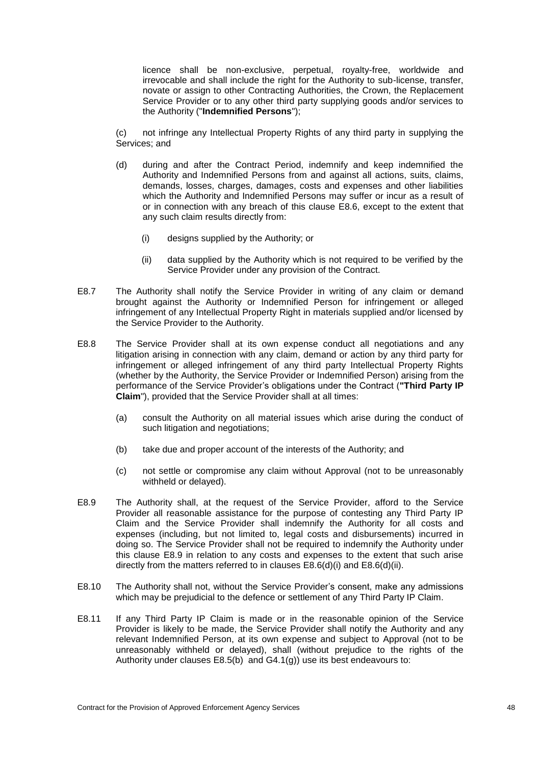licence shall be non-exclusive, perpetual, royalty-free, worldwide and irrevocable and shall include the right for the Authority to sub-license, transfer, novate or assign to other Contracting Authorities, the Crown, the Replacement Service Provider or to any other third party supplying goods and/or services to the Authority ("**Indemnified Persons**");

(c) not infringe any Intellectual Property Rights of any third party in supplying the Services; and

- (d) during and after the Contract Period, indemnify and keep indemnified the Authority and Indemnified Persons from and against all actions, suits, claims, demands, losses, charges, damages, costs and expenses and other liabilities which the Authority and Indemnified Persons may suffer or incur as a result of or in connection with any breach of this clause [E8.6,](#page-52-0) except to the extent that any such claim results directly from:
	- (i) designs supplied by the Authority; or
	- (ii) data supplied by the Authority which is not required to be verified by the Service Provider under any provision of the Contract.
- E8.7 The Authority shall notify the Service Provider in writing of any claim or demand brought against the Authority or Indemnified Person for infringement or alleged infringement of any Intellectual Property Right in materials supplied and/or licensed by the Service Provider to the Authority.
- E8.8 The Service Provider shall at its own expense conduct all negotiations and any litigation arising in connection with any claim, demand or action by any third party for infringement or alleged infringement of any third party Intellectual Property Rights (whether by the Authority, the Service Provider or Indemnified Person) arising from the performance of the Service Provider's obligations under the Contract (**"Third Party IP Claim**"), provided that the Service Provider shall at all times:
	- (a) consult the Authority on all material issues which arise during the conduct of such litigation and negotiations;
	- (b) take due and proper account of the interests of the Authority; and
	- (c) not settle or compromise any claim without Approval (not to be unreasonably withheld or delayed).
- <span id="page-53-0"></span>E8.9 The Authority shall, at the request of the Service Provider, afford to the Service Provider all reasonable assistance for the purpose of contesting any Third Party IP Claim and the Service Provider shall indemnify the Authority for all costs and expenses (including, but not limited to, legal costs and disbursements) incurred in doing so. The Service Provider shall not be required to indemnify the Authority under this clause [E8.9](#page-53-0) in relation to any costs and expenses to the extent that such arise directly from the matters referred to in clauses [E8.6\(](#page-52-0)d)(i) and [E8.6\(](#page-52-0)d)(ii).
- E8.10 The Authority shall not, without the Service Provider's consent, make any admissions which may be prejudicial to the defence or settlement of any Third Party IP Claim.
- <span id="page-53-1"></span>E8.11 If any Third Party IP Claim is made or in the reasonable opinion of the Service Provider is likely to be made, the Service Provider shall notify the Authority and any relevant Indemnified Person, at its own expense and subject to Approval (not to be unreasonably withheld or delayed), shall (without prejudice to the rights of the Authority under clauses [E8.5](#page-52-1)[\(b\)](#page-52-2) and [G4.1](#page-75-0)[\(g\)\)](#page-76-0) use its best endeavours to: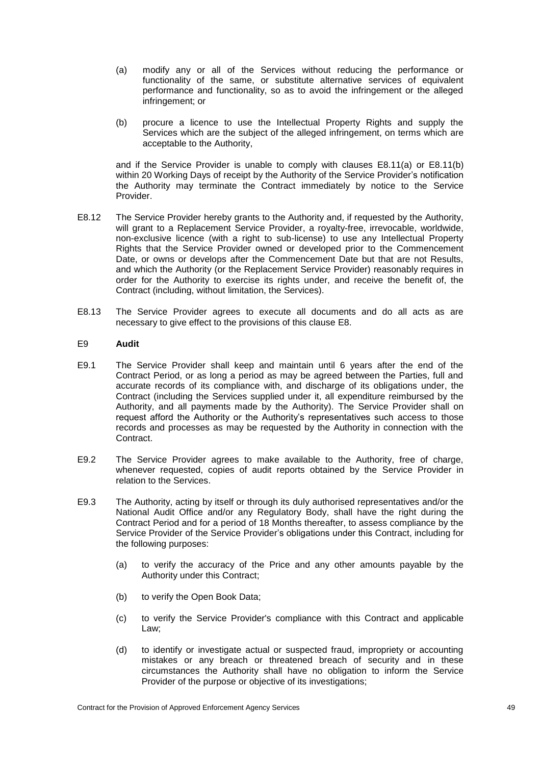- <span id="page-54-1"></span>(a) modify any or all of the Services without reducing the performance or functionality of the same, or substitute alternative services of equivalent performance and functionality, so as to avoid the infringement or the alleged infringement; or
- <span id="page-54-2"></span>(b) procure a licence to use the Intellectual Property Rights and supply the Services which are the subject of the alleged infringement, on terms which are acceptable to the Authority,

and if the Service Provider is unable to comply with clauses [E8.11](#page-53-1)[\(a\)](#page-54-1) or [E8.11](#page-53-1)[\(b\)](#page-54-2) within 20 Working Days of receipt by the Authority of the Service Provider's notification the Authority may terminate the Contract immediately by notice to the Service Provider.

- E8.12 The Service Provider hereby grants to the Authority and, if requested by the Authority, will grant to a Replacement Service Provider, a royalty-free, irrevocable, worldwide, non-exclusive licence (with a right to sub-license) to use any Intellectual Property Rights that the Service Provider owned or developed prior to the Commencement Date, or owns or develops after the Commencement Date but that are not Results, and which the Authority (or the Replacement Service Provider) reasonably requires in order for the Authority to exercise its rights under, and receive the benefit of, the Contract (including, without limitation, the Services).
- E8.13 The Service Provider agrees to execute all documents and do all acts as are necessary to give effect to the provisions of this clause [E8.](#page-51-3)

### <span id="page-54-0"></span>E9 **Audit**

- E9.1 The Service Provider shall keep and maintain until 6 years after the end of the Contract Period, or as long a period as may be agreed between the Parties, full and accurate records of its compliance with, and discharge of its obligations under, the Contract (including the Services supplied under it, all expenditure reimbursed by the Authority, and all payments made by the Authority). The Service Provider shall on request afford the Authority or the Authority's representatives such access to those records and processes as may be requested by the Authority in connection with the Contract.
- E9.2 The Service Provider agrees to make available to the Authority, free of charge, whenever requested, copies of audit reports obtained by the Service Provider in relation to the Services.
- E9.3 The Authority, acting by itself or through its duly authorised representatives and/or the National Audit Office and/or any Regulatory Body, shall have the right during the Contract Period and for a period of 18 Months thereafter, to assess compliance by the Service Provider of the Service Provider's obligations under this Contract, including for the following purposes:
	- (a) to verify the accuracy of the Price and any other amounts payable by the Authority under this Contract;
	- (b) to verify the Open Book Data;
	- (c) to verify the Service Provider's compliance with this Contract and applicable Law;
	- (d) to identify or investigate actual or suspected fraud, impropriety or accounting mistakes or any breach or threatened breach of security and in these circumstances the Authority shall have no obligation to inform the Service Provider of the purpose or objective of its investigations;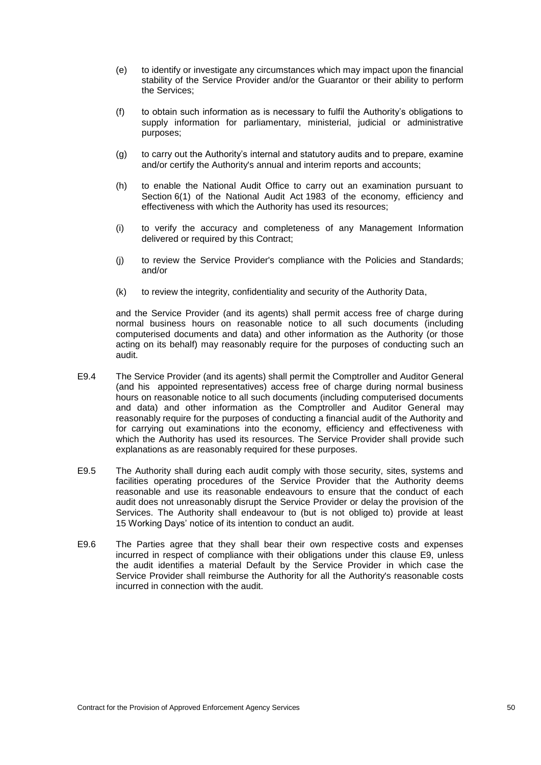- (e) to identify or investigate any circumstances which may impact upon the financial stability of the Service Provider and/or the Guarantor or their ability to perform the Services;
- (f) to obtain such information as is necessary to fulfil the Authority's obligations to supply information for parliamentary, ministerial, judicial or administrative purposes;
- (g) to carry out the Authority's internal and statutory audits and to prepare, examine and/or certify the Authority's annual and interim reports and accounts;
- (h) to enable the National Audit Office to carry out an examination pursuant to Section 6(1) of the National Audit Act 1983 of the economy, efficiency and effectiveness with which the Authority has used its resources;
- (i) to verify the accuracy and completeness of any Management Information delivered or required by this Contract;
- (j) to review the Service Provider's compliance with the Policies and Standards; and/or
- (k) to review the integrity, confidentiality and security of the Authority Data,

and the Service Provider (and its agents) shall permit access free of charge during normal business hours on reasonable notice to all such documents (including computerised documents and data) and other information as the Authority (or those acting on its behalf) may reasonably require for the purposes of conducting such an audit.

- E9.4 The Service Provider (and its agents) shall permit the Comptroller and Auditor General (and his appointed representatives) access free of charge during normal business hours on reasonable notice to all such documents (including computerised documents and data) and other information as the Comptroller and Auditor General may reasonably require for the purposes of conducting a financial audit of the Authority and for carrying out examinations into the economy, efficiency and effectiveness with which the Authority has used its resources. The Service Provider shall provide such explanations as are reasonably required for these purposes.
- E9.5 The Authority shall during each audit comply with those security, sites, systems and facilities operating procedures of the Service Provider that the Authority deems reasonable and use its reasonable endeavours to ensure that the conduct of each audit does not unreasonably disrupt the Service Provider or delay the provision of the Services. The Authority shall endeavour to (but is not obliged to) provide at least 15 Working Days' notice of its intention to conduct an audit.
- E9.6 The Parties agree that they shall bear their own respective costs and expenses incurred in respect of compliance with their obligations under this clause [E9,](#page-54-0) unless the audit identifies a material Default by the Service Provider in which case the Service Provider shall reimburse the Authority for all the Authority's reasonable costs incurred in connection with the audit.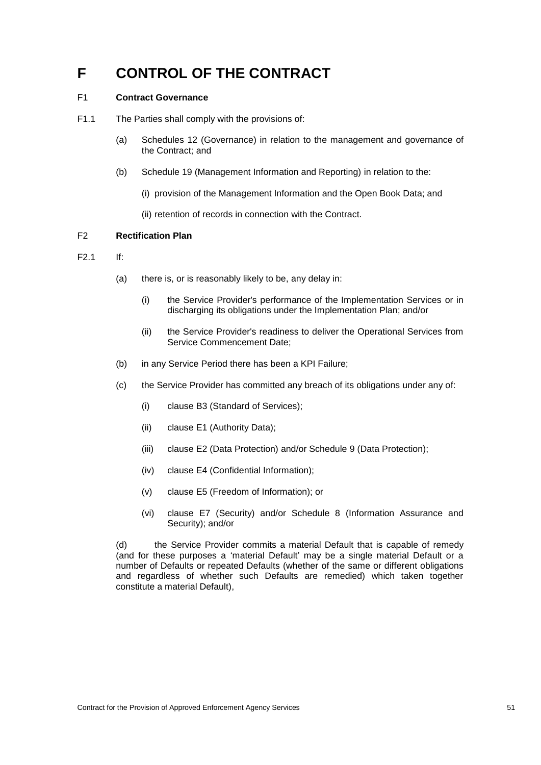# **F CONTROL OF THE CONTRACT**

## F1 **Contract Governance**

- F1.1 The Parties shall comply with the provisions of:
	- (a) Schedules 12 (Governance) in relation to the management and governance of the Contract; and
	- (b) Schedule 19 (Management Information and Reporting) in relation to the:
		- (i) provision of the Management Information and the Open Book Data; and
		- (ii) retention of records in connection with the Contract.

## F2 **Rectification Plan**

- <span id="page-56-0"></span>F2.1 If:
	- (a) there is, or is reasonably likely to be, any delay in:
		- (i) the Service Provider's performance of the Implementation Services or in discharging its obligations under the Implementation Plan; and/or
		- (ii) the Service Provider's readiness to deliver the Operational Services from Service Commencement Date;
	- (b) in any Service Period there has been a KPI Failure;
	- (c) the Service Provider has committed any breach of its obligations under any of:
		- (i) clause [B3](#page-32-0) (Standard of Services);
		- (ii) clause [E1](#page-47-0) (Authority Data);
		- (iii) clause [E2](#page-48-4) (Data Protection) and/or Schedule 9 (Data Protection);
		- (iv) clause [E4](#page-48-0) (Confidential Information);
		- (v) clause [E5](#page-50-0) (Freedom of Information); or
		- (vi) clause [E7](#page-51-4) (Security) and/or Schedule 8 (Information Assurance and Security); and/or

(d) the Service Provider commits a material Default that is capable of remedy (and for these purposes a 'material Default' may be a single material Default or a number of Defaults or repeated Defaults (whether of the same or different obligations and regardless of whether such Defaults are remedied) which taken together constitute a material Default),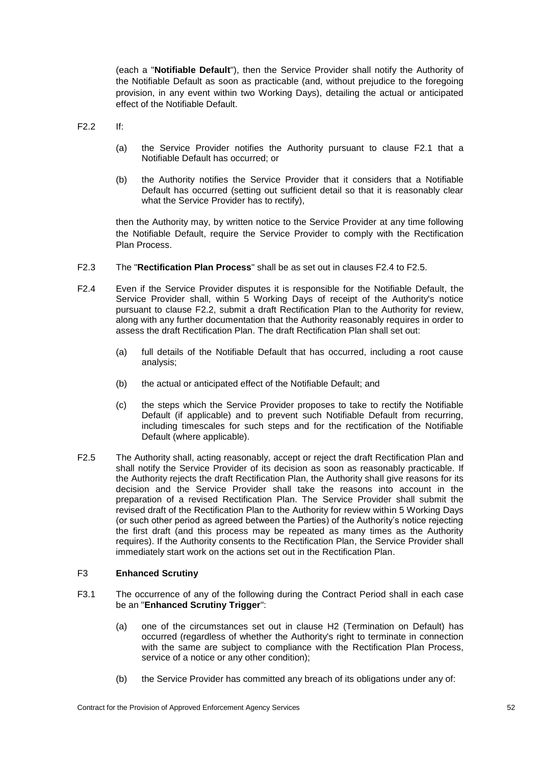(each a "**Notifiable Default**"), then the Service Provider shall notify the Authority of the Notifiable Default as soon as practicable (and, without prejudice to the foregoing provision, in any event within two Working Days), detailing the actual or anticipated effect of the Notifiable Default.

<span id="page-57-2"></span> $F2.2$  If

- (a) the Service Provider notifies the Authority pursuant to clause [F2.1](#page-56-0) that a Notifiable Default has occurred; or
- (b) the Authority notifies the Service Provider that it considers that a Notifiable Default has occurred (setting out sufficient detail so that it is reasonably clear what the Service Provider has to rectify),

then the Authority may, by written notice to the Service Provider at any time following the Notifiable Default, require the Service Provider to comply with the Rectification Plan Process.

- F2.3 The "**Rectification Plan Process**" shall be as set out in clauses [F2.4](#page-57-0) to [F2.5.](#page-57-1)
- <span id="page-57-0"></span>F2.4 Even if the Service Provider disputes it is responsible for the Notifiable Default, the Service Provider shall, within 5 Working Days of receipt of the Authority's notice pursuant to clause [F2.2,](#page-57-2) submit a draft Rectification Plan to the Authority for review, along with any further documentation that the Authority reasonably requires in order to assess the draft Rectification Plan. The draft Rectification Plan shall set out:
	- (a) full details of the Notifiable Default that has occurred, including a root cause analysis;
	- (b) the actual or anticipated effect of the Notifiable Default; and
	- (c) the steps which the Service Provider proposes to take to rectify the Notifiable Default (if applicable) and to prevent such Notifiable Default from recurring, including timescales for such steps and for the rectification of the Notifiable Default (where applicable).
- <span id="page-57-1"></span>F2.5 The Authority shall, acting reasonably, accept or reject the draft Rectification Plan and shall notify the Service Provider of its decision as soon as reasonably practicable. If the Authority rejects the draft Rectification Plan, the Authority shall give reasons for its decision and the Service Provider shall take the reasons into account in the preparation of a revised Rectification Plan. The Service Provider shall submit the revised draft of the Rectification Plan to the Authority for review within 5 Working Days (or such other period as agreed between the Parties) of the Authority's notice rejecting the first draft (and this process may be repeated as many times as the Authority requires). If the Authority consents to the Rectification Plan, the Service Provider shall immediately start work on the actions set out in the Rectification Plan.

## <span id="page-57-4"></span>F3 **Enhanced Scrutiny**

- <span id="page-57-3"></span>F3.1 The occurrence of any of the following during the Contract Period shall in each case be an "**Enhanced Scrutiny Trigger**":
	- (a) one of the circumstances set out in clause [H2](#page-79-0) (Termination on Default) has occurred (regardless of whether the Authority's right to terminate in connection with the same are subject to compliance with the Rectification Plan Process, service of a notice or any other condition);
	- (b) the Service Provider has committed any breach of its obligations under any of: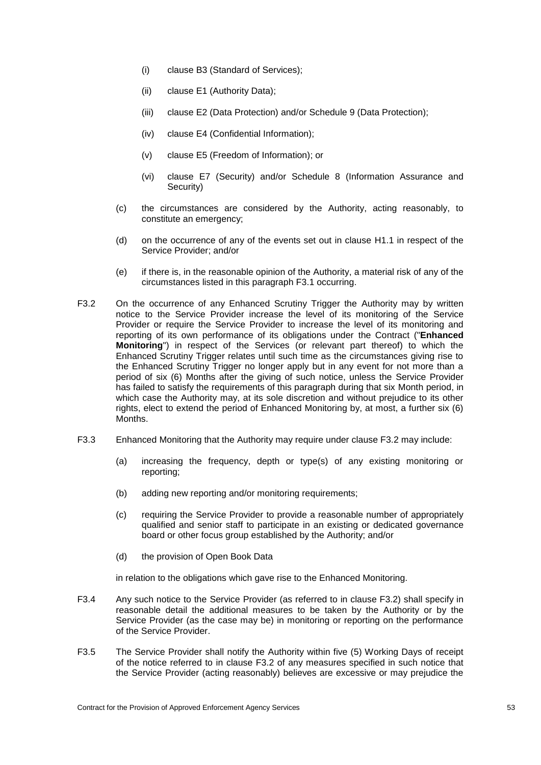- (i) clause [B3](#page-32-0) (Standard of Services);
- (ii) clause [E1](#page-47-0) (Authority Data);
- (iii) clause [E2](#page-48-4) (Data Protection) and/or Schedule 9 (Data Protection);
- (iv) clause [E4](#page-48-0) (Confidential Information);
- (v) clause [E5](#page-50-0) (Freedom of Information); or
- (vi) clause [E7](#page-51-4) (Security) and/or Schedule 8 (Information Assurance and Security)
- (c) the circumstances are considered by the Authority, acting reasonably, to constitute an emergency;
- (d) on the occurrence of any of the events set out in clause [H1.1](#page-77-0) in respect of the Service Provider; and/or
- (e) if there is, in the reasonable opinion of the Authority, a material risk of any of the circumstances listed in this paragraph [F3.1](#page-57-3) occurring.
- <span id="page-58-0"></span>F3.2 On the occurrence of any Enhanced Scrutiny Trigger the Authority may by written notice to the Service Provider increase the level of its monitoring of the Service Provider or require the Service Provider to increase the level of its monitoring and reporting of its own performance of its obligations under the Contract ("**Enhanced Monitoring**") in respect of the Services (or relevant part thereof) to which the Enhanced Scrutiny Trigger relates until such time as the circumstances giving rise to the Enhanced Scrutiny Trigger no longer apply but in any event for not more than a period of six (6) Months after the giving of such notice, unless the Service Provider has failed to satisfy the requirements of this paragraph during that six Month period, in which case the Authority may, at its sole discretion and without prejudice to its other rights, elect to extend the period of Enhanced Monitoring by, at most, a further six (6) Months.
- F3.3 Enhanced Monitoring that the Authority may require under clause [F3.2](#page-58-0) may include:
	- (a) increasing the frequency, depth or type(s) of any existing monitoring or reporting;
	- (b) adding new reporting and/or monitoring requirements;
	- (c) requiring the Service Provider to provide a reasonable number of appropriately qualified and senior staff to participate in an existing or dedicated governance board or other focus group established by the Authority; and/or
	- (d) the provision of Open Book Data

in relation to the obligations which gave rise to the Enhanced Monitoring.

- F3.4 Any such notice to the Service Provider (as referred to in clause [F3.2\)](#page-58-0) shall specify in reasonable detail the additional measures to be taken by the Authority or by the Service Provider (as the case may be) in monitoring or reporting on the performance of the Service Provider.
- F3.5 The Service Provider shall notify the Authority within five (5) Working Days of receipt of the notice referred to in clause [F3.2](#page-58-0) of any measures specified in such notice that the Service Provider (acting reasonably) believes are excessive or may prejudice the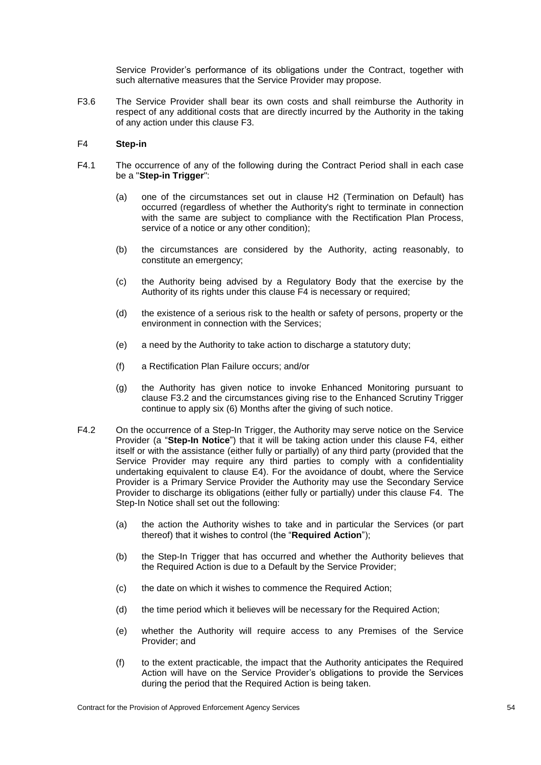Service Provider's performance of its obligations under the Contract, together with such alternative measures that the Service Provider may propose.

F3.6 The Service Provider shall bear its own costs and shall reimburse the Authority in respect of any additional costs that are directly incurred by the Authority in the taking of any action under this clause [F3.](#page-57-4)

## <span id="page-59-0"></span>F4 **Step-in**

- <span id="page-59-2"></span><span id="page-59-1"></span>F4.1 The occurrence of any of the following during the Contract Period shall in each case be a "**Step-in Trigger**":
	- (a) one of the circumstances set out in clause [H2](#page-79-0) (Termination on Default) has occurred (regardless of whether the Authority's right to terminate in connection with the same are subject to compliance with the Rectification Plan Process, service of a notice or any other condition);
	- (b) the circumstances are considered by the Authority, acting reasonably, to constitute an emergency;
	- (c) the Authority being advised by a Regulatory Body that the exercise by the Authority of its rights under this clause [F4](#page-59-0) is necessary or required;
	- (d) the existence of a serious risk to the health or safety of persons, property or the environment in connection with the Services;
	- (e) a need by the Authority to take action to discharge a statutory duty;
	- (f) a Rectification Plan Failure occurs; and/or
	- (g) the Authority has given notice to invoke Enhanced Monitoring pursuant to clause [F3.2](#page-58-0) and the circumstances giving rise to the Enhanced Scrutiny Trigger continue to apply six (6) Months after the giving of such notice.
- F4.2 On the occurrence of a Step-In Trigger, the Authority may serve notice on the Service Provider (a "**Step-In Notice**") that it will be taking action under this clause [F4,](#page-59-0) either itself or with the assistance (either fully or partially) of any third party (provided that the Service Provider may require any third parties to comply with a confidentiality undertaking equivalent to clause [E4\)](#page-48-0). For the avoidance of doubt, where the Service Provider is a Primary Service Provider the Authority may use the Secondary Service Provider to discharge its obligations (either fully or partially) under this clause [F4.](#page-59-0) The Step-In Notice shall set out the following:
	- (a) the action the Authority wishes to take and in particular the Services (or part thereof) that it wishes to control (the "**Required Action**");
	- (b) the Step-In Trigger that has occurred and whether the Authority believes that the Required Action is due to a Default by the Service Provider;
	- (c) the date on which it wishes to commence the Required Action;
	- (d) the time period which it believes will be necessary for the Required Action;
	- (e) whether the Authority will require access to any Premises of the Service Provider; and
	- (f) to the extent practicable, the impact that the Authority anticipates the Required Action will have on the Service Provider's obligations to provide the Services during the period that the Required Action is being taken.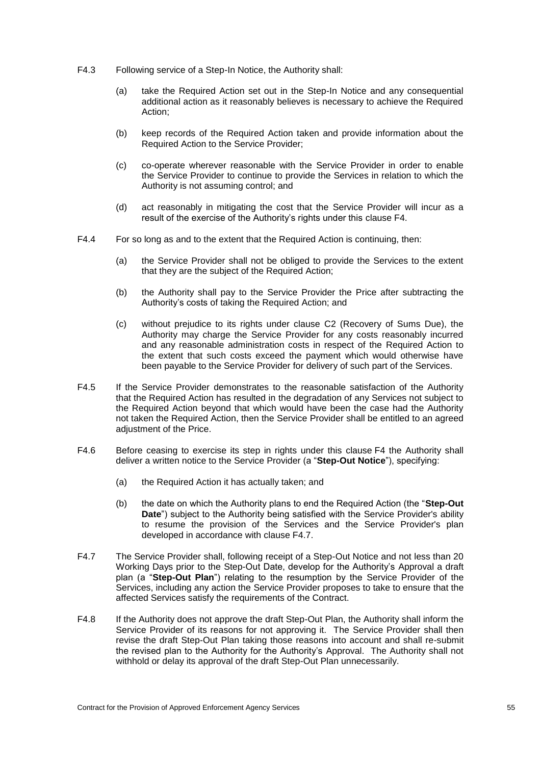- F4.3 Following service of a Step-In Notice, the Authority shall:
	- (a) take the Required Action set out in the Step-In Notice and any consequential additional action as it reasonably believes is necessary to achieve the Required Action;
	- (b) keep records of the Required Action taken and provide information about the Required Action to the Service Provider;
	- (c) co-operate wherever reasonable with the Service Provider in order to enable the Service Provider to continue to provide the Services in relation to which the Authority is not assuming control; and
	- (d) act reasonably in mitigating the cost that the Service Provider will incur as a result of the exercise of the Authority's rights under this clause [F4.](#page-59-0)
- F4.4 For so long as and to the extent that the Required Action is continuing, then:
	- (a) the Service Provider shall not be obliged to provide the Services to the extent that they are the subject of the Required Action;
	- (b) the Authority shall pay to the Service Provider the Price after subtracting the Authority's costs of taking the Required Action; and
	- (c) without prejudice to its rights under clause [C2](#page-41-0) (Recovery of Sums Due), the Authority may charge the Service Provider for any costs reasonably incurred and any reasonable administration costs in respect of the Required Action to the extent that such costs exceed the payment which would otherwise have been payable to the Service Provider for delivery of such part of the Services.
- F4.5 If the Service Provider demonstrates to the reasonable satisfaction of the Authority that the Required Action has resulted in the degradation of any Services not subject to the Required Action beyond that which would have been the case had the Authority not taken the Required Action, then the Service Provider shall be entitled to an agreed adjustment of the Price.
- F4.6 Before ceasing to exercise its step in rights under this clause [F4](#page-59-0) the Authority shall deliver a written notice to the Service Provider (a "**Step-Out Notice**"), specifying:
	- (a) the Required Action it has actually taken; and
	- (b) the date on which the Authority plans to end the Required Action (the "**Step-Out Date**") subject to the Authority being satisfied with the Service Provider's ability to resume the provision of the Services and the Service Provider's plan developed in accordance with clause [F4.7.](#page-60-0)
- <span id="page-60-0"></span>F4.7 The Service Provider shall, following receipt of a Step-Out Notice and not less than 20 Working Days prior to the Step-Out Date, develop for the Authority's Approval a draft plan (a "**Step-Out Plan**") relating to the resumption by the Service Provider of the Services, including any action the Service Provider proposes to take to ensure that the affected Services satisfy the requirements of the Contract.
- F4.8 If the Authority does not approve the draft Step-Out Plan, the Authority shall inform the Service Provider of its reasons for not approving it. The Service Provider shall then revise the draft Step-Out Plan taking those reasons into account and shall re-submit the revised plan to the Authority for the Authority's Approval. The Authority shall not withhold or delay its approval of the draft Step-Out Plan unnecessarily.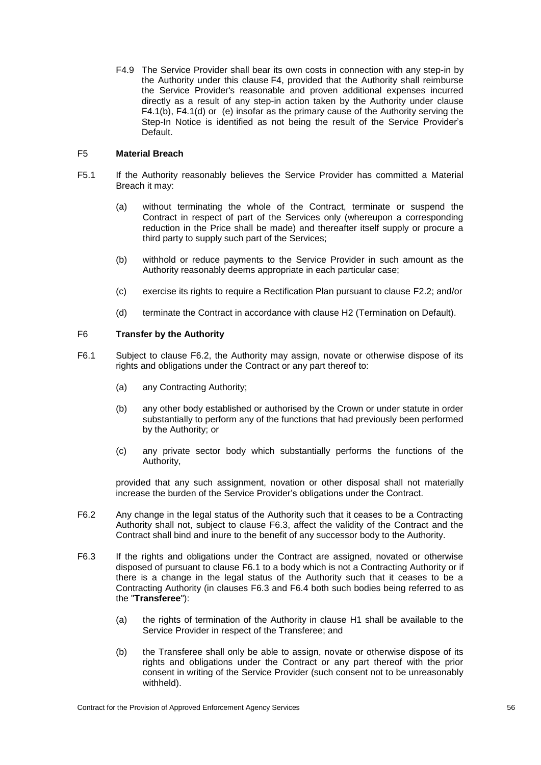F4.9 The Service Provider shall bear its own costs in connection with any step-in by the Authority under this clause [F4,](#page-59-0) provided that the Authority shall reimburse the Service Provider's reasonable and proven additional expenses incurred directly as a result of any step-in action taken by the Authority under clause [F4.1\(b\),](#page-59-1) [F4.1\(](#page-59-2)d) or (e) insofar as the primary cause of the Authority serving the Step-In Notice is identified as not being the result of the Service Provider's Default.

## F5 **Material Breach**

- F5.1 If the Authority reasonably believes the Service Provider has committed a Material Breach it may:
	- (a) without terminating the whole of the Contract, terminate or suspend the Contract in respect of part of the Services only (whereupon a corresponding reduction in the Price shall be made) and thereafter itself supply or procure a third party to supply such part of the Services;
	- (b) withhold or reduce payments to the Service Provider in such amount as the Authority reasonably deems appropriate in each particular case;
	- (c) exercise its rights to require a Rectification Plan pursuant to clause [F2.2;](#page-57-2) and/or
	- (d) terminate the Contract in accordance with clause [H2](#page-79-0) (Termination on Default).

## F6 **Transfer by the Authority**

- <span id="page-61-2"></span>F6.1 Subject to clause [F6.2,](#page-61-0) the Authority may assign, novate or otherwise dispose of its rights and obligations under the Contract or any part thereof to:
	- (a) any Contracting Authority;
	- (b) any other body established or authorised by the Crown or under statute in order substantially to perform any of the functions that had previously been performed by the Authority; or
	- (c) any private sector body which substantially performs the functions of the Authority,

provided that any such assignment, novation or other disposal shall not materially increase the burden of the Service Provider's obligations under the Contract.

- <span id="page-61-0"></span>F6.2 Any change in the legal status of the Authority such that it ceases to be a Contracting Authority shall not, subject to clause [F6.3,](#page-61-1) affect the validity of the Contract and the Contract shall bind and inure to the benefit of any successor body to the Authority.
- <span id="page-61-1"></span>F6.3 If the rights and obligations under the Contract are assigned, novated or otherwise disposed of pursuant to clause [F6.1](#page-61-2) to a body which is not a Contracting Authority or if there is a change in the legal status of the Authority such that it ceases to be a Contracting Authority (in clauses [F6.3](#page-61-1) and [F6.4](#page-62-0) both such bodies being referred to as the "**Transferee**"):
	- (a) the rights of termination of the Authority in clause [H1](#page-77-1) shall be available to the Service Provider in respect of the Transferee; and
	- (b) the Transferee shall only be able to assign, novate or otherwise dispose of its rights and obligations under the Contract or any part thereof with the prior consent in writing of the Service Provider (such consent not to be unreasonably withheld).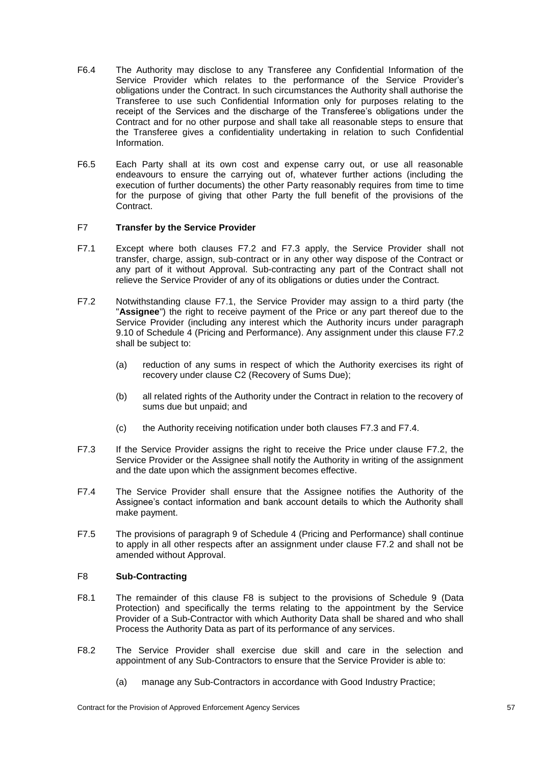- <span id="page-62-0"></span>F6.4 The Authority may disclose to any Transferee any Confidential Information of the Service Provider which relates to the performance of the Service Provider's obligations under the Contract. In such circumstances the Authority shall authorise the Transferee to use such Confidential Information only for purposes relating to the receipt of the Services and the discharge of the Transferee's obligations under the Contract and for no other purpose and shall take all reasonable steps to ensure that the Transferee gives a confidentiality undertaking in relation to such Confidential Information.
- F6.5 Each Party shall at its own cost and expense carry out, or use all reasonable endeavours to ensure the carrying out of, whatever further actions (including the execution of further documents) the other Party reasonably requires from time to time for the purpose of giving that other Party the full benefit of the provisions of the Contract.

### F7 **Transfer by the Service Provider**

- <span id="page-62-3"></span>F7.1 Except where both clauses [F7.2](#page-62-1) and [F7.3](#page-62-2) apply, the Service Provider shall not transfer, charge, assign, sub-contract or in any other way dispose of the Contract or any part of it without Approval. Sub-contracting any part of the Contract shall not relieve the Service Provider of any of its obligations or duties under the Contract.
- <span id="page-62-1"></span>F7.2 Notwithstanding clause [F7.1,](#page-62-3) the Service Provider may assign to a third party (the "**Assignee**") the right to receive payment of the Price or any part thereof due to the Service Provider (including any interest which the Authority incurs under paragraph 9.10 of Schedule 4 (Pricing and Performance). Any assignment under this clause [F7.2](#page-62-1) shall be subject to:
	- (a) reduction of any sums in respect of which the Authority exercises its right of recovery under clause [C2](#page-41-0) (Recovery of Sums Due);
	- (b) all related rights of the Authority under the Contract in relation to the recovery of sums due but unpaid; and
	- (c) the Authority receiving notification under both clauses [F7.3](#page-62-2) and [F7.4.](#page-62-4)
- <span id="page-62-2"></span>F7.3 If the Service Provider assigns the right to receive the Price under clause [F7.2,](#page-62-1) the Service Provider or the Assignee shall notify the Authority in writing of the assignment and the date upon which the assignment becomes effective.
- <span id="page-62-4"></span>F7.4 The Service Provider shall ensure that the Assignee notifies the Authority of the Assignee's contact information and bank account details to which the Authority shall make payment.
- F7.5 The provisions of paragraph 9 of Schedule 4 (Pricing and Performance) shall continue to apply in all other respects after an assignment under clause [F7.2](#page-62-1) and shall not be amended without Approval.

### <span id="page-62-5"></span>F8 **Sub-Contracting**

- F8.1 The remainder of this clause [F8](#page-62-5) is subject to the provisions of Schedule 9 (Data Protection) and specifically the terms relating to the appointment by the Service Provider of a Sub-Contractor with which Authority Data shall be shared and who shall Process the Authority Data as part of its performance of any services.
- F8.2 The Service Provider shall exercise due skill and care in the selection and appointment of any Sub-Contractors to ensure that the Service Provider is able to:
	- (a) manage any Sub-Contractors in accordance with Good Industry Practice;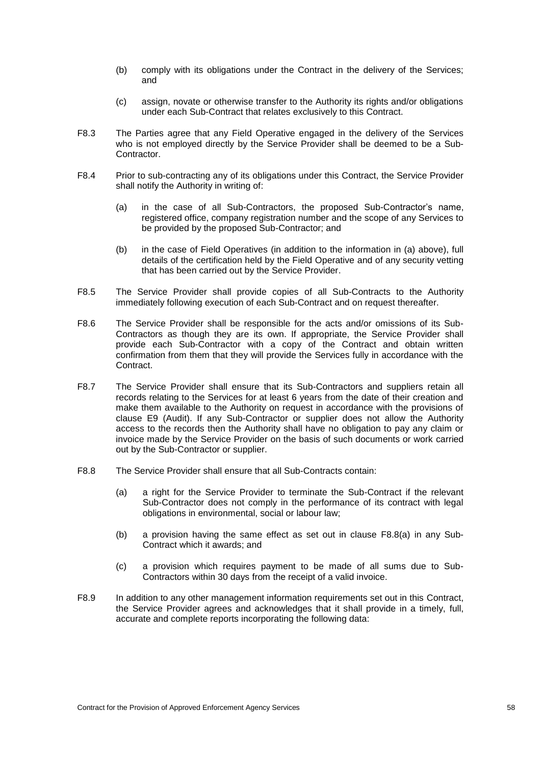- (b) comply with its obligations under the Contract in the delivery of the Services; and
- (c) assign, novate or otherwise transfer to the Authority its rights and/or obligations under each Sub-Contract that relates exclusively to this Contract.
- F8.3 The Parties agree that any Field Operative engaged in the delivery of the Services who is not employed directly by the Service Provider shall be deemed to be a Sub-Contractor.
- F8.4 Prior to sub-contracting any of its obligations under this Contract, the Service Provider shall notify the Authority in writing of:
	- (a) in the case of all Sub-Contractors, the proposed Sub-Contractor's name, registered office, company registration number and the scope of any Services to be provided by the proposed Sub-Contractor; and
	- (b) in the case of Field Operatives (in addition to the information in (a) above), full details of the certification held by the Field Operative and of any security vetting that has been carried out by the Service Provider.
- F8.5 The Service Provider shall provide copies of all Sub-Contracts to the Authority immediately following execution of each Sub-Contract and on request thereafter.
- F8.6 The Service Provider shall be responsible for the acts and/or omissions of its Sub-Contractors as though they are its own. If appropriate, the Service Provider shall provide each Sub-Contractor with a copy of the Contract and obtain written confirmation from them that they will provide the Services fully in accordance with the Contract.
- F8.7 The Service Provider shall ensure that its Sub-Contractors and suppliers retain all records relating to the Services for at least 6 years from the date of their creation and make them available to the Authority on request in accordance with the provisions of clause [E9](#page-54-0) (Audit). If any Sub-Contractor or supplier does not allow the Authority access to the records then the Authority shall have no obligation to pay any claim or invoice made by the Service Provider on the basis of such documents or work carried out by the Sub-Contractor or supplier.
- <span id="page-63-1"></span><span id="page-63-0"></span>F8.8 The Service Provider shall ensure that all Sub-Contracts contain:
	- (a) a right for the Service Provider to terminate the Sub-Contract if the relevant Sub-Contractor does not comply in the performance of its contract with legal obligations in environmental, social or labour law;
	- (b) a provision having the same effect as set out in clause [F8.8](#page-63-0)[\(a\)](#page-63-1) in any Sub-Contract which it awards; and
	- (c) a provision which requires payment to be made of all sums due to Sub-Contractors within 30 days from the receipt of a valid invoice.
- <span id="page-63-2"></span>F8.9 In addition to any other management information requirements set out in this Contract, the Service Provider agrees and acknowledges that it shall provide in a timely, full, accurate and complete reports incorporating the following data: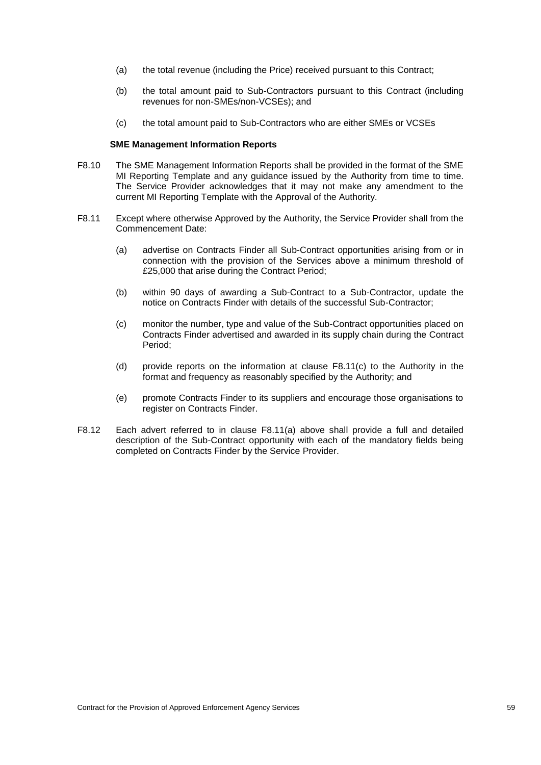- (a) the total revenue (including the Price) received pursuant to this Contract;
- (b) the total amount paid to Sub-Contractors pursuant to this Contract (including revenues for non-SMEs/non-VCSEs); and
- (c) the total amount paid to Sub-Contractors who are either SMEs or VCSEs

### **SME Management Information Reports**

- F8.10 The SME Management Information Reports shall be provided in the format of the SME MI Reporting Template and any guidance issued by the Authority from time to time. The Service Provider acknowledges that it may not make any amendment to the current MI Reporting Template with the Approval of the Authority.
- <span id="page-64-1"></span><span id="page-64-0"></span>F8.11 Except where otherwise Approved by the Authority, the Service Provider shall from the Commencement Date:
	- (a) advertise on Contracts Finder all Sub-Contract opportunities arising from or in connection with the provision of the Services above a minimum threshold of £25,000 that arise during the Contract Period;
	- (b) within 90 days of awarding a Sub-Contract to a Sub-Contractor, update the notice on Contracts Finder with details of the successful Sub-Contractor;
	- (c) monitor the number, type and value of the Sub-Contract opportunities placed on Contracts Finder advertised and awarded in its supply chain during the Contract Period;
	- (d) provide reports on the information at clause F8.1[1\(c\)](#page-64-0) to the Authority in the format and frequency as reasonably specified by the Authority; and
	- (e) promote Contracts Finder to its suppliers and encourage those organisations to register on Contracts Finder.
- F8.12 Each advert referred to in clause F8.1[1\(a\)](#page-64-1) above shall provide a full and detailed description of the Sub-Contract opportunity with each of the mandatory fields being completed on Contracts Finder by the Service Provider.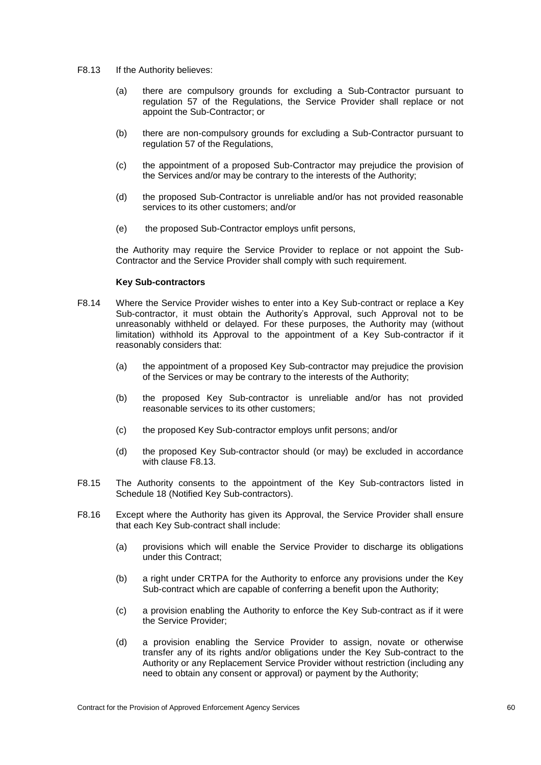- <span id="page-65-0"></span>F8.13 If the Authority believes:
	- (a) there are compulsory grounds for excluding a Sub-Contractor pursuant to regulation 57 of the Regulations, the Service Provider shall replace or not appoint the Sub-Contractor; or
	- (b) there are non-compulsory grounds for excluding a Sub-Contractor pursuant to regulation 57 of the Regulations,
	- (c) the appointment of a proposed Sub-Contractor may prejudice the provision of the Services and/or may be contrary to the interests of the Authority;
	- (d) the proposed Sub-Contractor is unreliable and/or has not provided reasonable services to its other customers; and/or
	- (e) the proposed Sub-Contractor employs unfit persons,

the Authority may require the Service Provider to replace or not appoint the Sub-Contractor and the Service Provider shall comply with such requirement.

#### **Key Sub-contractors**

- F8.14 Where the Service Provider wishes to enter into a Key Sub-contract or replace a Key Sub-contractor, it must obtain the Authority's Approval, such Approval not to be unreasonably withheld or delayed. For these purposes, the Authority may (without limitation) withhold its Approval to the appointment of a Key Sub-contractor if it reasonably considers that:
	- (a) the appointment of a proposed Key Sub-contractor may prejudice the provision of the Services or may be contrary to the interests of the Authority;
	- (b) the proposed Key Sub-contractor is unreliable and/or has not provided reasonable services to its other customers;
	- (c) the proposed Key Sub-contractor employs unfit persons; and/or
	- (d) the proposed Key Sub-contractor should (or may) be excluded in accordance with clause [F8.13.](#page-65-0)
- F8.15 The Authority consents to the appointment of the Key Sub-contractors listed in Schedule 18 (Notified Key Sub-contractors).
- F8.16 Except where the Authority has given its Approval, the Service Provider shall ensure that each Key Sub-contract shall include:
	- (a) provisions which will enable the Service Provider to discharge its obligations under this Contract;
	- (b) a right under CRTPA for the Authority to enforce any provisions under the Key Sub-contract which are capable of conferring a benefit upon the Authority;
	- (c) a provision enabling the Authority to enforce the Key Sub-contract as if it were the Service Provider;
	- (d) a provision enabling the Service Provider to assign, novate or otherwise transfer any of its rights and/or obligations under the Key Sub-contract to the Authority or any Replacement Service Provider without restriction (including any need to obtain any consent or approval) or payment by the Authority;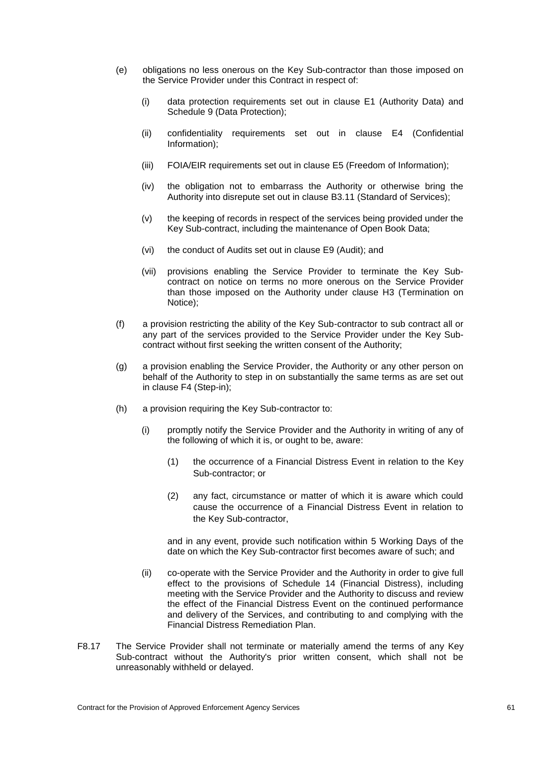- (e) obligations no less onerous on the Key Sub-contractor than those imposed on the Service Provider under this Contract in respect of:
	- (i) data protection requirements set out in clause [E1](#page-47-0) (Authority Data) and Schedule 9 (Data Protection);
	- (ii) confidentiality requirements set out in clause E4 (Confidential Information);
	- (iii) FOIA/EIR requirements set out in clause [E5](#page-50-0) (Freedom of Information);
	- (iv) the obligation not to embarrass the Authority or otherwise bring the Authority into disrepute set out in clause [B3.11](#page-34-0) (Standard of Services);
	- (v) the keeping of records in respect of the services being provided under the Key Sub-contract, including the maintenance of Open Book Data;
	- (vi) the conduct of Audits set out in clause [E9](#page-54-0) (Audit); and
	- (vii) provisions enabling the Service Provider to terminate the Key Subcontract on notice on terms no more onerous on the Service Provider than those imposed on the Authority under clause [H3](#page-80-1) (Termination on Notice);
- (f) a provision restricting the ability of the Key Sub-contractor to sub contract all or any part of the services provided to the Service Provider under the Key Subcontract without first seeking the written consent of the Authority;
- (g) a provision enabling the Service Provider, the Authority or any other person on behalf of the Authority to step in on substantially the same terms as are set out in clause [F4](#page-59-0) (Step-in);
- (h) a provision requiring the Key Sub-contractor to:
	- (i) promptly notify the Service Provider and the Authority in writing of any of the following of which it is, or ought to be, aware:
		- (1) the occurrence of a Financial Distress Event in relation to the Key Sub-contractor; or
		- (2) any fact, circumstance or matter of which it is aware which could cause the occurrence of a Financial Distress Event in relation to the Key Sub-contractor,

and in any event, provide such notification within 5 Working Days of the date on which the Key Sub-contractor first becomes aware of such; and

- (ii) co-operate with the Service Provider and the Authority in order to give full effect to the provisions of Schedule 14 (Financial Distress), including meeting with the Service Provider and the Authority to discuss and review the effect of the Financial Distress Event on the continued performance and delivery of the Services, and contributing to and complying with the Financial Distress Remediation Plan.
- F8.17 The Service Provider shall not terminate or materially amend the terms of any Key Sub-contract without the Authority's prior written consent, which shall not be unreasonably withheld or delayed.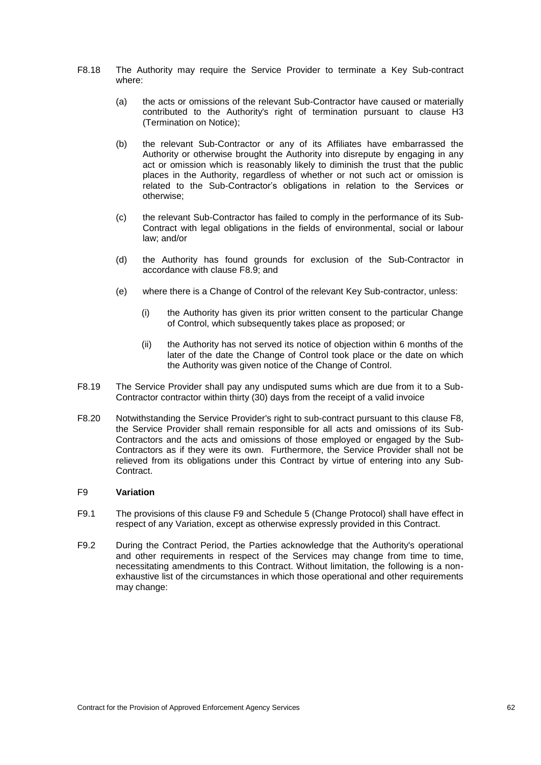- F8.18 The Authority may require the Service Provider to terminate a Key Sub-contract where:
	- (a) the acts or omissions of the relevant Sub-Contractor have caused or materially contributed to the Authority's right of termination pursuant to clause [H3](#page-80-1) (Termination on Notice);
	- (b) the relevant Sub-Contractor or any of its Affiliates have embarrassed the Authority or otherwise brought the Authority into disrepute by engaging in any act or omission which is reasonably likely to diminish the trust that the public places in the Authority, regardless of whether or not such act or omission is related to the Sub-Contractor's obligations in relation to the Services or otherwise;
	- (c) the relevant Sub-Contractor has failed to comply in the performance of its Sub-Contract with legal obligations in the fields of environmental, social or labour law; and/or
	- (d) the Authority has found grounds for exclusion of the Sub-Contractor in accordance with clause [F8.9;](#page-63-2) and
	- (e) where there is a Change of Control of the relevant Key Sub-contractor, unless:
		- (i) the Authority has given its prior written consent to the particular Change of Control, which subsequently takes place as proposed; or
		- (ii) the Authority has not served its notice of objection within 6 months of the later of the date the Change of Control took place or the date on which the Authority was given notice of the Change of Control.
- F8.19 The Service Provider shall pay any undisputed sums which are due from it to a Sub-Contractor contractor within thirty (30) days from the receipt of a valid invoice
- F8.20 Notwithstanding the Service Provider's right to sub-contract pursuant to this clause F8, the Service Provider shall remain responsible for all acts and omissions of its Sub-Contractors and the acts and omissions of those employed or engaged by the Sub-Contractors as if they were its own. Furthermore, the Service Provider shall not be relieved from its obligations under this Contract by virtue of entering into any Sub-Contract.

### <span id="page-67-0"></span>F9 **Variation**

- F9.1 The provisions of this clause [F9](#page-67-0) and Schedule 5 (Change Protocol) shall have effect in respect of any Variation, except as otherwise expressly provided in this Contract.
- F9.2 During the Contract Period, the Parties acknowledge that the Authority's operational and other requirements in respect of the Services may change from time to time, necessitating amendments to this Contract. Without limitation, the following is a nonexhaustive list of the circumstances in which those operational and other requirements may change: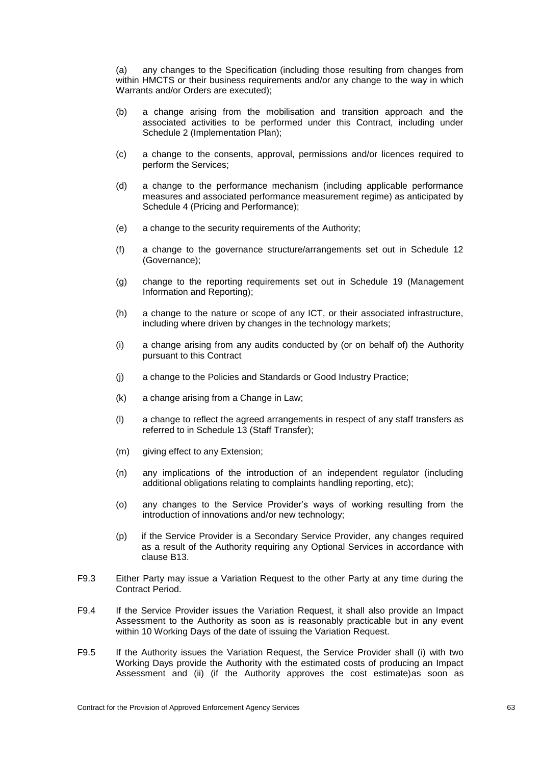(a) any changes to the Specification (including those resulting from changes from within HMCTS or their business requirements and/or any change to the way in which Warrants and/or Orders are executed);

- (b) a change arising from the mobilisation and transition approach and the associated activities to be performed under this Contract, including under Schedule 2 (Implementation Plan);
- (c) a change to the consents, approval, permissions and/or licences required to perform the Services;
- (d) a change to the performance mechanism (including applicable performance measures and associated performance measurement regime) as anticipated by Schedule 4 (Pricing and Performance);
- (e) a change to the security requirements of the Authority;
- (f) a change to the governance structure/arrangements set out in Schedule 12 (Governance);
- (g) change to the reporting requirements set out in Schedule 19 (Management Information and Reporting);
- (h) a change to the nature or scope of any ICT, or their associated infrastructure, including where driven by changes in the technology markets;
- (i) a change arising from any audits conducted by (or on behalf of) the Authority pursuant to this Contract
- (j) a change to the Policies and Standards or Good Industry Practice;
- (k) a change arising from a Change in Law;
- (l) a change to reflect the agreed arrangements in respect of any staff transfers as referred to in Schedule 13 (Staff Transfer);
- (m) giving effect to any Extension;
- (n) any implications of the introduction of an independent regulator (including additional obligations relating to complaints handling reporting, etc);
- (o) any changes to the Service Provider's ways of working resulting from the introduction of innovations and/or new technology;
- (p) if the Service Provider is a Secondary Service Provider, any changes required as a result of the Authority requiring any Optional Services in accordance with clause [B13.](#page-39-3)
- F9.3 Either Party may issue a Variation Request to the other Party at any time during the Contract Period.
- F9.4 If the Service Provider issues the Variation Request, it shall also provide an Impact Assessment to the Authority as soon as is reasonably practicable but in any event within 10 Working Days of the date of issuing the Variation Request.
- <span id="page-68-0"></span>F9.5 If the Authority issues the Variation Request, the Service Provider shall (i) with two Working Days provide the Authority with the estimated costs of producing an Impact Assessment and (ii) (if the Authority approves the cost estimate)as soon as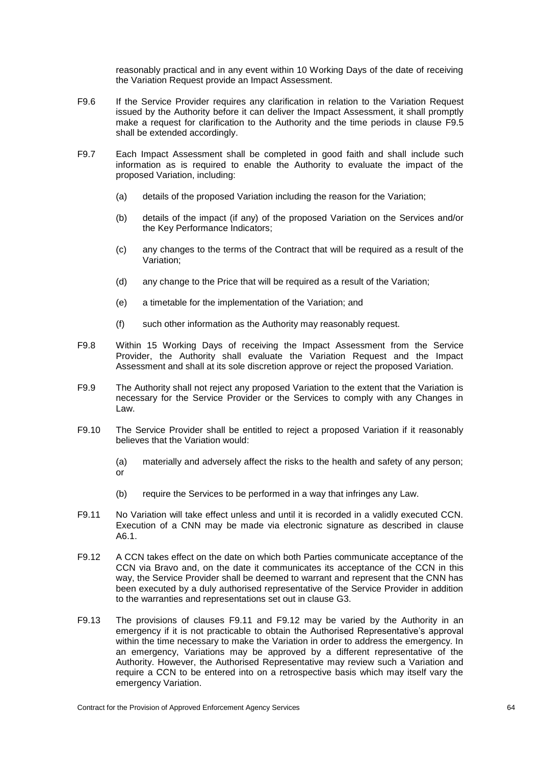reasonably practical and in any event within 10 Working Days of the date of receiving the Variation Request provide an Impact Assessment.

- F9.6 If the Service Provider requires any clarification in relation to the Variation Request issued by the Authority before it can deliver the Impact Assessment, it shall promptly make a request for clarification to the Authority and the time periods in clause [F9.5](#page-68-0) shall be extended accordingly.
- F9.7 Each Impact Assessment shall be completed in good faith and shall include such information as is required to enable the Authority to evaluate the impact of the proposed Variation, including:
	- (a) details of the proposed Variation including the reason for the Variation;
	- (b) details of the impact (if any) of the proposed Variation on the Services and/or the Key Performance Indicators;
	- (c) any changes to the terms of the Contract that will be required as a result of the Variation;
	- (d) any change to the Price that will be required as a result of the Variation;
	- (e) a timetable for the implementation of the Variation; and
	- (f) such other information as the Authority may reasonably request.
- F9.8 Within 15 Working Days of receiving the Impact Assessment from the Service Provider, the Authority shall evaluate the Variation Request and the Impact Assessment and shall at its sole discretion approve or reject the proposed Variation.
- F9.9 The Authority shall not reject any proposed Variation to the extent that the Variation is necessary for the Service Provider or the Services to comply with any Changes in Law.
- F9.10 The Service Provider shall be entitled to reject a proposed Variation if it reasonably believes that the Variation would:
	- (a) materially and adversely affect the risks to the health and safety of any person; or
	- (b) require the Services to be performed in a way that infringes any Law.
- <span id="page-69-0"></span>F9.11 No Variation will take effect unless and until it is recorded in a validly executed CCN. Execution of a CNN may be made via electronic signature as described in clause [A6.1.](#page-30-0)
- <span id="page-69-1"></span>F9.12 A CCN takes effect on the date on which both Parties communicate acceptance of the CCN via Bravo and, on the date it communicates its acceptance of the CCN in this way, the Service Provider shall be deemed to warrant and represent that the CNN has been executed by a duly authorised representative of the Service Provider in addition to the warranties and representations set out in clause [G3.](#page-75-1)
- F9.13 The provisions of clauses [F9.11](#page-69-0) and [F9.12](#page-69-1) may be varied by the Authority in an emergency if it is not practicable to obtain the Authorised Representative's approval within the time necessary to make the Variation in order to address the emergency. In an emergency, Variations may be approved by a different representative of the Authority. However, the Authorised Representative may review such a Variation and require a CCN to be entered into on a retrospective basis which may itself vary the emergency Variation.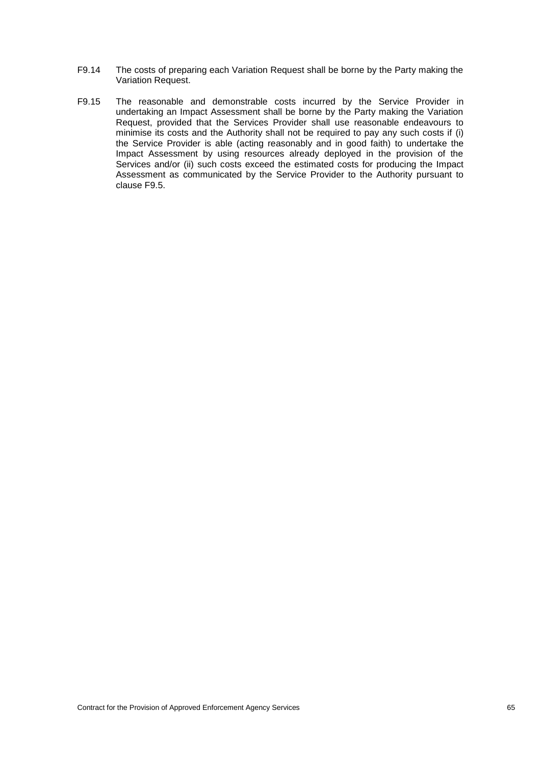- F9.14 The costs of preparing each Variation Request shall be borne by the Party making the Variation Request.
- F9.15 The reasonable and demonstrable costs incurred by the Service Provider in undertaking an Impact Assessment shall be borne by the Party making the Variation Request, provided that the Services Provider shall use reasonable endeavours to minimise its costs and the Authority shall not be required to pay any such costs if (i) the Service Provider is able (acting reasonably and in good faith) to undertake the Impact Assessment by using resources already deployed in the provision of the Services and/or (ii) such costs exceed the estimated costs for producing the Impact Assessment as communicated by the Service Provider to the Authority pursuant to clause [F9.5.](#page-68-0)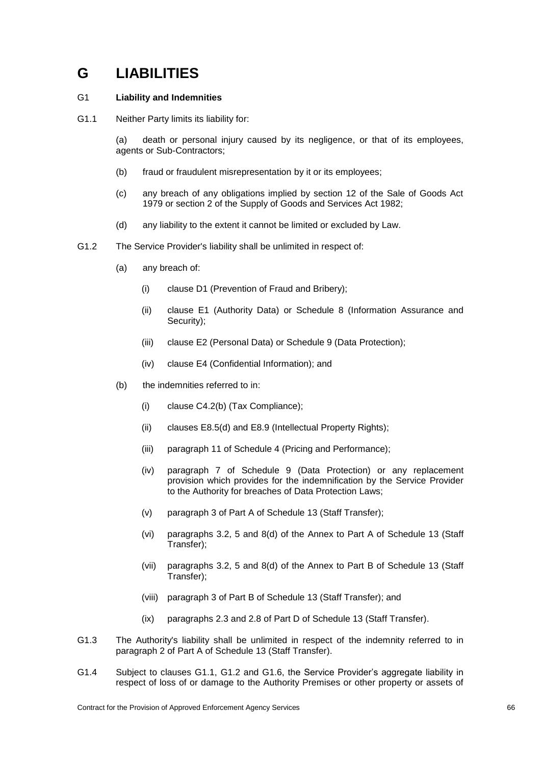# **G LIABILITIES**

## G1 **Liability and Indemnities**

<span id="page-71-0"></span>G1.1 Neither Party limits its liability for:

(a) death or personal injury caused by its negligence, or that of its employees, agents or Sub-Contractors;

- (b) fraud or fraudulent misrepresentation by it or its employees;
- (c) any breach of any obligations implied by section 12 of the Sale of Goods Act 1979 or section 2 of the Supply of Goods and Services Act 1982;
- (d) any liability to the extent it cannot be limited or excluded by Law.
- <span id="page-71-1"></span>G1.2 The Service Provider's liability shall be unlimited in respect of:
	- (a) any breach of:
		- (i) clause [D1](#page-43-6) (Prevention of Fraud and Bribery);
		- (ii) clause [E1](#page-47-0) (Authority Data) or Schedule 8 (Information Assurance and Security);
		- (iii) clause [E2](#page-48-4) (Personal Data) or Schedule 9 (Data Protection);
		- (iv) clause [E4](#page-48-0) (Confidential Information); and
	- (b) the indemnities referred to in:
		- (i) clause [C4.2\(](#page-42-0)b) (Tax Compliance);
		- (ii) clauses [E8.5\(](#page-52-1)d) and [E8.9](#page-53-0) (Intellectual Property Rights);
		- (iii) paragraph 11 of Schedule 4 (Pricing and Performance);
		- (iv) paragraph 7 of Schedule 9 (Data Protection) or any replacement provision which provides for the indemnification by the Service Provider to the Authority for breaches of Data Protection Laws;
		- (v) paragraph 3 of Part A of Schedule 13 (Staff Transfer);
		- (vi) paragraphs 3.2, 5 and 8(d) of the Annex to Part A of Schedule 13 (Staff Transfer);
		- (vii) paragraphs 3.2, 5 and 8(d) of the Annex to Part B of Schedule 13 (Staff Transfer);
		- (viii) paragraph 3 of Part B of Schedule 13 (Staff Transfer); and
		- (ix) paragraphs 2.3 and 2.8 of Part D of Schedule 13 (Staff Transfer).
- G1.3 The Authority's liability shall be unlimited in respect of the indemnity referred to in paragraph 2 of Part A of Schedule 13 (Staff Transfer).
- G1.4 Subject to clauses [G1.1,](#page-71-0) [G1.2](#page-71-1) and [G1.6,](#page-72-0) the Service Provider's aggregate liability in respect of loss of or damage to the Authority Premises or other property or assets of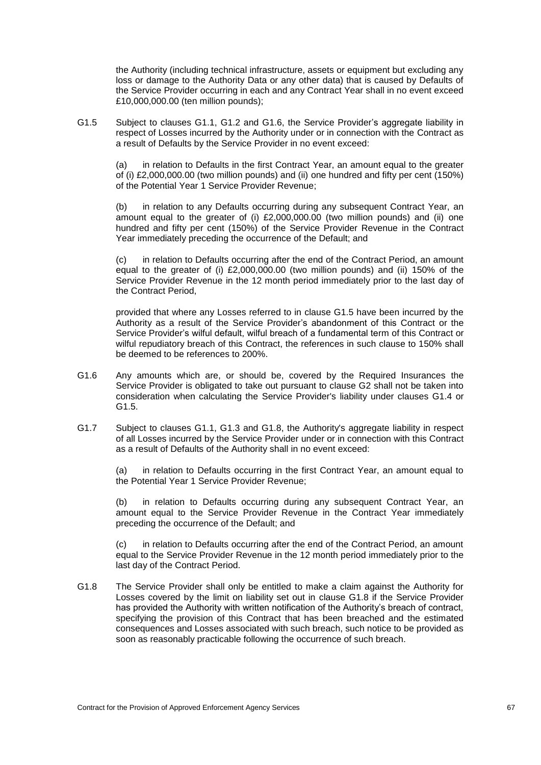the Authority (including technical infrastructure, assets or equipment but excluding any loss or damage to the Authority Data or any other data) that is caused by Defaults of the Service Provider occurring in each and any Contract Year shall in no event exceed £10,000,000.00 (ten million pounds);

<span id="page-72-1"></span>G1.5 Subject to clauses [G1.1,](#page-71-0) [G1.2](#page-71-1) and [G1.6,](#page-72-0) the Service Provider's aggregate liability in respect of Losses incurred by the Authority under or in connection with the Contract as a result of Defaults by the Service Provider in no event exceed:

(a) in relation to Defaults in the first Contract Year, an amount equal to the greater of (i) £2,000,000.00 (two million pounds) and (ii) one hundred and fifty per cent (150%) of the Potential Year 1 Service Provider Revenue;

(b) in relation to any Defaults occurring during any subsequent Contract Year, an amount equal to the greater of (i) £2,000,000.00 (two million pounds) and (ii) one hundred and fifty per cent (150%) of the Service Provider Revenue in the Contract Year immediately preceding the occurrence of the Default; and

(c) in relation to Defaults occurring after the end of the Contract Period, an amount equal to the greater of (i) £2,000,000.00 (two million pounds) and (ii) 150% of the Service Provider Revenue in the 12 month period immediately prior to the last day of the Contract Period,

provided that where any Losses referred to in clause [G1.5](#page-72-1) have been incurred by the Authority as a result of the Service Provider's abandonment of this Contract or the Service Provider's wilful default, wilful breach of a fundamental term of this Contract or wilful repudiatory breach of this Contract, the references in such clause to 150% shall be deemed to be references to 200%.

- <span id="page-72-0"></span>G1.6 Any amounts which are, or should be, covered by the Required Insurances the Service Provider is obligated to take out pursuant to clause [G2](#page-74-0) shall not be taken into consideration when calculating the Service Provider's liability under clauses [G1.4](#page-71-2) or [G1.5.](#page-72-1)
- G1.7 Subject to clauses [G1.1,](#page-71-0) [G1.3](#page-71-3) and [G1.8,](#page-72-2) the Authority's aggregate liability in respect of all Losses incurred by the Service Provider under or in connection with this Contract as a result of Defaults of the Authority shall in no event exceed:

(a) in relation to Defaults occurring in the first Contract Year, an amount equal to the Potential Year 1 Service Provider Revenue;

(b) in relation to Defaults occurring during any subsequent Contract Year, an amount equal to the Service Provider Revenue in the Contract Year immediately preceding the occurrence of the Default; and

(c) in relation to Defaults occurring after the end of the Contract Period, an amount equal to the Service Provider Revenue in the 12 month period immediately prior to the last day of the Contract Period.

<span id="page-72-2"></span>G1.8 The Service Provider shall only be entitled to make a claim against the Authority for Losses covered by the limit on liability set out in clause [G1.8](#page-72-2) if the Service Provider has provided the Authority with written notification of the Authority's breach of contract, specifying the provision of this Contract that has been breached and the estimated consequences and Losses associated with such breach, such notice to be provided as soon as reasonably practicable following the occurrence of such breach.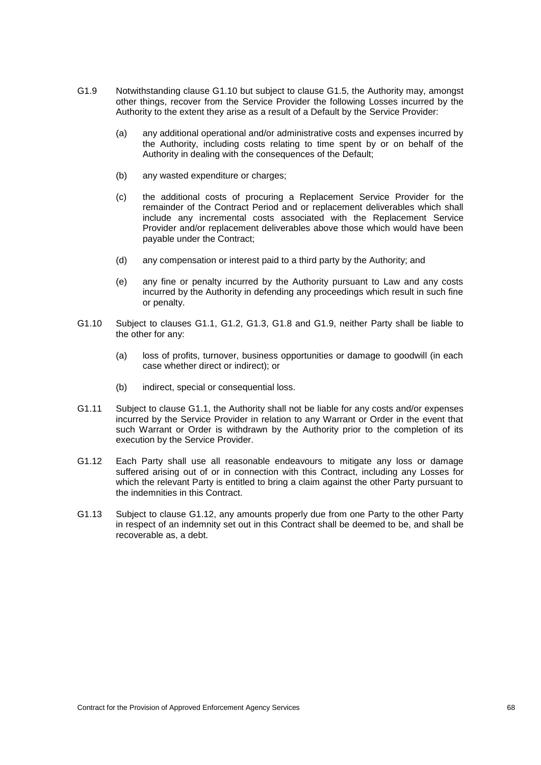- <span id="page-73-1"></span>G1.9 Notwithstanding clause [G1.10](#page-73-0) but subject to clause [G1.5,](#page-72-1) the Authority may, amongst other things, recover from the Service Provider the following Losses incurred by the Authority to the extent they arise as a result of a Default by the Service Provider:
	- (a) any additional operational and/or administrative costs and expenses incurred by the Authority, including costs relating to time spent by or on behalf of the Authority in dealing with the consequences of the Default;
	- (b) any wasted expenditure or charges;
	- (c) the additional costs of procuring a Replacement Service Provider for the remainder of the Contract Period and or replacement deliverables which shall include any incremental costs associated with the Replacement Service Provider and/or replacement deliverables above those which would have been payable under the Contract;
	- (d) any compensation or interest paid to a third party by the Authority; and
	- (e) any fine or penalty incurred by the Authority pursuant to Law and any costs incurred by the Authority in defending any proceedings which result in such fine or penalty.
- <span id="page-73-0"></span>G1.10 Subject to clauses [G1.1,](#page-71-0) [G1.2,](#page-71-1) [G1.3,](#page-71-3) [G1.8](#page-72-2) and [G1.9,](#page-73-1) neither Party shall be liable to the other for any:
	- (a) loss of profits, turnover, business opportunities or damage to goodwill (in each case whether direct or indirect); or
	- (b) indirect, special or consequential loss.
- G1.11 Subject to clause [G1.1,](#page-71-0) the Authority shall not be liable for any costs and/or expenses incurred by the Service Provider in relation to any Warrant or Order in the event that such Warrant or Order is withdrawn by the Authority prior to the completion of its execution by the Service Provider.
- <span id="page-73-2"></span>G1.12 Each Party shall use all reasonable endeavours to mitigate any loss or damage suffered arising out of or in connection with this Contract, including any Losses for which the relevant Party is entitled to bring a claim against the other Party pursuant to the indemnities in this Contract.
- G1.13 Subject to clause [G1.12,](#page-73-2) any amounts properly due from one Party to the other Party in respect of an indemnity set out in this Contract shall be deemed to be, and shall be recoverable as, a debt.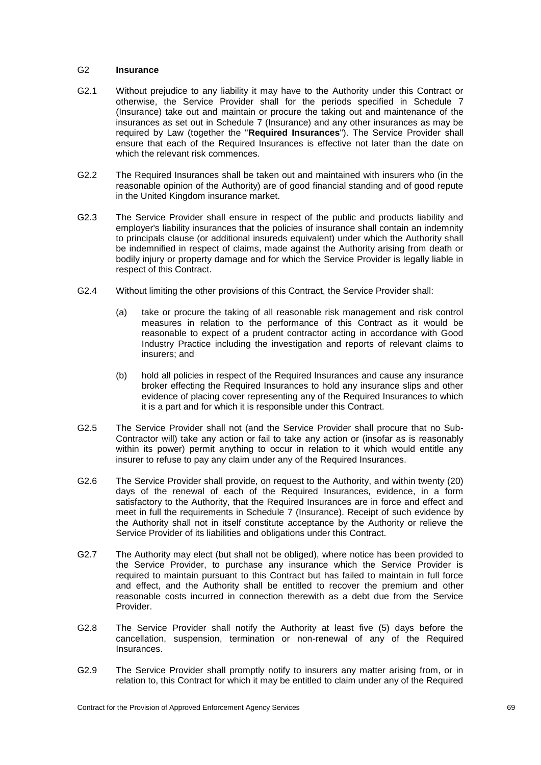# <span id="page-74-0"></span>G2 **Insurance**

- G2.1 Without prejudice to any liability it may have to the Authority under this Contract or otherwise, the Service Provider shall for the periods specified in Schedule 7 (Insurance) take out and maintain or procure the taking out and maintenance of the insurances as set out in Schedule 7 (Insurance) and any other insurances as may be required by Law (together the "**Required Insurances**"). The Service Provider shall ensure that each of the Required Insurances is effective not later than the date on which the relevant risk commences.
- G2.2 The Required Insurances shall be taken out and maintained with insurers who (in the reasonable opinion of the Authority) are of good financial standing and of good repute in the United Kingdom insurance market.
- G2.3 The Service Provider shall ensure in respect of the public and products liability and employer's liability insurances that the policies of insurance shall contain an indemnity to principals clause (or additional insureds equivalent) under which the Authority shall be indemnified in respect of claims, made against the Authority arising from death or bodily injury or property damage and for which the Service Provider is legally liable in respect of this Contract.
- G2.4 Without limiting the other provisions of this Contract, the Service Provider shall:
	- (a) take or procure the taking of all reasonable risk management and risk control measures in relation to the performance of this Contract as it would be reasonable to expect of a prudent contractor acting in accordance with Good Industry Practice including the investigation and reports of relevant claims to insurers; and
	- (b) hold all policies in respect of the Required Insurances and cause any insurance broker effecting the Required Insurances to hold any insurance slips and other evidence of placing cover representing any of the Required Insurances to which it is a part and for which it is responsible under this Contract.
- G2.5 The Service Provider shall not (and the Service Provider shall procure that no Sub-Contractor will) take any action or fail to take any action or (insofar as is reasonably within its power) permit anything to occur in relation to it which would entitle any insurer to refuse to pay any claim under any of the Required Insurances.
- G2.6 The Service Provider shall provide, on request to the Authority, and within twenty (20) days of the renewal of each of the Required Insurances, evidence, in a form satisfactory to the Authority, that the Required Insurances are in force and effect and meet in full the requirements in Schedule 7 (Insurance). Receipt of such evidence by the Authority shall not in itself constitute acceptance by the Authority or relieve the Service Provider of its liabilities and obligations under this Contract.
- G2.7 The Authority may elect (but shall not be obliged), where notice has been provided to the Service Provider, to purchase any insurance which the Service Provider is required to maintain pursuant to this Contract but has failed to maintain in full force and effect, and the Authority shall be entitled to recover the premium and other reasonable costs incurred in connection therewith as a debt due from the Service Provider.
- G2.8 The Service Provider shall notify the Authority at least five (5) days before the cancellation, suspension, termination or non-renewal of any of the Required **Insurances**
- G2.9 The Service Provider shall promptly notify to insurers any matter arising from, or in relation to, this Contract for which it may be entitled to claim under any of the Required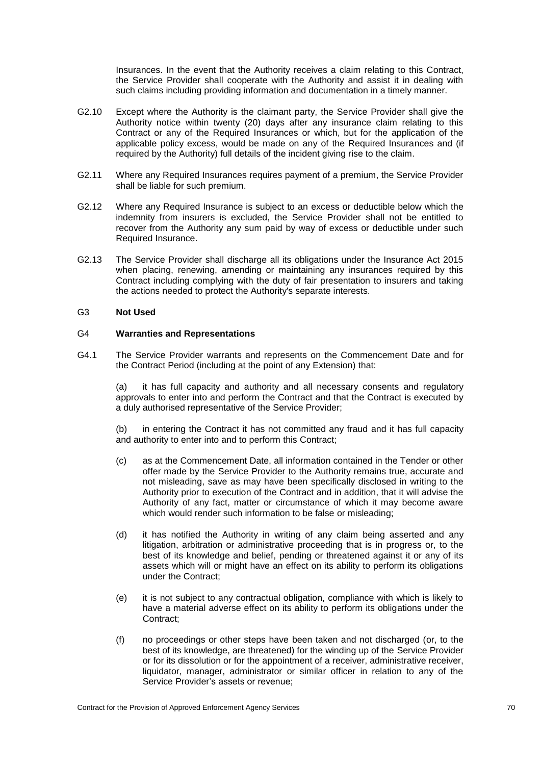Insurances. In the event that the Authority receives a claim relating to this Contract, the Service Provider shall cooperate with the Authority and assist it in dealing with such claims including providing information and documentation in a timely manner.

- G2.10 Except where the Authority is the claimant party, the Service Provider shall give the Authority notice within twenty (20) days after any insurance claim relating to this Contract or any of the Required Insurances or which, but for the application of the applicable policy excess, would be made on any of the Required Insurances and (if required by the Authority) full details of the incident giving rise to the claim.
- G2.11 Where any Required Insurances requires payment of a premium, the Service Provider shall be liable for such premium.
- G2.12 Where any Required Insurance is subject to an excess or deductible below which the indemnity from insurers is excluded, the Service Provider shall not be entitled to recover from the Authority any sum paid by way of excess or deductible under such Required Insurance.
- G2.13 The Service Provider shall discharge all its obligations under the Insurance Act 2015 when placing, renewing, amending or maintaining any insurances required by this Contract including complying with the duty of fair presentation to insurers and taking the actions needed to protect the Authority's separate interests.

# G3 **Not Used**

#### G4 **Warranties and Representations**

<span id="page-75-0"></span>G4.1 The Service Provider warrants and represents on the Commencement Date and for the Contract Period (including at the point of any Extension) that:

(a) it has full capacity and authority and all necessary consents and regulatory approvals to enter into and perform the Contract and that the Contract is executed by a duly authorised representative of the Service Provider;

(b) in entering the Contract it has not committed any fraud and it has full capacity and authority to enter into and to perform this Contract;

- (c) as at the Commencement Date, all information contained in the Tender or other offer made by the Service Provider to the Authority remains true, accurate and not misleading, save as may have been specifically disclosed in writing to the Authority prior to execution of the Contract and in addition, that it will advise the Authority of any fact, matter or circumstance of which it may become aware which would render such information to be false or misleading;
- (d) it has notified the Authority in writing of any claim being asserted and any litigation, arbitration or administrative proceeding that is in progress or, to the best of its knowledge and belief, pending or threatened against it or any of its assets which will or might have an effect on its ability to perform its obligations under the Contract;
- (e) it is not subject to any contractual obligation, compliance with which is likely to have a material adverse effect on its ability to perform its obligations under the Contract;
- (f) no proceedings or other steps have been taken and not discharged (or, to the best of its knowledge, are threatened) for the winding up of the Service Provider or for its dissolution or for the appointment of a receiver, administrative receiver, liquidator, manager, administrator or similar officer in relation to any of the Service Provider's assets or revenue;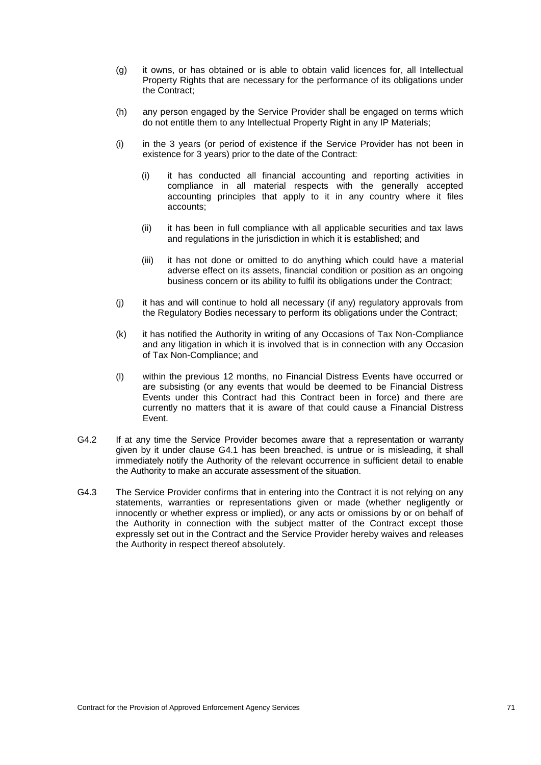- (g) it owns, or has obtained or is able to obtain valid licences for, all Intellectual Property Rights that are necessary for the performance of its obligations under the Contract;
- (h) any person engaged by the Service Provider shall be engaged on terms which do not entitle them to any Intellectual Property Right in any IP Materials;
- (i) in the 3 years (or period of existence if the Service Provider has not been in existence for 3 years) prior to the date of the Contract:
	- (i) it has conducted all financial accounting and reporting activities in compliance in all material respects with the generally accepted accounting principles that apply to it in any country where it files accounts;
	- (ii) it has been in full compliance with all applicable securities and tax laws and regulations in the jurisdiction in which it is established; and
	- (iii) it has not done or omitted to do anything which could have a material adverse effect on its assets, financial condition or position as an ongoing business concern or its ability to fulfil its obligations under the Contract;
- (j) it has and will continue to hold all necessary (if any) regulatory approvals from the Regulatory Bodies necessary to perform its obligations under the Contract;
- (k) it has notified the Authority in writing of any Occasions of Tax Non-Compliance and any litigation in which it is involved that is in connection with any Occasion of Tax Non-Compliance; and
- (l) within the previous 12 months, no Financial Distress Events have occurred or are subsisting (or any events that would be deemed to be Financial Distress Events under this Contract had this Contract been in force) and there are currently no matters that it is aware of that could cause a Financial Distress Event.
- G4.2 If at any time the Service Provider becomes aware that a representation or warranty given by it under clause [G4.1](#page-75-0) has been breached, is untrue or is misleading, it shall immediately notify the Authority of the relevant occurrence in sufficient detail to enable the Authority to make an accurate assessment of the situation.
- G4.3 The Service Provider confirms that in entering into the Contract it is not relying on any statements, warranties or representations given or made (whether negligently or innocently or whether express or implied), or any acts or omissions by or on behalf of the Authority in connection with the subject matter of the Contract except those expressly set out in the Contract and the Service Provider hereby waives and releases the Authority in respect thereof absolutely.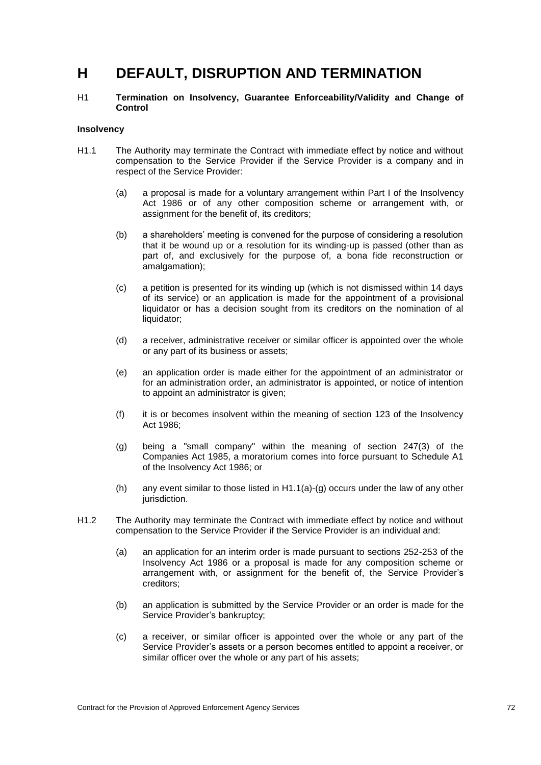# **H DEFAULT, DISRUPTION AND TERMINATION**

H1 **Termination on Insolvency, Guarantee Enforceability/Validity and Change of Control**

#### **Insolvency**

- <span id="page-77-0"></span>H1.1 The Authority may terminate the Contract with immediate effect by notice and without compensation to the Service Provider if the Service Provider is a company and in respect of the Service Provider:
	- (a) a proposal is made for a voluntary arrangement within Part I of the Insolvency Act 1986 or of any other composition scheme or arrangement with, or assignment for the benefit of, its creditors;
	- (b) a shareholders' meeting is convened for the purpose of considering a resolution that it be wound up or a resolution for its winding-up is passed (other than as part of, and exclusively for the purpose of, a bona fide reconstruction or amalgamation);
	- (c) a petition is presented for its winding up (which is not dismissed within 14 days of its service) or an application is made for the appointment of a provisional liquidator or has a decision sought from its creditors on the nomination of al liquidator;
	- (d) a receiver, administrative receiver or similar officer is appointed over the whole or any part of its business or assets;
	- (e) an application order is made either for the appointment of an administrator or for an administration order, an administrator is appointed, or notice of intention to appoint an administrator is given;
	- (f) it is or becomes insolvent within the meaning of section 123 of the Insolvency Act 1986;
	- (g) being a "small company" within the meaning of section 247(3) of the Companies Act 1985, a moratorium comes into force pursuant to Schedule A1 of the Insolvency Act 1986; or
	- (h) any event similar to those listed in  $H1.1(a)-(g)$  occurs under the law of any other jurisdiction.
- <span id="page-77-2"></span><span id="page-77-1"></span>H1.2 The Authority may terminate the Contract with immediate effect by notice and without compensation to the Service Provider if the Service Provider is an individual and:
	- (a) an application for an interim order is made pursuant to sections 252-253 of the Insolvency Act 1986 or a proposal is made for any composition scheme or arrangement with, or assignment for the benefit of, the Service Provider's creditors;
	- (b) an application is submitted by the Service Provider or an order is made for the Service Provider's bankruptcy;
	- (c) a receiver, or similar officer is appointed over the whole or any part of the Service Provider's assets or a person becomes entitled to appoint a receiver, or similar officer over the whole or any part of his assets;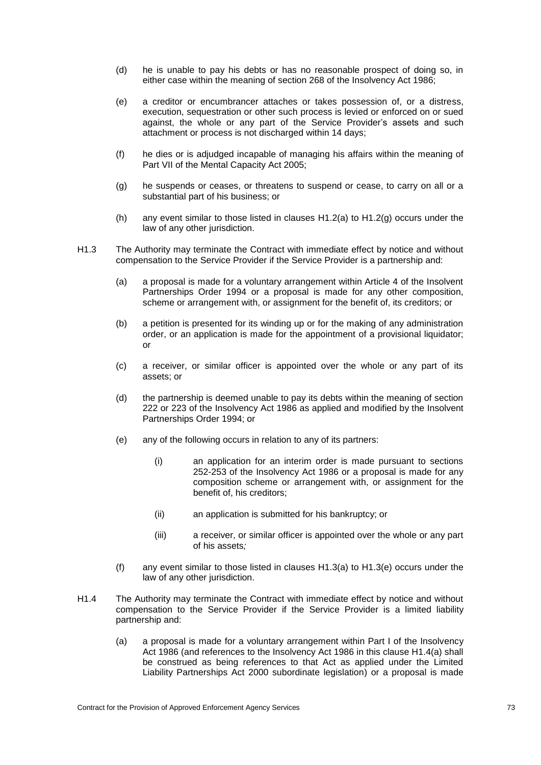- (d) he is unable to pay his debts or has no reasonable prospect of doing so, in either case within the meaning of section 268 of the Insolvency Act 1986;
- (e) a creditor or encumbrancer attaches or takes possession of, or a distress, execution, sequestration or other such process is levied or enforced on or sued against, the whole or any part of the Service Provider's assets and such attachment or process is not discharged within 14 days;
- (f) he dies or is adjudged incapable of managing his affairs within the meaning of Part VII of the Mental Capacity Act 2005;
- <span id="page-78-0"></span>(g) he suspends or ceases, or threatens to suspend or cease, to carry on all or a substantial part of his business; or
- (h) any event similar to those listed in clauses  $H1.2(a)$  $H1.2(a)$  to  $H1.2(g)$  $H1.2(g)$  occurs under the law of any other jurisdiction.
- <span id="page-78-2"></span><span id="page-78-1"></span>H1.3 The Authority may terminate the Contract with immediate effect by notice and without compensation to the Service Provider if the Service Provider is a partnership and:
	- (a) a proposal is made for a voluntary arrangement within Article 4 of the Insolvent Partnerships Order 1994 or a proposal is made for any other composition, scheme or arrangement with, or assignment for the benefit of, its creditors; or
	- (b) a petition is presented for its winding up or for the making of any administration order, or an application is made for the appointment of a provisional liquidator; or
	- (c) a receiver, or similar officer is appointed over the whole or any part of its assets; or
	- (d) the partnership is deemed unable to pay its debts within the meaning of section 222 or 223 of the Insolvency Act 1986 as applied and modified by the Insolvent Partnerships Order 1994; or
	- (e) any of the following occurs in relation to any of its partners:
		- (i) an application for an interim order is made pursuant to sections 252-253 of the Insolvency Act 1986 or a proposal is made for any composition scheme or arrangement with, or assignment for the benefit of, his creditors;
		- (ii) an application is submitted for his bankruptcy; or
		- (iii) a receiver, or similar officer is appointed over the whole or any part of his assets*;*
	- (f) any event similar to those listed in clauses [H1.3](#page-78-1)[\(a\)](#page-78-2) to [H1.3](#page-78-1)[\(e\)](#page-78-3) occurs under the law of any other jurisdiction.
- <span id="page-78-5"></span><span id="page-78-4"></span><span id="page-78-3"></span>H1.4 The Authority may terminate the Contract with immediate effect by notice and without compensation to the Service Provider if the Service Provider is a limited liability partnership and:
	- (a) a proposal is made for a voluntary arrangement within Part I of the Insolvency Act 1986 (and references to the Insolvency Act 1986 in this clause H1.4(a) shall be construed as being references to that Act as applied under the Limited Liability Partnerships Act 2000 subordinate legislation) or a proposal is made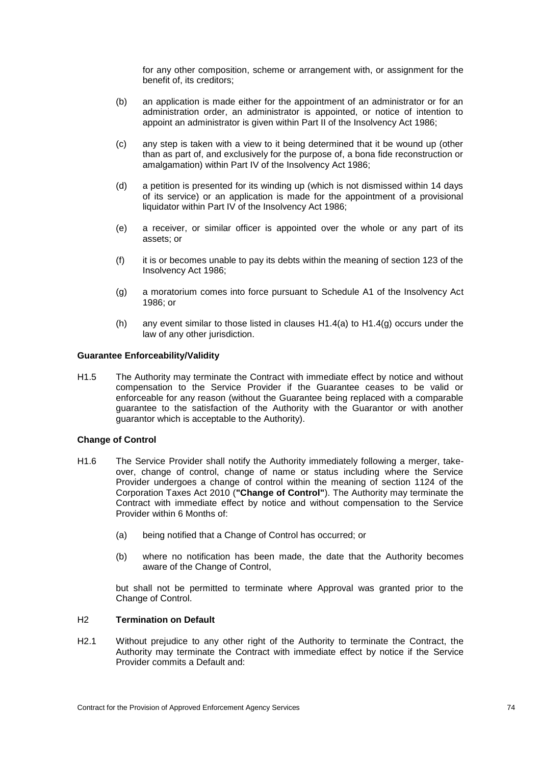for any other composition, scheme or arrangement with, or assignment for the benefit of, its creditors;

- (b) an application is made either for the appointment of an administrator or for an administration order, an administrator is appointed, or notice of intention to appoint an administrator is given within Part II of the Insolvency Act 1986;
- (c) any step is taken with a view to it being determined that it be wound up (other than as part of, and exclusively for the purpose of, a bona fide reconstruction or amalgamation) within Part IV of the Insolvency Act 1986;
- (d) a petition is presented for its winding up (which is not dismissed within 14 days of its service) or an application is made for the appointment of a provisional liquidator within Part IV of the Insolvency Act 1986;
- (e) a receiver, or similar officer is appointed over the whole or any part of its assets; or
- (f) it is or becomes unable to pay its debts within the meaning of section 123 of the Insolvency Act 1986;
- <span id="page-79-0"></span>(g) a moratorium comes into force pursuant to Schedule A1 of the Insolvency Act 1986; or
- (h) any event similar to those listed in clauses  $H1.4(a)$  $H1.4(a)$  to  $H1.4(q)$  occurs under the law of any other jurisdiction.

# **Guarantee Enforceability/Validity**

H1.5 The Authority may terminate the Contract with immediate effect by notice and without compensation to the Service Provider if the Guarantee ceases to be valid or enforceable for any reason (without the Guarantee being replaced with a comparable guarantee to the satisfaction of the Authority with the Guarantor or with another guarantor which is acceptable to the Authority).

# **Change of Control**

- H1.6 The Service Provider shall notify the Authority immediately following a merger, takeover, change of control, change of name or status including where the Service Provider undergoes a change of control within the meaning of section 1124 of the Corporation Taxes Act 2010 (**"Change of Control"**). The Authority may terminate the Contract with immediate effect by notice and without compensation to the Service Provider within 6 Months of:
	- (a) being notified that a Change of Control has occurred; or
	- (b) where no notification has been made, the date that the Authority becomes aware of the Change of Control,

but shall not be permitted to terminate where Approval was granted prior to the Change of Control.

# <span id="page-79-1"></span>H2 **Termination on Default**

<span id="page-79-2"></span>H2.1 Without prejudice to any other right of the Authority to terminate the Contract, the Authority may terminate the Contract with immediate effect by notice if the Service Provider commits a Default and: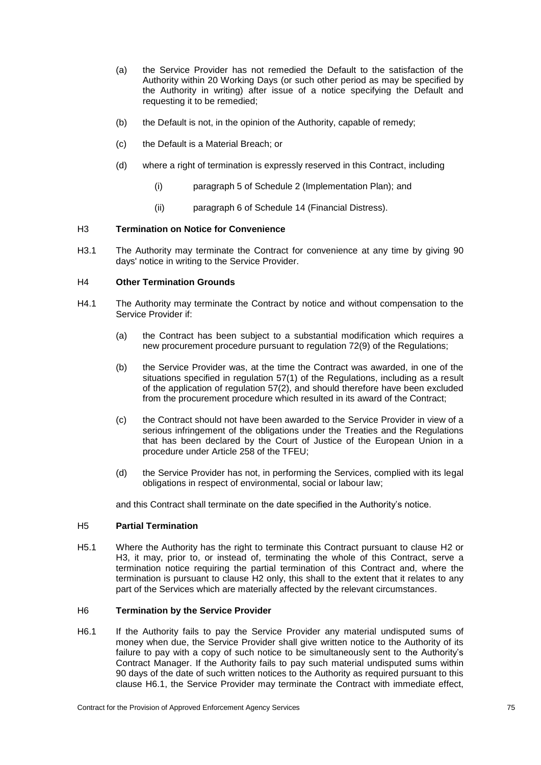- (a) the Service Provider has not remedied the Default to the satisfaction of the Authority within 20 Working Days (or such other period as may be specified by the Authority in writing) after issue of a notice specifying the Default and requesting it to be remedied;
- (b) the Default is not, in the opinion of the Authority, capable of remedy;
- (c) the Default is a Material Breach; or
- (d) where a right of termination is expressly reserved in this Contract, including
	- (i) paragraph 5 of Schedule 2 (Implementation Plan); and
	- (ii) paragraph 6 of Schedule 14 (Financial Distress).

# <span id="page-80-0"></span>H3 **Termination on Notice for Convenience**

<span id="page-80-2"></span>H3.1 The Authority may terminate the Contract for convenience at any time by giving 90 days' notice in writing to the Service Provider.

# H4 **Other Termination Grounds**

- H4.1 The Authority may terminate the Contract by notice and without compensation to the Service Provider if:
	- (a) the Contract has been subject to a substantial modification which requires a new procurement procedure pursuant to regulation 72(9) of the Regulations;
	- (b) the Service Provider was, at the time the Contract was awarded, in one of the situations specified in regulation 57(1) of the Regulations, including as a result of the application of regulation 57(2), and should therefore have been excluded from the procurement procedure which resulted in its award of the Contract;
	- (c) the Contract should not have been awarded to the Service Provider in view of a serious infringement of the obligations under the Treaties and the Regulations that has been declared by the Court of Justice of the European Union in a procedure under Article 258 of the TFEU;
	- (d) the Service Provider has not, in performing the Services, complied with its legal obligations in respect of environmental, social or labour law;

and this Contract shall terminate on the date specified in the Authority's notice.

# H5 **Partial Termination**

H5.1 Where the Authority has the right to terminate this Contract pursuant to clause [H2](#page-79-1) or [H3,](#page-80-0) it may, prior to, or instead of, terminating the whole of this Contract, serve a termination notice requiring the partial termination of this Contract and, where the termination is pursuant to clause [H2](#page-79-1) only, this shall to the extent that it relates to any part of the Services which are materially affected by the relevant circumstances.

# H6 **Termination by the Service Provider**

<span id="page-80-1"></span>H6.1 If the Authority fails to pay the Service Provider any material undisputed sums of money when due, the Service Provider shall give written notice to the Authority of its failure to pay with a copy of such notice to be simultaneously sent to the Authority's Contract Manager. If the Authority fails to pay such material undisputed sums within 90 days of the date of such written notices to the Authority as required pursuant to this clause [H6.1,](#page-80-1) the Service Provider may terminate the Contract with immediate effect,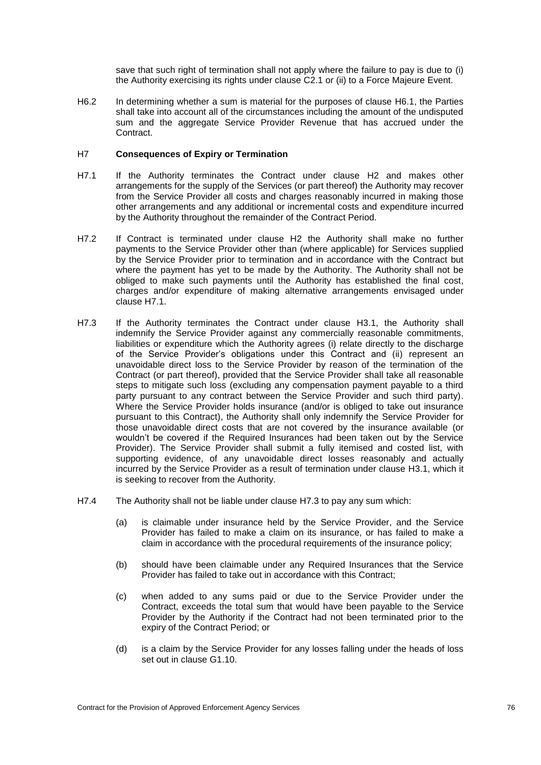save that such right of termination shall not apply where the failure to pay is due to (i) the Authority exercising its rights under clause [C2.1](#page-41-0) or (ii) to a Force Majeure Event.

H6.2 In determining whether a sum is material for the purposes of clause [H6.1,](#page-80-1) the Parties shall take into account all of the circumstances including the amount of the undisputed sum and the aggregate Service Provider Revenue that has accrued under the Contract.

# <span id="page-81-2"></span>H7 **Consequences of Expiry or Termination**

- <span id="page-81-0"></span>H7.1 If the Authority terminates the Contract under clause [H2](#page-79-1) and makes other arrangements for the supply of the Services (or part thereof) the Authority may recover from the Service Provider all costs and charges reasonably incurred in making those other arrangements and any additional or incremental costs and expenditure incurred by the Authority throughout the remainder of the Contract Period.
- H7.2 If Contract is terminated under clause [H2](#page-79-1) the Authority shall make no further payments to the Service Provider other than (where applicable) for Services supplied by the Service Provider prior to termination and in accordance with the Contract but where the payment has yet to be made by the Authority. The Authority shall not be obliged to make such payments until the Authority has established the final cost, charges and/or expenditure of making alternative arrangements envisaged under clause [H7.1.](#page-81-0)
- <span id="page-81-1"></span>H7.3 If the Authority terminates the Contract under clause [H3.1,](#page-80-2) the Authority shall indemnify the Service Provider against any commercially reasonable commitments, liabilities or expenditure which the Authority agrees (i) relate directly to the discharge of the Service Provider's obligations under this Contract and (ii) represent an unavoidable direct loss to the Service Provider by reason of the termination of the Contract (or part thereof), provided that the Service Provider shall take all reasonable steps to mitigate such loss (excluding any compensation payment payable to a third party pursuant to any contract between the Service Provider and such third party). Where the Service Provider holds insurance (and/or is obliged to take out insurance pursuant to this Contract), the Authority shall only indemnify the Service Provider for those unavoidable direct costs that are not covered by the insurance available (or wouldn't be covered if the Required Insurances had been taken out by the Service Provider). The Service Provider shall submit a fully itemised and costed list, with supporting evidence, of any unavoidable direct losses reasonably and actually incurred by the Service Provider as a result of termination under clause [H3.1,](#page-80-2) which it is seeking to recover from the Authority.
- H7.4 The Authority shall not be liable under clause [H7.3](#page-81-1) to pay any sum which:
	- (a) is claimable under insurance held by the Service Provider, and the Service Provider has failed to make a claim on its insurance, or has failed to make a claim in accordance with the procedural requirements of the insurance policy;
	- (b) should have been claimable under any Required Insurances that the Service Provider has failed to take out in accordance with this Contract;
	- (c) when added to any sums paid or due to the Service Provider under the Contract, exceeds the total sum that would have been payable to the Service Provider by the Authority if the Contract had not been terminated prior to the expiry of the Contract Period; or
	- (d) is a claim by the Service Provider for any losses falling under the heads of loss set out in clause [G1.10.](#page-73-0)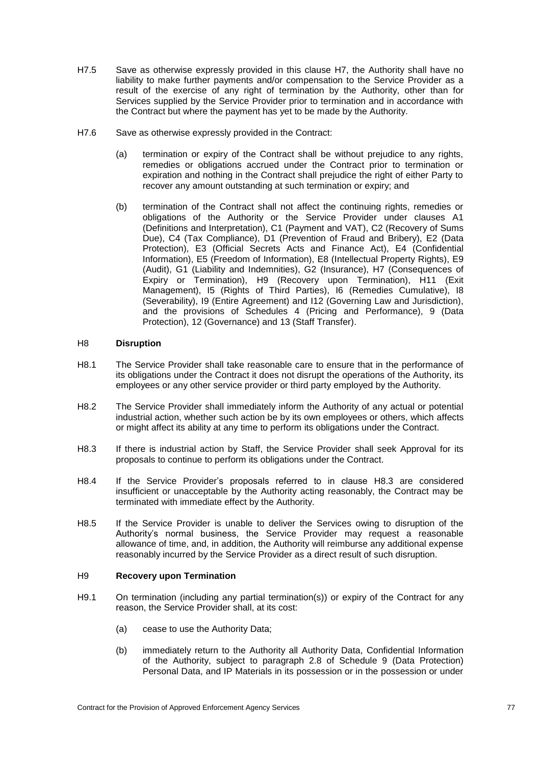- H7.5 Save as otherwise expressly provided in this clause [H7,](#page-81-2) the Authority shall have no liability to make further payments and/or compensation to the Service Provider as a result of the exercise of any right of termination by the Authority, other than for Services supplied by the Service Provider prior to termination and in accordance with the Contract but where the payment has yet to be made by the Authority.
- H7.6 Save as otherwise expressly provided in the Contract:
	- (a) termination or expiry of the Contract shall be without prejudice to any rights, remedies or obligations accrued under the Contract prior to termination or expiration and nothing in the Contract shall prejudice the right of either Party to recover any amount outstanding at such termination or expiry; and
	- (b) termination of the Contract shall not affect the continuing rights, remedies or obligations of the Authority or the Service Provider under clauses [A1](#page-6-0) (Definitions and Interpretation), [C1](#page-41-1) (Payment and VAT), [C2](#page-41-2) (Recovery of Sums Due), [C4](#page-42-0) (Tax Compliance), [D1](#page-43-0) (Prevention of Fraud and Bribery), [E2](#page-48-0) (Data Protection), [E3](#page-48-1) (Official Secrets Acts and Finance Act), [E4](#page-48-2) (Confidential Information), [E5](#page-50-0) (Freedom of Information), [E8](#page-51-0) (Intellectual Property Rights), [E9](#page-54-0) (Audit), [G1](#page-71-4) (Liability and Indemnities), [G2](#page-74-0) (Insurance), [H7](#page-81-2) (Consequences of Expiry or Termination), [H9](#page-82-0) (Recovery upon Termination), [H11](#page-84-0) (Exit Management), [I5](#page-89-0) (Rights of Third Parties), [I6](#page-90-0) (Remedies Cumulative), [I8](#page-90-1) (Severability), [I9](#page-91-0) (Entire Agreement) and I12 (Governing Law and Jurisdiction), and the provisions of Schedules 4 (Pricing and Performance), 9 (Data Protection), 12 (Governance) and 13 (Staff Transfer).

# H8 **Disruption**

- H8.1 The Service Provider shall take reasonable care to ensure that in the performance of its obligations under the Contract it does not disrupt the operations of the Authority, its employees or any other service provider or third party employed by the Authority.
- H8.2 The Service Provider shall immediately inform the Authority of any actual or potential industrial action, whether such action be by its own employees or others, which affects or might affect its ability at any time to perform its obligations under the Contract.
- <span id="page-82-1"></span>H8.3 If there is industrial action by Staff, the Service Provider shall seek Approval for its proposals to continue to perform its obligations under the Contract.
- H8.4 If the Service Provider's proposals referred to in clause [H8.3](#page-82-1) are considered insufficient or unacceptable by the Authority acting reasonably, the Contract may be terminated with immediate effect by the Authority.
- H8.5 If the Service Provider is unable to deliver the Services owing to disruption of the Authority's normal business, the Service Provider may request a reasonable allowance of time, and, in addition, the Authority will reimburse any additional expense reasonably incurred by the Service Provider as a direct result of such disruption.

# <span id="page-82-0"></span>H9 **Recovery upon Termination**

- <span id="page-82-3"></span><span id="page-82-2"></span>H9.1 On termination (including any partial termination(s)) or expiry of the Contract for any reason, the Service Provider shall, at its cost:
	- (a) cease to use the Authority Data;
	- (b) immediately return to the Authority all Authority Data, Confidential Information of the Authority, subject to paragraph 2.8 of Schedule 9 (Data Protection) Personal Data, and IP Materials in its possession or in the possession or under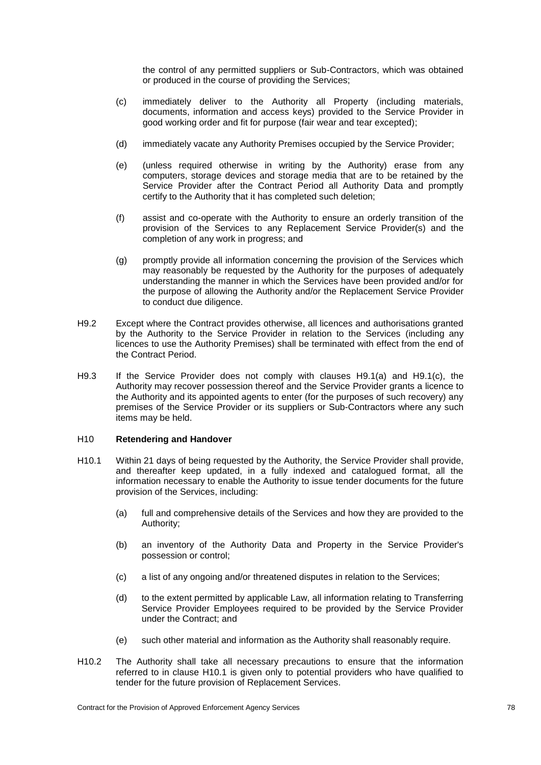the control of any permitted suppliers or Sub-Contractors, which was obtained or produced in the course of providing the Services;

- <span id="page-83-0"></span>(c) immediately deliver to the Authority all Property (including materials, documents, information and access keys) provided to the Service Provider in good working order and fit for purpose (fair wear and tear excepted);
- (d) immediately vacate any Authority Premises occupied by the Service Provider;
- (e) (unless required otherwise in writing by the Authority) erase from any computers, storage devices and storage media that are to be retained by the Service Provider after the Contract Period all Authority Data and promptly certify to the Authority that it has completed such deletion;
- (f) assist and co-operate with the Authority to ensure an orderly transition of the provision of the Services to any Replacement Service Provider(s) and the completion of any work in progress; and
- (g) promptly provide all information concerning the provision of the Services which may reasonably be requested by the Authority for the purposes of adequately understanding the manner in which the Services have been provided and/or for the purpose of allowing the Authority and/or the Replacement Service Provider to conduct due diligence.
- H9.2 Except where the Contract provides otherwise, all licences and authorisations granted by the Authority to the Service Provider in relation to the Services (including any licences to use the Authority Premises) shall be terminated with effect from the end of the Contract Period.
- H9.3 If the Service Provider does not comply with clauses [H9.1](#page-82-2)[\(a\)](#page-82-3) and [H9.1](#page-82-2)[\(c\),](#page-83-0) the Authority may recover possession thereof and the Service Provider grants a licence to the Authority and its appointed agents to enter (for the purposes of such recovery) any premises of the Service Provider or its suppliers or Sub-Contractors where any such items may be held.

# H10 **Retendering and Handover**

- <span id="page-83-1"></span>H10.1 Within 21 days of being requested by the Authority, the Service Provider shall provide, and thereafter keep updated, in a fully indexed and catalogued format, all the information necessary to enable the Authority to issue tender documents for the future provision of the Services, including:
	- (a) full and comprehensive details of the Services and how they are provided to the Authority;
	- (b) an inventory of the Authority Data and Property in the Service Provider's possession or control;
	- (c) a list of any ongoing and/or threatened disputes in relation to the Services;
	- (d) to the extent permitted by applicable Law, all information relating to Transferring Service Provider Employees required to be provided by the Service Provider under the Contract; and
	- (e) such other material and information as the Authority shall reasonably require.
- H10.2 The Authority shall take all necessary precautions to ensure that the information referred to in clause [H10.1](#page-83-1) is given only to potential providers who have qualified to tender for the future provision of Replacement Services.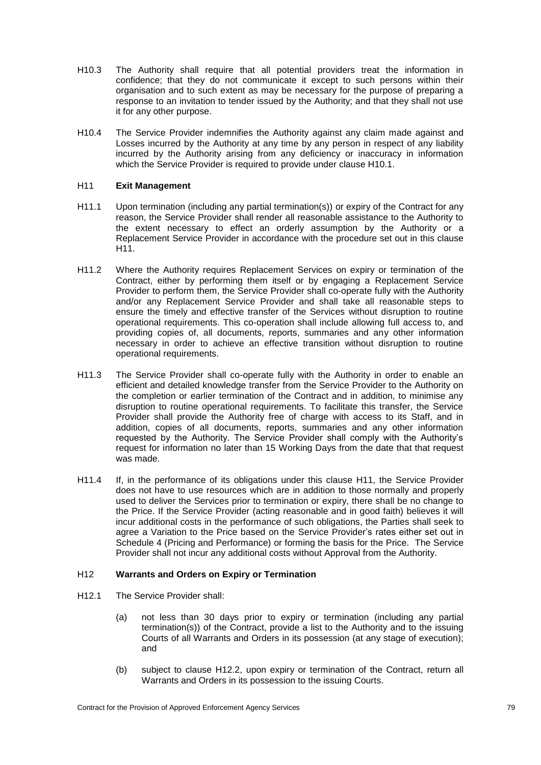- H10.3 The Authority shall require that all potential providers treat the information in confidence; that they do not communicate it except to such persons within their organisation and to such extent as may be necessary for the purpose of preparing a response to an invitation to tender issued by the Authority; and that they shall not use it for any other purpose.
- H10.4 The Service Provider indemnifies the Authority against any claim made against and Losses incurred by the Authority at any time by any person in respect of any liability incurred by the Authority arising from any deficiency or inaccuracy in information which the Service Provider is required to provide under clause [H10.1.](#page-83-1)

# <span id="page-84-0"></span>H11 **Exit Management**

- H11.1 Upon termination (including any partial termination(s)) or expiry of the Contract for any reason, the Service Provider shall render all reasonable assistance to the Authority to the extent necessary to effect an orderly assumption by the Authority or a Replacement Service Provider in accordance with the procedure set out in this clause [H11.](#page-84-0)
- H11.2 Where the Authority requires Replacement Services on expiry or termination of the Contract, either by performing them itself or by engaging a Replacement Service Provider to perform them, the Service Provider shall co-operate fully with the Authority and/or any Replacement Service Provider and shall take all reasonable steps to ensure the timely and effective transfer of the Services without disruption to routine operational requirements. This co-operation shall include allowing full access to, and providing copies of, all documents, reports, summaries and any other information necessary in order to achieve an effective transition without disruption to routine operational requirements.
- H11.3 The Service Provider shall co-operate fully with the Authority in order to enable an efficient and detailed knowledge transfer from the Service Provider to the Authority on the completion or earlier termination of the Contract and in addition, to minimise any disruption to routine operational requirements. To facilitate this transfer, the Service Provider shall provide the Authority free of charge with access to its Staff, and in addition, copies of all documents, reports, summaries and any other information requested by the Authority. The Service Provider shall comply with the Authority's request for information no later than 15 Working Days from the date that that request was made.
- H11.4 If, in the performance of its obligations under this clause [H11,](#page-84-0) the Service Provider does not have to use resources which are in addition to those normally and properly used to deliver the Services prior to termination or expiry, there shall be no change to the Price. If the Service Provider (acting reasonable and in good faith) believes it will incur additional costs in the performance of such obligations, the Parties shall seek to agree a Variation to the Price based on the Service Provider's rates either set out in Schedule 4 (Pricing and Performance) or forming the basis for the Price. The Service Provider shall not incur any additional costs without Approval from the Authority.

# H12 **Warrants and Orders on Expiry or Termination**

- <span id="page-84-1"></span>H12.1 The Service Provider shall:
	- (a) not less than 30 days prior to expiry or termination (including any partial termination(s)) of the Contract, provide a list to the Authority and to the issuing Courts of all Warrants and Orders in its possession (at any stage of execution); and
	- (b) subject to clause [H12.2,](#page-85-0) upon expiry or termination of the Contract, return all Warrants and Orders in its possession to the issuing Courts.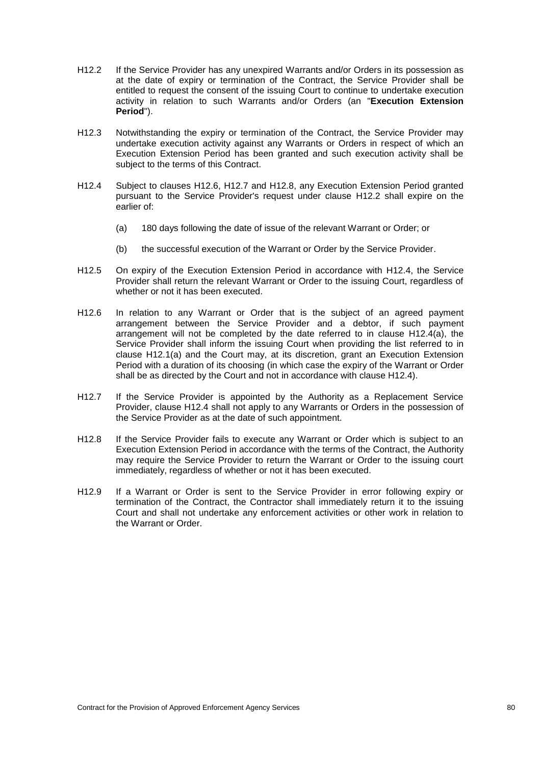- <span id="page-85-0"></span>H12.2 If the Service Provider has any unexpired Warrants and/or Orders in its possession as at the date of expiry or termination of the Contract, the Service Provider shall be entitled to request the consent of the issuing Court to continue to undertake execution activity in relation to such Warrants and/or Orders (an "**Execution Extension Period**").
- H12.3 Notwithstanding the expiry or termination of the Contract, the Service Provider may undertake execution activity against any Warrants or Orders in respect of which an Execution Extension Period has been granted and such execution activity shall be subject to the terms of this Contract.
- <span id="page-85-4"></span>H12.4 Subject to clauses [H12.6,](#page-85-1) [H12.7](#page-85-2) and [H12.8,](#page-85-3) any Execution Extension Period granted pursuant to the Service Provider's request under clause [H12.2](#page-85-0) shall expire on the earlier of:
	- (a) 180 days following the date of issue of the relevant Warrant or Order; or
	- (b) the successful execution of the Warrant or Order by the Service Provider.
- H12.5 On expiry of the Execution Extension Period in accordance with [H12.4,](#page-85-4) the Service Provider shall return the relevant Warrant or Order to the issuing Court, regardless of whether or not it has been executed.
- <span id="page-85-1"></span>H12.6 In relation to any Warrant or Order that is the subject of an agreed payment arrangement between the Service Provider and a debtor, if such payment arrangement will not be completed by the date referred to in clause [H12.4\(](#page-85-4)a), the Service Provider shall inform the issuing Court when providing the list referred to in clause [H12.1\(](#page-84-1)a) and the Court may, at its discretion, grant an Execution Extension Period with a duration of its choosing (in which case the expiry of the Warrant or Order shall be as directed by the Court and not in accordance with clause [H12.4\)](#page-85-4).
- <span id="page-85-2"></span>H12.7 If the Service Provider is appointed by the Authority as a Replacement Service Provider, clause [H12.4](#page-85-4) shall not apply to any Warrants or Orders in the possession of the Service Provider as at the date of such appointment.
- <span id="page-85-3"></span>H12.8 If the Service Provider fails to execute any Warrant or Order which is subject to an Execution Extension Period in accordance with the terms of the Contract, the Authority may require the Service Provider to return the Warrant or Order to the issuing court immediately, regardless of whether or not it has been executed.
- H12.9 If a Warrant or Order is sent to the Service Provider in error following expiry or termination of the Contract, the Contractor shall immediately return it to the issuing Court and shall not undertake any enforcement activities or other work in relation to the Warrant or Order.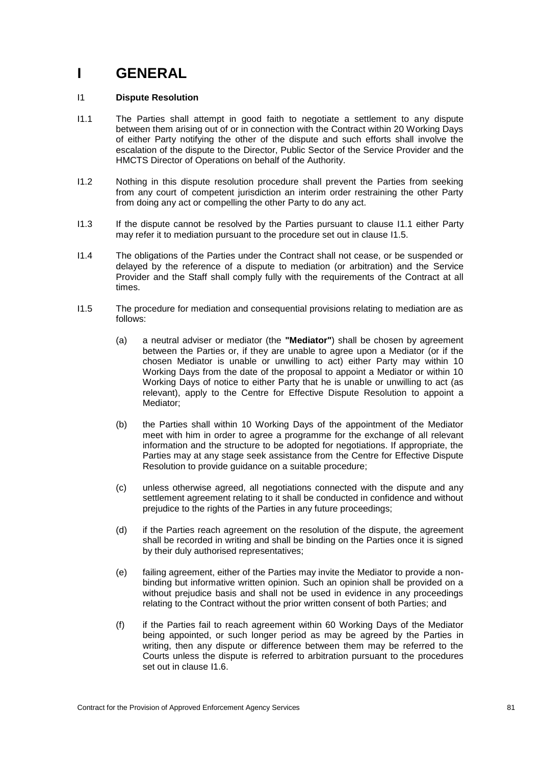# **I GENERAL**

# <span id="page-86-4"></span>I1 **Dispute Resolution**

- <span id="page-86-0"></span>I1.1 The Parties shall attempt in good faith to negotiate a settlement to any dispute between them arising out of or in connection with the Contract within 20 Working Days of either Party notifying the other of the dispute and such efforts shall involve the escalation of the dispute to the Director, Public Sector of the Service Provider and the HMCTS Director of Operations on behalf of the Authority.
- <span id="page-86-2"></span>I1.2 Nothing in this dispute resolution procedure shall prevent the Parties from seeking from any court of competent jurisdiction an interim order restraining the other Party from doing any act or compelling the other Party to do any act.
- <span id="page-86-3"></span>I1.3 If the dispute cannot be resolved by the Parties pursuant to clause [I1.1](#page-86-0) either Party may refer it to mediation pursuant to the procedure set out in clause [I1.5.](#page-86-1)
- I1.4 The obligations of the Parties under the Contract shall not cease, or be suspended or delayed by the reference of a dispute to mediation (or arbitration) and the Service Provider and the Staff shall comply fully with the requirements of the Contract at all times.
- <span id="page-86-1"></span>I1.5 The procedure for mediation and consequential provisions relating to mediation are as follows:
	- (a) a neutral adviser or mediator (the **"Mediator"**) shall be chosen by agreement between the Parties or, if they are unable to agree upon a Mediator (or if the chosen Mediator is unable or unwilling to act) either Party may within 10 Working Days from the date of the proposal to appoint a Mediator or within 10 Working Days of notice to either Party that he is unable or unwilling to act (as relevant), apply to the Centre for Effective Dispute Resolution to appoint a Mediator;
	- (b) the Parties shall within 10 Working Days of the appointment of the Mediator meet with him in order to agree a programme for the exchange of all relevant information and the structure to be adopted for negotiations. If appropriate, the Parties may at any stage seek assistance from the Centre for Effective Dispute Resolution to provide guidance on a suitable procedure;
	- (c) unless otherwise agreed, all negotiations connected with the dispute and any settlement agreement relating to it shall be conducted in confidence and without prejudice to the rights of the Parties in any future proceedings;
	- (d) if the Parties reach agreement on the resolution of the dispute, the agreement shall be recorded in writing and shall be binding on the Parties once it is signed by their duly authorised representatives;
	- (e) failing agreement, either of the Parties may invite the Mediator to provide a nonbinding but informative written opinion. Such an opinion shall be provided on a without prejudice basis and shall not be used in evidence in any proceedings relating to the Contract without the prior written consent of both Parties; and
	- (f) if the Parties fail to reach agreement within 60 Working Days of the Mediator being appointed, or such longer period as may be agreed by the Parties in writing, then any dispute or difference between them may be referred to the Courts unless the dispute is referred to arbitration pursuant to the procedures set out in clause [I1.6.](#page-87-0)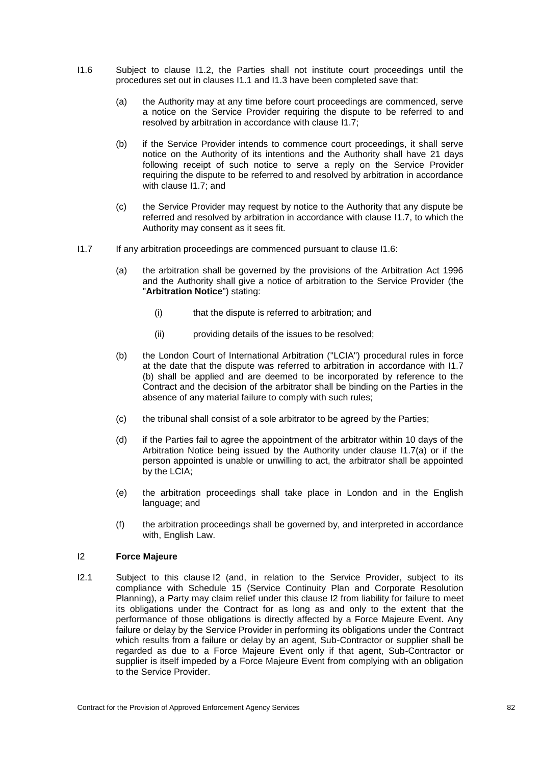- <span id="page-87-0"></span>I1.6 Subject to clause [I1.2,](#page-86-2) the Parties shall not institute court proceedings until the procedures set out in clauses [I1.1](#page-86-0) and [I1.3](#page-86-3) have been completed save that:
	- (a) the Authority may at any time before court proceedings are commenced, serve a notice on the Service Provider requiring the dispute to be referred to and resolved by arbitration in accordance with clause [I1.7;](#page-87-1)
	- (b) if the Service Provider intends to commence court proceedings, it shall serve notice on the Authority of its intentions and the Authority shall have 21 days following receipt of such notice to serve a reply on the Service Provider requiring the dispute to be referred to and resolved by arbitration in accordance with clause [I1.7;](#page-87-1) and
	- (c) the Service Provider may request by notice to the Authority that any dispute be referred and resolved by arbitration in accordance with clause [I1.7,](#page-87-1) to which the Authority may consent as it sees fit.
- <span id="page-87-2"></span><span id="page-87-1"></span>I1.7 If any arbitration proceedings are commenced pursuant to clause [I1.6:](#page-87-0)
	- (a) the arbitration shall be governed by the provisions of the Arbitration Act 1996 and the Authority shall give a notice of arbitration to the Service Provider (the "**Arbitration Notice**") stating:
		- (i) that the dispute is referred to arbitration; and
		- (ii) providing details of the issues to be resolved;
	- (b) the London Court of International Arbitration ("LCIA") procedural rules in force at the date that the dispute was referred to arbitration in accordance with I1.7 (b) shall be applied and are deemed to be incorporated by reference to the Contract and the decision of the arbitrator shall be binding on the Parties in the absence of any material failure to comply with such rules;
	- (c) the tribunal shall consist of a sole arbitrator to be agreed by the Parties;
	- (d) if the Parties fail to agree the appointment of the arbitrator within 10 days of the Arbitration Notice being issued by the Authority under clause [I1.7](#page-87-1)[\(a\)](#page-87-2) or if the person appointed is unable or unwilling to act, the arbitrator shall be appointed by the LCIA;
	- (e) the arbitration proceedings shall take place in London and in the English language; and
	- (f) the arbitration proceedings shall be governed by, and interpreted in accordance with, English Law.

# <span id="page-87-3"></span>I2 **Force Majeure**

I2.1 Subject to this clause [I2](#page-87-3) (and, in relation to the Service Provider, subject to its compliance with Schedule 15 (Service Continuity Plan and Corporate Resolution Planning), a Party may claim relief under this clause [I2](#page-87-3) from liability for failure to meet its obligations under the Contract for as long as and only to the extent that the performance of those obligations is directly affected by a Force Majeure Event. Any failure or delay by the Service Provider in performing its obligations under the Contract which results from a failure or delay by an agent, Sub-Contractor or supplier shall be regarded as due to a Force Majeure Event only if that agent, Sub-Contractor or supplier is itself impeded by a Force Majeure Event from complying with an obligation to the Service Provider.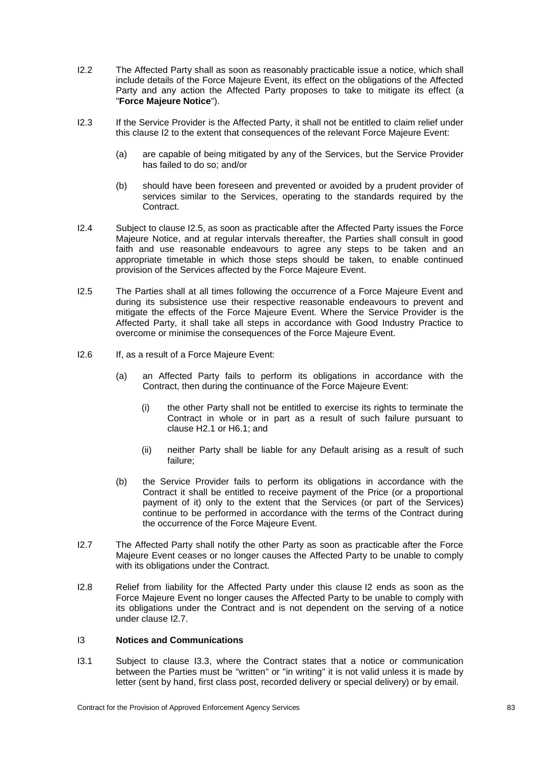- I2.2 The Affected Party shall as soon as reasonably practicable issue a notice, which shall include details of the Force Majeure Event, its effect on the obligations of the Affected Party and any action the Affected Party proposes to take to mitigate its effect (a "**Force Majeure Notice**").
- I2.3 If the Service Provider is the Affected Party, it shall not be entitled to claim relief under this clause [I2](#page-87-3) to the extent that consequences of the relevant Force Majeure Event:
	- (a) are capable of being mitigated by any of the Services, but the Service Provider has failed to do so; and/or
	- (b) should have been foreseen and prevented or avoided by a prudent provider of services similar to the Services, operating to the standards required by the **Contract.**
- I2.4 Subject to clause [I2.5,](#page-88-0) as soon as practicable after the Affected Party issues the Force Majeure Notice, and at regular intervals thereafter, the Parties shall consult in good faith and use reasonable endeavours to agree any steps to be taken and an appropriate timetable in which those steps should be taken, to enable continued provision of the Services affected by the Force Majeure Event.
- <span id="page-88-0"></span>I2.5 The Parties shall at all times following the occurrence of a Force Majeure Event and during its subsistence use their respective reasonable endeavours to prevent and mitigate the effects of the Force Majeure Event. Where the Service Provider is the Affected Party, it shall take all steps in accordance with Good Industry Practice to overcome or minimise the consequences of the Force Majeure Event.
- I2.6 If, as a result of a Force Majeure Event:
	- (a) an Affected Party fails to perform its obligations in accordance with the Contract, then during the continuance of the Force Majeure Event:
		- (i) the other Party shall not be entitled to exercise its rights to terminate the Contract in whole or in part as a result of such failure pursuant to clause [H2.1](#page-79-2) or [H6.1;](#page-80-1) and
		- (ii) neither Party shall be liable for any Default arising as a result of such failure;
	- (b) the Service Provider fails to perform its obligations in accordance with the Contract it shall be entitled to receive payment of the Price (or a proportional payment of it) only to the extent that the Services (or part of the Services) continue to be performed in accordance with the terms of the Contract during the occurrence of the Force Majeure Event.
- <span id="page-88-1"></span>I2.7 The Affected Party shall notify the other Party as soon as practicable after the Force Majeure Event ceases or no longer causes the Affected Party to be unable to comply with its obligations under the Contract.
- I2.8 Relief from liability for the Affected Party under this clause [I2](#page-87-3) ends as soon as the Force Majeure Event no longer causes the Affected Party to be unable to comply with its obligations under the Contract and is not dependent on the serving of a notice under clause [I2.7.](#page-88-1)

# <span id="page-88-2"></span>I3 **Notices and Communications**

I3.1 Subject to clause [I3.3,](#page-89-1) where the Contract states that a notice or communication between the Parties must be "written" or "in writing" it is not valid unless it is made by letter (sent by hand, first class post, recorded delivery or special delivery) or by email.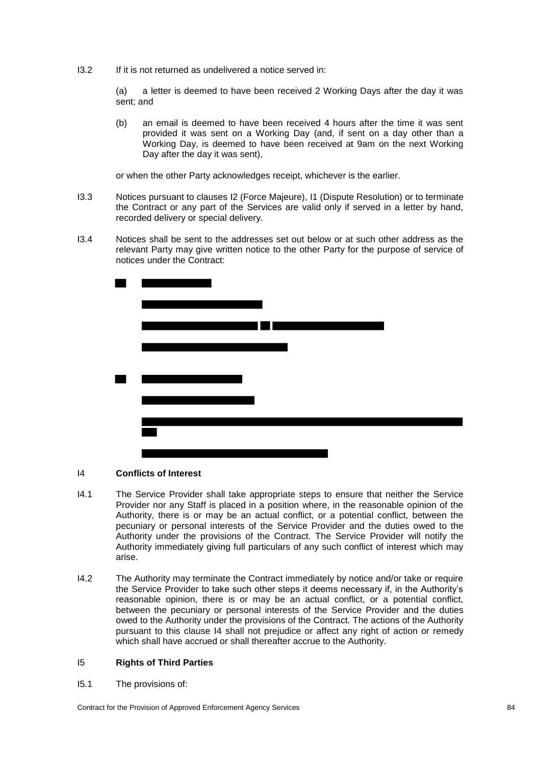I3.2 If it is not returned as undelivered a notice served in:

(a) a letter is deemed to have been received 2 Working Days after the day it was sent; and

(b) an email is deemed to have been received 4 hours after the time it was sent provided it was sent on a Working Day (and, if sent on a day other than a Working Day, is deemed to have been received at 9am on the next Working Day after the day it was sent),

or when the other Party acknowledges receipt, whichever is the earlier.

- <span id="page-89-1"></span>I3.3 Notices pursuant to clauses [I2](#page-87-3) (Force Majeure), [I1](#page-86-4) (Dispute Resolution) or to terminate the Contract or any part of the Services are valid only if served in a letter by hand, recorded delivery or special delivery.
- I3.4 Notices shall be sent to the addresses set out below or at such other address as the relevant Party may give written notice to the other Party for the purpose of service of notices under the Contract:



# <span id="page-89-2"></span>I4 **Conflicts of Interest**

- I4.1 The Service Provider shall take appropriate steps to ensure that neither the Service Provider nor any Staff is placed in a position where, in the reasonable opinion of the Authority, there is or may be an actual conflict, or a potential conflict, between the pecuniary or personal interests of the Service Provider and the duties owed to the Authority under the provisions of the Contract. The Service Provider will notify the Authority immediately giving full particulars of any such conflict of interest which may arise.
- I4.2 The Authority may terminate the Contract immediately by notice and/or take or require the Service Provider to take such other steps it deems necessary if, in the Authority's reasonable opinion, there is or may be an actual conflict, or a potential conflict, between the pecuniary or personal interests of the Service Provider and the duties owed to the Authority under the provisions of the Contract. The actions of the Authority pursuant to this clause [I4](#page-89-2) shall not prejudice or affect any right of action or remedy which shall have accrued or shall thereafter accrue to the Authority.

# <span id="page-89-0"></span>I5 **Rights of Third Parties**

<span id="page-89-3"></span>I5.1 The provisions of:

Contract for the Provision of Approved Enforcement Agency Services 84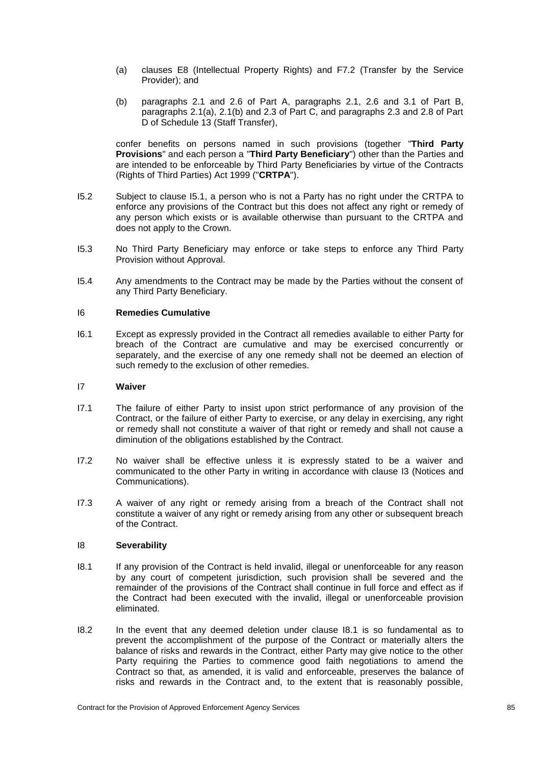- (a) clauses [E8](#page-51-0) (Intellectual Property Rights) and [F7.2](#page-62-0) (Transfer by the Service Provider); and
- (b) paragraphs 2.1 and 2.6 of Part A, paragraphs 2.1, 2.6 and 3.1 of Part B, paragraphs 2.1(a), 2.1(b) and 2.3 of Part C, and paragraphs 2.3 and 2.8 of Part D of Schedule 13 (Staff Transfer),

confer benefits on persons named in such provisions (together "**Third Party Provisions**" and each person a "**Third Party Beneficiary**") other than the Parties and are intended to be enforceable by Third Party Beneficiaries by virtue of the Contracts (Rights of Third Parties) Act 1999 ("**CRTPA**").

- I5.2 Subject to clause [I5.1,](#page-89-3) a person who is not a Party has no right under the CRTPA to enforce any provisions of the Contract but this does not affect any right or remedy of any person which exists or is available otherwise than pursuant to the CRTPA and does not apply to the Crown.
- I5.3 No Third Party Beneficiary may enforce or take steps to enforce any Third Party Provision without Approval.
- I5.4 Any amendments to the Contract may be made by the Parties without the consent of any Third Party Beneficiary.

# <span id="page-90-0"></span>I6 **Remedies Cumulative**

I6.1 Except as expressly provided in the Contract all remedies available to either Party for breach of the Contract are cumulative and may be exercised concurrently or separately, and the exercise of any one remedy shall not be deemed an election of such remedy to the exclusion of other remedies.

# I7 **Waiver**

- I7.1 The failure of either Party to insist upon strict performance of any provision of the Contract, or the failure of either Party to exercise, or any delay in exercising, any right or remedy shall not constitute a waiver of that right or remedy and shall not cause a diminution of the obligations established by the Contract.
- I7.2 No waiver shall be effective unless it is expressly stated to be a waiver and communicated to the other Party in writing in accordance with clause [I3](#page-88-2) (Notices and Communications).
- I7.3 A waiver of any right or remedy arising from a breach of the Contract shall not constitute a waiver of any right or remedy arising from any other or subsequent breach of the Contract.

# <span id="page-90-1"></span>I8 **Severability**

- <span id="page-90-2"></span>I8.1 If any provision of the Contract is held invalid, illegal or unenforceable for any reason by any court of competent jurisdiction, such provision shall be severed and the remainder of the provisions of the Contract shall continue in full force and effect as if the Contract had been executed with the invalid, illegal or unenforceable provision eliminated.
- I8.2 In the event that any deemed deletion under clause [I8.1](#page-90-2) is so fundamental as to prevent the accomplishment of the purpose of the Contract or materially alters the balance of risks and rewards in the Contract, either Party may give notice to the other Party requiring the Parties to commence good faith negotiations to amend the Contract so that, as amended, it is valid and enforceable, preserves the balance of risks and rewards in the Contract and, to the extent that is reasonably possible,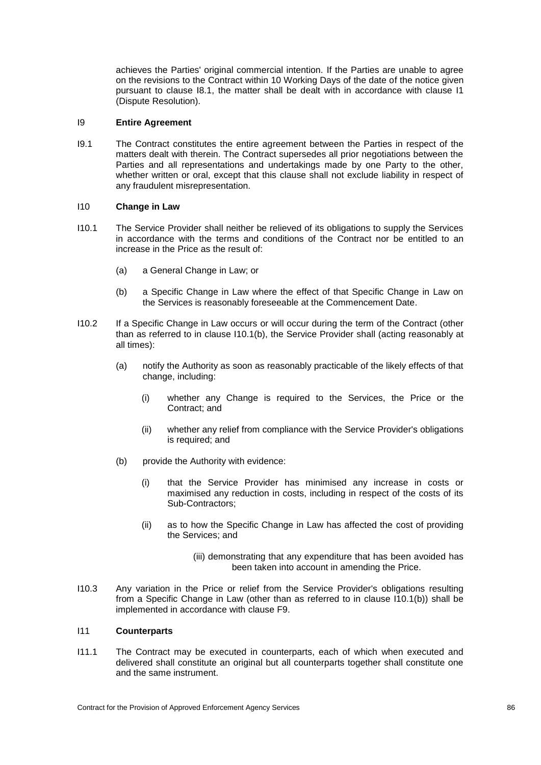achieves the Parties' original commercial intention. If the Parties are unable to agree on the revisions to the Contract within 10 Working Days of the date of the notice given pursuant to clause [I8.1,](#page-90-2) the matter shall be dealt with in accordance with clause [I1](#page-86-4) (Dispute Resolution).

# <span id="page-91-0"></span>I9 **Entire Agreement**

I9.1 The Contract constitutes the entire agreement between the Parties in respect of the matters dealt with therein. The Contract supersedes all prior negotiations between the Parties and all representations and undertakings made by one Party to the other, whether written or oral, except that this clause shall not exclude liability in respect of any fraudulent misrepresentation.

# I10 **Change in Law**

- <span id="page-91-1"></span>I10.1 The Service Provider shall neither be relieved of its obligations to supply the Services in accordance with the terms and conditions of the Contract nor be entitled to an increase in the Price as the result of:
	- (a) a General Change in Law; or
	- (b) a Specific Change in Law where the effect of that Specific Change in Law on the Services is reasonably foreseeable at the Commencement Date.
- <span id="page-91-2"></span>I10.2 If a Specific Change in Law occurs or will occur during the term of the Contract (other than as referred to in clause [I10.1](#page-91-1)[\(b\),](#page-91-2) the Service Provider shall (acting reasonably at all times):
	- (a) notify the Authority as soon as reasonably practicable of the likely effects of that change, including:
		- (i) whether any Change is required to the Services, the Price or the Contract; and
		- (ii) whether any relief from compliance with the Service Provider's obligations is required; and
	- (b) provide the Authority with evidence:
		- (i) that the Service Provider has minimised any increase in costs or maximised any reduction in costs, including in respect of the costs of its Sub-Contractors;
		- (ii) as to how the Specific Change in Law has affected the cost of providing the Services; and
			- (iii) demonstrating that any expenditure that has been avoided has been taken into account in amending the Price.
- I10.3 Any variation in the Price or relief from the Service Provider's obligations resulting from a Specific Change in Law (other than as referred to in clause [I10.1](#page-91-1)[\(b\)\)](#page-91-2) shall be implemented in accordance with clause [F9.](#page-67-0)

# I11 **Counterparts**

I11.1 The Contract may be executed in counterparts, each of which when executed and delivered shall constitute an original but all counterparts together shall constitute one and the same instrument.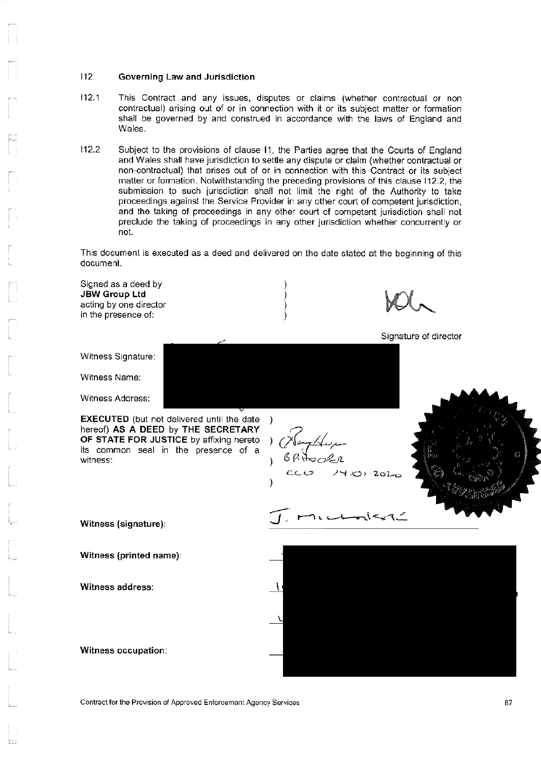#### $112$ Governing Law and Jurisdiction

- $112.1$ This Contract and any issues, disputes or claims (whether contractual or non contractual) arising out of or in connection with it or its subject matter or formation shall be governed by and construed in accordance with the laws of England and Wales.
- $112.2$ Subject to the provisions of clause 11, the Parties agree that the Courts of England and Wales shall have jurisdiction to settle any dispute or claim (whether contractual or non-contractual) that arises out of or in connection with this Contract or its subject matter or formation. Notwithstanding the preceding provisions of this clause 112.2, the submission to such jurisdiction shall not limit the right of the Authority to take proceedings against the Service Provider in any other court of competent jurisdiction. and the taking of proceedings in any other court of competent jurisdiction shall not preclude the taking of proceedings in any other jurisdiction whether concurrently or not.

This document is executed as a deed and delivered on the date stated at the beginning of this document.

Signed as a deed by **JBW Group Ltd** acting by one director in the presence of: Signature of director Witness Signature: Witness Name: Witness Address: **EXECUTED** (but not delivered until the date  $\lambda$ hereof) AS A DEED by THE SECRETARY سىرىيەكىر OF STATE FOR JUSTICE by affixing hereto  $\mathcal{F}$ its common seal in the presence of a P. HooRR witness: 24 KOI 2020 ハーマイニ Witness (signature): Witness (printed name): Witness address: Witness occupation:

Contract for the Provision of Approved Enforcement Agency Services